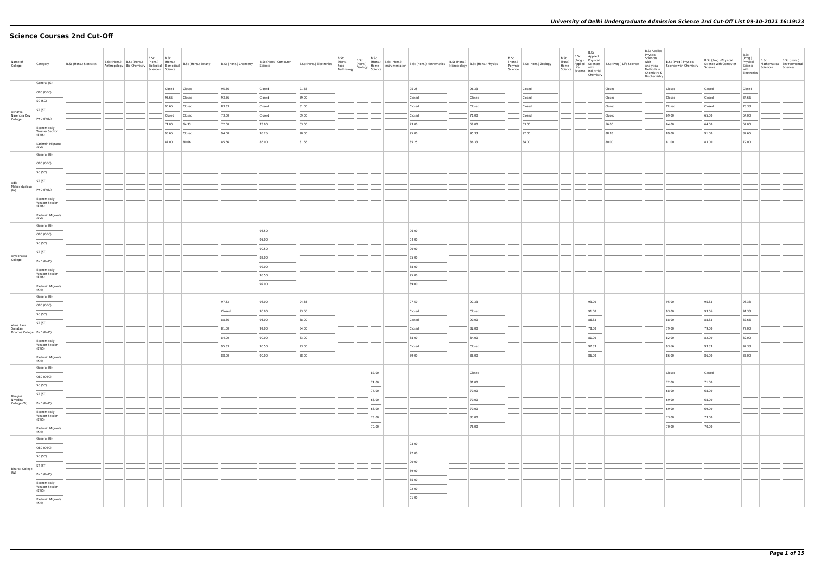# **Science Courses 2nd Cut-Off**

| Name of<br>College                 | Category                                       | B.Sc (Hons.) Statistics |  | B.Sc | B.Sc<br>Sciences Science | B.Sc (Hons.) B.Sc (Hons.) (Hons.) (Hons.) (Hons.) B.Sc (Hons.) Botany<br>Anthropology Bio-Chemistry Biological Biomedical B.Sc (Hons.) Botany | B.Sc (Hons.) Chemistry | B.Sc (Hons.) Computer<br>Science | B.Sc (Hons.) Electronics (Hons.) | B.Sc<br>Technology | B.Sc | B.Sc                              |                | B.Sc (Hons.) B.Sc (Hons.)<br>(Hons.) I (Hons.) I (Hons.) B.Sc (Hons.) Mathematics B.Sc (Hons.) Physics<br>(Geology Science Microbiology Science 1999) | B.Sc<br>(Hons.)<br>Polymer<br>Science | B.Sc (Hons.) Zoology | B.Sc<br>Chemistry | B.Sc 2001<br>(Prog.) Physical<br>(Prog.) Physical<br>Home Applied Science<br>Science Industrial<br>Science Industrial<br>Science Industrial | <b>B.Sc Applied</b><br>Physical<br>Sciences<br>with<br>Analytical<br>Methods in<br>Chemistry &<br>Biochemistry | B.Sc (Prog.) Physical<br>Science with Chemistry | B.Sc (Prog.) Physical<br>Science with Computer<br>Science | B.Sc<br>(Prog.)<br>Physical<br>Science<br>with<br>Electronics | B.Sc<br>Mathematical Environmental<br>Sciences | B.Sc (Hons.)<br>Sciences |
|------------------------------------|------------------------------------------------|-------------------------|--|------|--------------------------|-----------------------------------------------------------------------------------------------------------------------------------------------|------------------------|----------------------------------|----------------------------------|--------------------|------|-----------------------------------|----------------|-------------------------------------------------------------------------------------------------------------------------------------------------------|---------------------------------------|----------------------|-------------------|---------------------------------------------------------------------------------------------------------------------------------------------|----------------------------------------------------------------------------------------------------------------|-------------------------------------------------|-----------------------------------------------------------|---------------------------------------------------------------|------------------------------------------------|--------------------------|
|                                    | General (G)                                    |                         |  |      | Closed                   | Closed                                                                                                                                        | 95.66                  | Closed                           | 91.66                            |                    |      |                                   | 95.25          | 96.33                                                                                                                                                 |                                       | Closed               |                   | Closed                                                                                                                                      |                                                                                                                | Closed                                          | Closed                                                    | Closed                                                        |                                                |                          |
|                                    | OBC (OBC)                                      |                         |  |      | 93.66                    | Closed                                                                                                                                        | 93.66                  | Closed                           | 89.00                            |                    |      |                                   | Closed         | Closed                                                                                                                                                |                                       | Closed               |                   | Closed                                                                                                                                      |                                                                                                                | Closed                                          | Closed                                                    | 84.66                                                         |                                                |                          |
|                                    | SC (SC)                                        |                         |  |      | 90.66                    | Closed                                                                                                                                        | 83.33                  | Closed                           | 81.00                            |                    |      |                                   | Closed         | Closed                                                                                                                                                |                                       | Closed               |                   | Closed                                                                                                                                      |                                                                                                                | Closed                                          | Closed                                                    | 73.33                                                         |                                                |                          |
| Acharya<br>Narendra Dev            | ST (ST)                                        |                         |  |      | Closed                   | Closed                                                                                                                                        | 73.00                  | Closed                           | 69.00                            |                    |      |                                   | Closed         | 71.00                                                                                                                                                 |                                       | Closed               |                   | Closed                                                                                                                                      |                                                                                                                | 69.00                                           | 65.00                                                     | 64.00                                                         |                                                |                          |
| College                            | PwD (PwD)                                      |                         |  |      | 74.00                    | 64.33                                                                                                                                         | 72.00                  | 73.00                            | 63.00                            |                    |      |                                   | 73.00          | 68.00                                                                                                                                                 |                                       | 63.00                |                   | 56.00                                                                                                                                       |                                                                                                                | 64.00                                           | 64.00                                                     | 64.00                                                         |                                                |                          |
|                                    | Economically<br><b>Weaker Section</b><br>(EWS) |                         |  |      | 95.66                    | Closed                                                                                                                                        | 94.00                  | 95.25                            | 90.00                            |                    |      |                                   | 95.00          | 95.33                                                                                                                                                 |                                       | 92.00                |                   | 88.33                                                                                                                                       |                                                                                                                | 89.00                                           | 91.00                                                     | 87.66                                                         |                                                |                          |
|                                    | Kashmiri Migrants                              |                         |  |      | 87.00                    | 80.66                                                                                                                                         | 85.66                  | 86.00                            | 81.66                            |                    |      |                                   | 85.25          | 86.33                                                                                                                                                 |                                       | 84.00                |                   | 80.00                                                                                                                                       |                                                                                                                | 81.00                                           | 83.00                                                     | 79.00                                                         |                                                |                          |
|                                    | (KM)<br>General (G)                            |                         |  |      |                          |                                                                                                                                               |                        |                                  |                                  |                    |      |                                   |                |                                                                                                                                                       |                                       |                      |                   |                                                                                                                                             |                                                                                                                |                                                 |                                                           |                                                               |                                                |                          |
|                                    | OBC (OBC)                                      |                         |  |      |                          |                                                                                                                                               |                        |                                  |                                  |                    |      |                                   |                |                                                                                                                                                       |                                       |                      |                   |                                                                                                                                             |                                                                                                                |                                                 |                                                           |                                                               |                                                |                          |
|                                    | SC (SC)                                        |                         |  |      |                          |                                                                                                                                               |                        |                                  |                                  |                    |      |                                   |                |                                                                                                                                                       |                                       |                      |                   |                                                                                                                                             |                                                                                                                |                                                 |                                                           |                                                               |                                                |                          |
| Aditi                              | ST (ST)                                        |                         |  |      |                          |                                                                                                                                               |                        |                                  |                                  |                    |      |                                   |                |                                                                                                                                                       |                                       |                      |                   |                                                                                                                                             |                                                                                                                |                                                 |                                                           |                                                               |                                                |                          |
| Mahavidyalaya<br>(W)               | PwD (PwD)                                      |                         |  |      |                          |                                                                                                                                               |                        |                                  |                                  |                    |      |                                   |                |                                                                                                                                                       |                                       |                      |                   |                                                                                                                                             |                                                                                                                |                                                 |                                                           |                                                               |                                                |                          |
|                                    | Economically                                   |                         |  |      |                          |                                                                                                                                               |                        |                                  |                                  |                    |      |                                   |                |                                                                                                                                                       |                                       |                      |                   |                                                                                                                                             |                                                                                                                |                                                 |                                                           |                                                               |                                                |                          |
|                                    | <b>Weaker Section</b><br>(EWS)                 |                         |  |      |                          |                                                                                                                                               |                        |                                  |                                  |                    |      |                                   |                |                                                                                                                                                       |                                       |                      |                   |                                                                                                                                             |                                                                                                                |                                                 |                                                           |                                                               |                                                |                          |
|                                    | Kashmiri Migrants<br>(KM)                      |                         |  |      |                          |                                                                                                                                               |                        |                                  |                                  |                    |      |                                   |                |                                                                                                                                                       |                                       |                      |                   |                                                                                                                                             |                                                                                                                |                                                 |                                                           |                                                               |                                                |                          |
|                                    | General (G)                                    |                         |  |      |                          |                                                                                                                                               |                        |                                  |                                  |                    |      |                                   |                |                                                                                                                                                       |                                       |                      |                   |                                                                                                                                             |                                                                                                                |                                                 |                                                           |                                                               |                                                |                          |
|                                    | OBC (OBC)                                      |                         |  |      |                          |                                                                                                                                               |                        | 96.50                            |                                  |                    |      |                                   | 96.00          |                                                                                                                                                       |                                       |                      |                   |                                                                                                                                             |                                                                                                                |                                                 |                                                           |                                                               |                                                |                          |
|                                    | SC (SC)                                        |                         |  |      |                          |                                                                                                                                               |                        | 95.00                            |                                  |                    |      |                                   | 94.00          |                                                                                                                                                       |                                       |                      |                   |                                                                                                                                             |                                                                                                                |                                                 |                                                           |                                                               |                                                |                          |
| Aryabhatta                         | ST (ST)                                        |                         |  |      |                          |                                                                                                                                               |                        | 90.50                            |                                  |                    |      |                                   | 90.00          |                                                                                                                                                       |                                       |                      |                   |                                                                                                                                             |                                                                                                                |                                                 |                                                           |                                                               |                                                |                          |
| College                            | PwD (PwD)                                      |                         |  |      |                          |                                                                                                                                               |                        | 89.00                            |                                  |                    |      |                                   | 85.00          |                                                                                                                                                       |                                       |                      |                   |                                                                                                                                             |                                                                                                                |                                                 |                                                           |                                                               |                                                |                          |
|                                    | Economically<br><b>Weaker Section</b>          |                         |  |      |                          |                                                                                                                                               |                        | 92.00                            |                                  |                    |      |                                   | 88.00          |                                                                                                                                                       |                                       |                      |                   |                                                                                                                                             |                                                                                                                |                                                 |                                                           |                                                               |                                                |                          |
|                                    | (EWS)                                          |                         |  |      |                          |                                                                                                                                               |                        | 95.50<br>92.00                   |                                  |                    |      |                                   | 95.00<br>89.00 |                                                                                                                                                       |                                       |                      |                   |                                                                                                                                             |                                                                                                                |                                                 |                                                           |                                                               |                                                |                          |
|                                    | Kashmiri Migrants<br>(KM)                      |                         |  |      |                          |                                                                                                                                               |                        |                                  |                                  |                    |      |                                   |                |                                                                                                                                                       |                                       |                      |                   |                                                                                                                                             |                                                                                                                |                                                 |                                                           |                                                               |                                                |                          |
|                                    | General (G)                                    |                         |  |      |                          |                                                                                                                                               | 97.33                  | 98.00                            | 94.33                            |                    |      |                                   | 97.50          | 97.33                                                                                                                                                 |                                       |                      | 93.00             |                                                                                                                                             |                                                                                                                | 95.00                                           | 95.33                                                     | 93.33                                                         |                                                |                          |
|                                    | OBC (OBC)                                      |                         |  |      |                          |                                                                                                                                               | Closed                 | 96.00                            | 93.66                            |                    |      |                                   | Closed         | Closed                                                                                                                                                |                                       |                      | 91.00             |                                                                                                                                             |                                                                                                                | 93.00                                           | 93.66                                                     | 91.33                                                         |                                                |                          |
|                                    | SC (SC)                                        |                         |  |      |                          |                                                                                                                                               | 88.66                  | 95.00                            | 88.00                            |                    |      |                                   | Closed         | 90.00                                                                                                                                                 |                                       |                      | 86.33             |                                                                                                                                             |                                                                                                                | 88.00                                           | 88.33                                                     | 87.66                                                         |                                                |                          |
| Atma Ram<br>Sanatan                | ST (ST)                                        |                         |  |      |                          |                                                                                                                                               | 81.00                  | 92.00                            | 84.00                            |                    |      |                                   | Closed         | 82.00                                                                                                                                                 |                                       |                      | 78.00             |                                                                                                                                             |                                                                                                                | 79.00                                           | 79.00                                                     | 79.00                                                         |                                                |                          |
| Dharma College   PwD (PwD)         |                                                |                         |  |      |                          |                                                                                                                                               | 84.00                  | 90.00                            | 83.00                            |                    |      |                                   | 88.00          | 84.00                                                                                                                                                 |                                       |                      | 81.00             |                                                                                                                                             |                                                                                                                | 82.00                                           | 82.00                                                     | 82.00                                                         |                                                |                          |
|                                    | Economically<br><b>Weaker Section</b><br>(EWS) |                         |  |      |                          |                                                                                                                                               | 95.33                  | 96.50                            | 93.00                            |                    |      |                                   | Closed         | Closed                                                                                                                                                |                                       |                      | 92.33             |                                                                                                                                             |                                                                                                                | 93.66                                           | 93.33                                                     | 92.33                                                         |                                                |                          |
|                                    | Kashmiri Migrants                              |                         |  |      |                          |                                                                                                                                               | 88.00                  | 90.00                            | 88.00                            |                    |      |                                   | 89.00          | 88.00                                                                                                                                                 |                                       |                      | 86.00             |                                                                                                                                             |                                                                                                                | 86.00                                           | 86.00                                                     | 86.00                                                         |                                                |                          |
|                                    | (KM)                                           |                         |  |      |                          |                                                                                                                                               |                        |                                  |                                  |                    |      |                                   |                |                                                                                                                                                       |                                       |                      |                   |                                                                                                                                             |                                                                                                                |                                                 |                                                           |                                                               |                                                |                          |
|                                    | General (G)                                    |                         |  |      |                          |                                                                                                                                               |                        |                                  |                                  |                    |      | 82.00                             |                | Closed                                                                                                                                                |                                       |                      |                   |                                                                                                                                             |                                                                                                                | Closed                                          | Closed                                                    |                                                               |                                                |                          |
|                                    | OBC (OBC)<br>SC (SC)                           |                         |  |      |                          |                                                                                                                                               |                        |                                  |                                  |                    |      | $\overline{\phantom{a}}$<br>74.00 |                | 81.00                                                                                                                                                 |                                       |                      |                   |                                                                                                                                             |                                                                                                                | 72.00                                           | 71.00                                                     |                                                               |                                                |                          |
|                                    | ST (ST)                                        |                         |  |      |                          |                                                                                                                                               |                        |                                  |                                  |                    |      | $74.00$                           |                | 70.00                                                                                                                                                 |                                       |                      |                   |                                                                                                                                             |                                                                                                                | 68.00                                           | 68.00                                                     |                                                               |                                                |                          |
| Bhagini<br>Nivedita<br>College (W) | PwD (PwD)                                      |                         |  |      |                          |                                                                                                                                               |                        |                                  |                                  |                    |      | 68.00                             |                | 70.00                                                                                                                                                 |                                       |                      |                   |                                                                                                                                             |                                                                                                                | 69.00                                           | 68.00                                                     |                                                               |                                                |                          |
|                                    | Economically                                   |                         |  |      |                          |                                                                                                                                               |                        |                                  |                                  |                    |      | 68.00                             |                | 70.00                                                                                                                                                 |                                       |                      |                   |                                                                                                                                             |                                                                                                                | 69.00                                           | 69.00                                                     |                                                               |                                                |                          |
|                                    | <b>Weaker Section</b><br>(EWS)                 |                         |  |      |                          |                                                                                                                                               |                        |                                  |                                  |                    |      | 73.00                             |                | 83.00                                                                                                                                                 |                                       |                      |                   |                                                                                                                                             |                                                                                                                | 73.00                                           | 73.00                                                     |                                                               |                                                |                          |
|                                    | Kashmiri Migrants                              |                         |  |      |                          |                                                                                                                                               |                        |                                  |                                  |                    |      | $\frac{1}{2}$<br>70.00            |                | 76.00                                                                                                                                                 |                                       |                      |                   |                                                                                                                                             |                                                                                                                | 70.00                                           | 70.00                                                     |                                                               |                                                |                          |
|                                    | (KM)<br>General (G)                            |                         |  |      |                          |                                                                                                                                               |                        |                                  |                                  |                    |      |                                   |                |                                                                                                                                                       |                                       |                      |                   |                                                                                                                                             |                                                                                                                |                                                 |                                                           |                                                               |                                                |                          |
|                                    | OBC (OBC)                                      |                         |  |      |                          |                                                                                                                                               |                        |                                  |                                  |                    |      |                                   | 93.00          |                                                                                                                                                       |                                       |                      |                   |                                                                                                                                             |                                                                                                                |                                                 |                                                           |                                                               |                                                |                          |
|                                    | SC (SC)                                        |                         |  |      |                          |                                                                                                                                               |                        |                                  |                                  |                    |      |                                   | 92.00          |                                                                                                                                                       |                                       |                      |                   |                                                                                                                                             |                                                                                                                |                                                 |                                                           |                                                               |                                                |                          |
|                                    | ST (ST)                                        |                         |  |      |                          |                                                                                                                                               |                        |                                  |                                  |                    |      |                                   | 90.00          |                                                                                                                                                       |                                       |                      |                   |                                                                                                                                             |                                                                                                                |                                                 |                                                           |                                                               |                                                |                          |
| Bharati College<br>(W)             | PwD (PwD)                                      |                         |  |      |                          |                                                                                                                                               |                        |                                  |                                  |                    |      |                                   | 89.00          |                                                                                                                                                       |                                       |                      |                   |                                                                                                                                             |                                                                                                                |                                                 |                                                           |                                                               |                                                |                          |
|                                    | Economically                                   |                         |  |      |                          |                                                                                                                                               |                        |                                  |                                  |                    |      |                                   | 85.00          |                                                                                                                                                       |                                       |                      |                   |                                                                                                                                             |                                                                                                                |                                                 |                                                           |                                                               |                                                |                          |
|                                    | Weaker Section<br>(EWS)                        |                         |  |      |                          |                                                                                                                                               |                        |                                  |                                  |                    |      |                                   | 92.00          |                                                                                                                                                       |                                       |                      |                   |                                                                                                                                             |                                                                                                                |                                                 |                                                           |                                                               |                                                |                          |
|                                    | Kashmiri Migrants<br>(KM)                      |                         |  |      |                          |                                                                                                                                               |                        |                                  |                                  |                    |      |                                   | 91.00          |                                                                                                                                                       |                                       |                      |                   |                                                                                                                                             |                                                                                                                |                                                 |                                                           |                                                               |                                                |                          |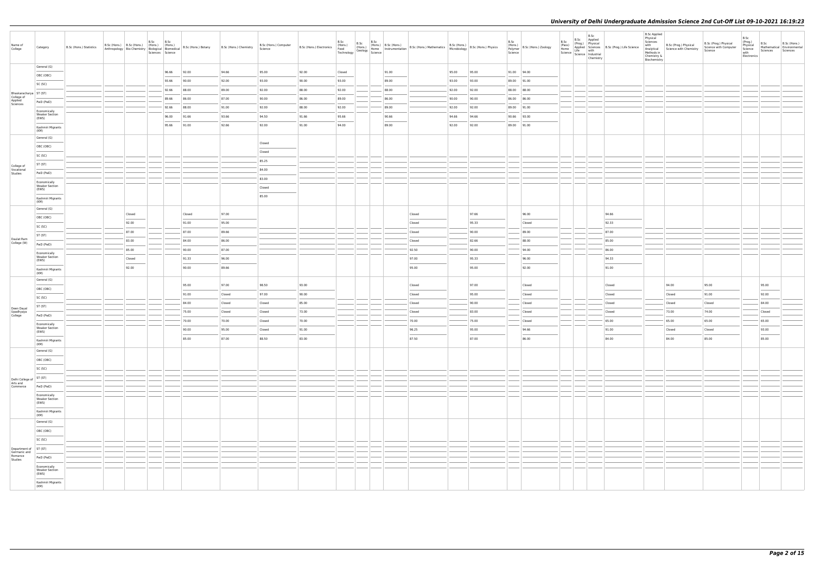| Name of<br>College                     | Category                                       | B.Sc (Hons.) Statistics | B.Sc (Hons.) B.Sc (Hons.) (Hons.) (Hons.) | B.Sc | B.Sc<br>Sciences Science |        | Anthropology   Bio-Chemistry   Thoms.)   (Hons.)   B.Sc (Hons.) Botany   B.Sc (Hons.) Chemistry   Anthropology   Bio-Chemistry   Biological   Biomedical | B.Sc (Hons.) Computer<br>Science | $\begin{array}{ l l l }\n \hline\n B.Sc (Hons.) \,\, \text{Electronic} & \begin{array}{ l l } \hline\n B.3c \\  \text{(Hons.)} & \begin{array}{ l l } \hline\n \text{trons.} \\  \text{(Hons.)} & \begin{array}{ l } \text{trons.} \\  \text{(Hons.)} & \begin{array}{ l } \text{trons.} \\  \text{Hence} \\  \text{Sechology} \\  \text{Science} \\  \end{array} \\  \hline\n \end{array}\n \end{array}\n \end{array}$ |                 |  |       | (Hons.) B.Sc (Hons.) B.Sc (Hons.) Mathematics B.Sc (Hons.) B.Sc (Hons.) Physics<br>Home Instrumentation B.Sc (Hons.) Mathematics Microbiology                                                                                                                                                                                                                                                                                                                                       |       |       | B.Sc<br>(Hons.)<br>Polymer<br>Science | B.Sc (Hons.) Zoology | B.Sc<br>(Pass)<br>Home<br>Science Science Industrial | B.Sc<br>Chemistry | B.Sc Applied<br>(Prog.) Physical<br>Applied Sciences B.Sc (Prog.) Life Science<br>Life with Science B.Sc (Prog.) Life Science | <b>B.Sc Applied</b><br>Physical<br>Sciences<br>with<br>Analytical<br>Methods in<br>Chemistry &<br>Biochemistry | B.Sc (Prog.) Physical<br>Science with Chemistry | B.Sc (Prog.) Physical<br>Science with Computer<br>Science | B.Sc<br>(Prog.)<br>Physical<br>Science<br>with<br>Electronics | B.Sc<br>Sciences | B.Sc (Hons.)<br>Mathematical Environmental<br>Sciences |
|----------------------------------------|------------------------------------------------|-------------------------|-------------------------------------------|------|--------------------------|--------|----------------------------------------------------------------------------------------------------------------------------------------------------------|----------------------------------|-------------------------------------------------------------------------------------------------------------------------------------------------------------------------------------------------------------------------------------------------------------------------------------------------------------------------------------------------------------------------------------------------------------------------|-----------------|--|-------|-------------------------------------------------------------------------------------------------------------------------------------------------------------------------------------------------------------------------------------------------------------------------------------------------------------------------------------------------------------------------------------------------------------------------------------------------------------------------------------|-------|-------|---------------------------------------|----------------------|------------------------------------------------------|-------------------|-------------------------------------------------------------------------------------------------------------------------------|----------------------------------------------------------------------------------------------------------------|-------------------------------------------------|-----------------------------------------------------------|---------------------------------------------------------------|------------------|--------------------------------------------------------|
|                                        | General (G)                                    |                         |                                           |      |                          | 92.00  | 94.66                                                                                                                                                    | 95.00                            | 92.00                                                                                                                                                                                                                                                                                                                                                                                                                   |                 |  | 91.00 |                                                                                                                                                                                                                                                                                                                                                                                                                                                                                     | 95.00 | 95.00 |                                       | 91.00 94.00          |                                                      |                   |                                                                                                                               |                                                                                                                |                                                 |                                                           |                                                               |                  |                                                        |
|                                        | OBC (OBC)                                      |                         |                                           |      | 96.66<br>93.66           | 90.00  | 92.00                                                                                                                                                    | 93.00                            | 90.00                                                                                                                                                                                                                                                                                                                                                                                                                   | Closed<br>93.00 |  | 89.00 |                                                                                                                                                                                                                                                                                                                                                                                                                                                                                     | 93.00 | 93.00 |                                       | 89.00 91.00          |                                                      |                   |                                                                                                                               |                                                                                                                |                                                 |                                                           |                                                               |                  |                                                        |
|                                        | SC (SC)                                        |                         |                                           |      | 92.66                    | 88.00  | 89.00                                                                                                                                                    | 92.00                            | 88.00                                                                                                                                                                                                                                                                                                                                                                                                                   | 92.00           |  | 88.00 |                                                                                                                                                                                                                                                                                                                                                                                                                                                                                     | 92.00 | 92.00 |                                       | 88.00 88.00          |                                                      |                   |                                                                                                                               |                                                                                                                |                                                 |                                                           |                                                               |                  |                                                        |
| Bhaskaracharya   ST (ST)<br>College of |                                                |                         |                                           |      | 89.66                    | 86.00  | 87.00                                                                                                                                                    | 90.00                            | 86.00                                                                                                                                                                                                                                                                                                                                                                                                                   | 89.00           |  | 86.00 |                                                                                                                                                                                                                                                                                                                                                                                                                                                                                     | 90.00 | 90.00 |                                       | 86.00 86.00          |                                                      |                   |                                                                                                                               |                                                                                                                |                                                 |                                                           |                                                               |                  |                                                        |
| Applied<br>Sciences                    | PwD (PwD)                                      |                         |                                           |      | 92.66                    | 88.00  | 91.00                                                                                                                                                    | 92.00                            | 88.00                                                                                                                                                                                                                                                                                                                                                                                                                   | 92.00           |  | 89.00 |                                                                                                                                                                                                                                                                                                                                                                                                                                                                                     | 92.00 | 92.00 |                                       | 89.00 91.00          |                                                      |                   |                                                                                                                               |                                                                                                                |                                                 |                                                           |                                                               |                  |                                                        |
|                                        | Economically<br><b>Weaker Section</b>          |                         |                                           |      | 96.00                    | 91.66  | 93.66                                                                                                                                                    | 94.50                            | 91.66                                                                                                                                                                                                                                                                                                                                                                                                                   | 95.66           |  | 90.66 |                                                                                                                                                                                                                                                                                                                                                                                                                                                                                     | 94.66 | 94.66 |                                       | 90.66 93.00          |                                                      |                   |                                                                                                                               |                                                                                                                |                                                 |                                                           |                                                               |                  |                                                        |
|                                        | (EWS)<br>Kashmiri Migrants                     |                         |                                           |      | 95.66                    | 91.00  | 92.66                                                                                                                                                    | 92.00                            | 91.00                                                                                                                                                                                                                                                                                                                                                                                                                   | 94.00           |  | 89.00 |                                                                                                                                                                                                                                                                                                                                                                                                                                                                                     | 92.00 | 92.00 |                                       | 89.00 91.00          |                                                      |                   |                                                                                                                               |                                                                                                                |                                                 |                                                           |                                                               |                  |                                                        |
|                                        | (KM)<br>General (G)                            |                         |                                           |      |                          |        |                                                                                                                                                          |                                  |                                                                                                                                                                                                                                                                                                                                                                                                                         |                 |  |       |                                                                                                                                                                                                                                                                                                                                                                                                                                                                                     |       |       |                                       |                      |                                                      |                   |                                                                                                                               |                                                                                                                |                                                 |                                                           |                                                               |                  |                                                        |
|                                        | OBC (OBC)                                      |                         |                                           |      |                          |        |                                                                                                                                                          | Closed                           |                                                                                                                                                                                                                                                                                                                                                                                                                         |                 |  |       |                                                                                                                                                                                                                                                                                                                                                                                                                                                                                     |       |       |                                       |                      |                                                      |                   |                                                                                                                               |                                                                                                                |                                                 |                                                           |                                                               |                  |                                                        |
|                                        | SC (SC)                                        |                         |                                           |      |                          |        |                                                                                                                                                          | Closed                           |                                                                                                                                                                                                                                                                                                                                                                                                                         |                 |  |       |                                                                                                                                                                                                                                                                                                                                                                                                                                                                                     |       |       |                                       |                      |                                                      |                   |                                                                                                                               |                                                                                                                |                                                 |                                                           |                                                               |                  |                                                        |
|                                        | ST (ST)                                        |                         |                                           |      |                          |        |                                                                                                                                                          | 85.25                            |                                                                                                                                                                                                                                                                                                                                                                                                                         |                 |  |       |                                                                                                                                                                                                                                                                                                                                                                                                                                                                                     |       |       |                                       |                      |                                                      |                   |                                                                                                                               |                                                                                                                |                                                 |                                                           |                                                               |                  |                                                        |
| College of<br>Vocational<br>Studies    | PwD (PwD)                                      |                         |                                           |      |                          |        |                                                                                                                                                          | 84.00                            |                                                                                                                                                                                                                                                                                                                                                                                                                         |                 |  |       |                                                                                                                                                                                                                                                                                                                                                                                                                                                                                     |       |       |                                       |                      |                                                      |                   |                                                                                                                               |                                                                                                                |                                                 |                                                           |                                                               |                  |                                                        |
|                                        | Economically                                   |                         |                                           |      |                          |        |                                                                                                                                                          | 83.00                            |                                                                                                                                                                                                                                                                                                                                                                                                                         |                 |  |       |                                                                                                                                                                                                                                                                                                                                                                                                                                                                                     |       |       |                                       |                      |                                                      |                   |                                                                                                                               |                                                                                                                |                                                 |                                                           |                                                               |                  |                                                        |
|                                        | <b>Weaker Section</b><br>(EWS)                 |                         |                                           |      |                          |        |                                                                                                                                                          | Closed                           |                                                                                                                                                                                                                                                                                                                                                                                                                         |                 |  |       |                                                                                                                                                                                                                                                                                                                                                                                                                                                                                     |       |       |                                       |                      |                                                      |                   |                                                                                                                               |                                                                                                                |                                                 |                                                           |                                                               |                  |                                                        |
|                                        | Kashmiri Migrants<br>(KM)                      |                         |                                           |      |                          |        |                                                                                                                                                          | 85.00                            |                                                                                                                                                                                                                                                                                                                                                                                                                         |                 |  |       |                                                                                                                                                                                                                                                                                                                                                                                                                                                                                     |       |       |                                       |                      |                                                      |                   |                                                                                                                               |                                                                                                                |                                                 |                                                           |                                                               |                  |                                                        |
|                                        | General (G)                                    |                         |                                           |      |                          | Closed | 97.00                                                                                                                                                    |                                  |                                                                                                                                                                                                                                                                                                                                                                                                                         |                 |  |       | Closed                                                                                                                                                                                                                                                                                                                                                                                                                                                                              |       | 97.66 |                                       | 96.00                |                                                      |                   | 94.66                                                                                                                         |                                                                                                                |                                                 |                                                           |                                                               |                  |                                                        |
|                                        | OBC (OBC)                                      |                         | Closed<br>92.00                           |      |                          | 91.00  | 95.00                                                                                                                                                    |                                  |                                                                                                                                                                                                                                                                                                                                                                                                                         |                 |  |       | Closed                                                                                                                                                                                                                                                                                                                                                                                                                                                                              |       | 95.33 |                                       | Closed               |                                                      |                   | 92.33                                                                                                                         |                                                                                                                |                                                 |                                                           |                                                               |                  |                                                        |
|                                        | SC (SC)                                        |                         | 87.00                                     |      |                          | 87.00  | 89.66                                                                                                                                                    |                                  |                                                                                                                                                                                                                                                                                                                                                                                                                         |                 |  |       | Closed                                                                                                                                                                                                                                                                                                                                                                                                                                                                              |       | 90.00 |                                       | 89.00                |                                                      |                   | 87.00                                                                                                                         |                                                                                                                |                                                 |                                                           |                                                               |                  |                                                        |
| Daulat Ram                             | ST (ST)                                        |                         | 83.00                                     |      |                          | 84.00  | 86.00                                                                                                                                                    |                                  |                                                                                                                                                                                                                                                                                                                                                                                                                         |                 |  |       | Closed                                                                                                                                                                                                                                                                                                                                                                                                                                                                              |       | 82.66 |                                       | 88.00                |                                                      |                   | 85.00                                                                                                                         |                                                                                                                |                                                 |                                                           |                                                               |                  |                                                        |
| College (W)                            | PwD (PwD)                                      |                         | 85.00                                     |      |                          | 90.00  | 87.00                                                                                                                                                    |                                  |                                                                                                                                                                                                                                                                                                                                                                                                                         |                 |  |       | 92.50                                                                                                                                                                                                                                                                                                                                                                                                                                                                               |       | 90.00 |                                       | 94.00                |                                                      |                   | 86.00                                                                                                                         |                                                                                                                |                                                 |                                                           |                                                               |                  |                                                        |
|                                        | Economically<br><b>Weaker Section</b><br>(EWS) |                         | Closed                                    |      |                          | 91.33  | 96.00                                                                                                                                                    |                                  |                                                                                                                                                                                                                                                                                                                                                                                                                         |                 |  |       | 97.00                                                                                                                                                                                                                                                                                                                                                                                                                                                                               |       | 95.33 |                                       | 96.00                |                                                      |                   | 94.33                                                                                                                         |                                                                                                                |                                                 |                                                           |                                                               |                  |                                                        |
|                                        | Kashmiri Migrants                              |                         | 92.00                                     |      |                          | 90.00  | 89.66                                                                                                                                                    |                                  |                                                                                                                                                                                                                                                                                                                                                                                                                         |                 |  |       | $\frac{1}{2} \left( \frac{1}{2} \right) \left( \frac{1}{2} \right) \left( \frac{1}{2} \right) \left( \frac{1}{2} \right) \left( \frac{1}{2} \right) \left( \frac{1}{2} \right) \left( \frac{1}{2} \right) \left( \frac{1}{2} \right) \left( \frac{1}{2} \right) \left( \frac{1}{2} \right) \left( \frac{1}{2} \right) \left( \frac{1}{2} \right) \left( \frac{1}{2} \right) \left( \frac{1}{2} \right) \left( \frac{1}{2} \right) \left( \frac{1}{2} \right) \left( \frac$<br>95.00 |       | 95.00 |                                       | 92.00                |                                                      |                   | $\frac{1}{2}$<br>91.00                                                                                                        |                                                                                                                |                                                 |                                                           |                                                               |                  |                                                        |
|                                        | (KM)<br>General (G)                            |                         |                                           |      |                          |        |                                                                                                                                                          |                                  |                                                                                                                                                                                                                                                                                                                                                                                                                         |                 |  |       |                                                                                                                                                                                                                                                                                                                                                                                                                                                                                     |       |       |                                       |                      |                                                      |                   |                                                                                                                               |                                                                                                                |                                                 |                                                           |                                                               |                  |                                                        |
|                                        | OBC (OBC)                                      |                         |                                           |      |                          | 95.00  | 97.00                                                                                                                                                    | 98.50                            | 93.00                                                                                                                                                                                                                                                                                                                                                                                                                   |                 |  |       | Closed                                                                                                                                                                                                                                                                                                                                                                                                                                                                              |       | 97.00 |                                       | Closed               |                                                      |                   | Closed                                                                                                                        |                                                                                                                | 94.00                                           | 95.00                                                     |                                                               | 95.00            |                                                        |
|                                        | SC (SC)                                        |                         |                                           |      |                          | 91.00  | Closed                                                                                                                                                   | 97.00                            | 90.00                                                                                                                                                                                                                                                                                                                                                                                                                   |                 |  |       | Closed                                                                                                                                                                                                                                                                                                                                                                                                                                                                              |       | 95.00 |                                       | Closed               |                                                      |                   | Closed                                                                                                                        |                                                                                                                | Closed                                          | 91.00                                                     |                                                               | 92.00            |                                                        |
| Deen Dayal                             | ST (ST)                                        |                         |                                           |      |                          | 84.00  | Closed                                                                                                                                                   | Closed                           | 85.00                                                                                                                                                                                                                                                                                                                                                                                                                   |                 |  |       | Closed                                                                                                                                                                                                                                                                                                                                                                                                                                                                              |       | 90.00 |                                       | Closed               |                                                      |                   | Closed                                                                                                                        |                                                                                                                | Closed                                          | Closed                                                    |                                                               | 84.00            |                                                        |
| Upadhyaya<br>College                   | PwD (PwD)                                      |                         |                                           |      |                          | 75.00  | Closed                                                                                                                                                   | Closed                           | 73.00                                                                                                                                                                                                                                                                                                                                                                                                                   |                 |  |       | Closed                                                                                                                                                                                                                                                                                                                                                                                                                                                                              |       | 83.00 |                                       | Closed               |                                                      |                   | Closed                                                                                                                        |                                                                                                                | 73.00                                           | 74.00                                                     |                                                               | Closed           |                                                        |
|                                        | Economically                                   |                         |                                           |      |                          | 70.00  | 70.00                                                                                                                                                    | Closed                           | 70.00                                                                                                                                                                                                                                                                                                                                                                                                                   |                 |  |       | 70.00                                                                                                                                                                                                                                                                                                                                                                                                                                                                               |       | 75.00 |                                       | Closed               |                                                      |                   | 65.00                                                                                                                         |                                                                                                                | 65.00                                           | 65.00                                                     |                                                               | 65.00            |                                                        |
|                                        | <b>Weaker Section</b><br>(EWS)                 |                         |                                           |      |                          | 90.00  | 95.00                                                                                                                                                    | Closed                           | 91.00                                                                                                                                                                                                                                                                                                                                                                                                                   |                 |  |       | 96.25                                                                                                                                                                                                                                                                                                                                                                                                                                                                               |       | 95.00 |                                       | 94.66                |                                                      |                   | 91.00                                                                                                                         |                                                                                                                | Closed                                          | Closed                                                    |                                                               | 93.00            |                                                        |
|                                        | Kashmiri Migrants<br>(KM)                      |                         |                                           |      |                          | 85.00  | 87.00                                                                                                                                                    | 88.50                            | 83.00                                                                                                                                                                                                                                                                                                                                                                                                                   |                 |  |       | 87.50                                                                                                                                                                                                                                                                                                                                                                                                                                                                               |       | 87.00 |                                       | 86.00                |                                                      |                   | 84.00                                                                                                                         |                                                                                                                | 84.00                                           | 85.00                                                     |                                                               | 85.00            |                                                        |
|                                        | General (G)                                    |                         |                                           |      |                          |        |                                                                                                                                                          |                                  |                                                                                                                                                                                                                                                                                                                                                                                                                         |                 |  |       |                                                                                                                                                                                                                                                                                                                                                                                                                                                                                     |       |       |                                       |                      |                                                      |                   |                                                                                                                               |                                                                                                                |                                                 |                                                           |                                                               |                  |                                                        |
|                                        | OBC (OBC)                                      |                         |                                           |      |                          |        |                                                                                                                                                          |                                  |                                                                                                                                                                                                                                                                                                                                                                                                                         |                 |  |       |                                                                                                                                                                                                                                                                                                                                                                                                                                                                                     |       |       |                                       |                      |                                                      |                   |                                                                                                                               |                                                                                                                |                                                 |                                                           |                                                               |                  |                                                        |
|                                        | SC (SC)                                        |                         |                                           |      |                          |        |                                                                                                                                                          |                                  |                                                                                                                                                                                                                                                                                                                                                                                                                         |                 |  |       |                                                                                                                                                                                                                                                                                                                                                                                                                                                                                     |       |       |                                       |                      |                                                      |                   |                                                                                                                               |                                                                                                                |                                                 |                                                           |                                                               |                  |                                                        |
| Delhi College of<br>Arts and           | ST (ST)                                        |                         |                                           |      |                          |        |                                                                                                                                                          |                                  |                                                                                                                                                                                                                                                                                                                                                                                                                         |                 |  |       |                                                                                                                                                                                                                                                                                                                                                                                                                                                                                     |       |       |                                       |                      |                                                      |                   |                                                                                                                               |                                                                                                                |                                                 |                                                           |                                                               |                  |                                                        |
| Commerce                               | PwD (PwD)                                      |                         |                                           |      |                          |        |                                                                                                                                                          |                                  |                                                                                                                                                                                                                                                                                                                                                                                                                         |                 |  |       |                                                                                                                                                                                                                                                                                                                                                                                                                                                                                     |       |       |                                       |                      |                                                      |                   |                                                                                                                               |                                                                                                                |                                                 |                                                           |                                                               |                  |                                                        |
|                                        | Economically<br><b>Weaker Section</b><br>(EWS) |                         |                                           |      |                          |        |                                                                                                                                                          |                                  |                                                                                                                                                                                                                                                                                                                                                                                                                         |                 |  |       |                                                                                                                                                                                                                                                                                                                                                                                                                                                                                     |       |       |                                       |                      |                                                      |                   |                                                                                                                               |                                                                                                                |                                                 |                                                           |                                                               |                  |                                                        |
|                                        | Kashmiri Migrants                              |                         |                                           |      |                          |        |                                                                                                                                                          |                                  |                                                                                                                                                                                                                                                                                                                                                                                                                         |                 |  |       |                                                                                                                                                                                                                                                                                                                                                                                                                                                                                     |       |       |                                       |                      |                                                      |                   |                                                                                                                               |                                                                                                                |                                                 |                                                           |                                                               |                  |                                                        |
|                                        | (KM)<br>General (G)                            |                         |                                           |      |                          |        |                                                                                                                                                          |                                  |                                                                                                                                                                                                                                                                                                                                                                                                                         |                 |  |       |                                                                                                                                                                                                                                                                                                                                                                                                                                                                                     |       |       |                                       |                      |                                                      |                   |                                                                                                                               |                                                                                                                |                                                 |                                                           |                                                               |                  |                                                        |
|                                        | OBC (OBC)                                      |                         |                                           |      |                          |        |                                                                                                                                                          |                                  |                                                                                                                                                                                                                                                                                                                                                                                                                         |                 |  |       |                                                                                                                                                                                                                                                                                                                                                                                                                                                                                     |       |       |                                       |                      |                                                      |                   |                                                                                                                               |                                                                                                                |                                                 |                                                           |                                                               |                  |                                                        |
|                                        | SC (SC)                                        |                         |                                           |      |                          |        |                                                                                                                                                          |                                  |                                                                                                                                                                                                                                                                                                                                                                                                                         |                 |  |       |                                                                                                                                                                                                                                                                                                                                                                                                                                                                                     |       |       |                                       |                      |                                                      |                   |                                                                                                                               |                                                                                                                |                                                 |                                                           |                                                               |                  |                                                        |
| Department of ST (ST)                  |                                                |                         |                                           |      |                          |        |                                                                                                                                                          |                                  |                                                                                                                                                                                                                                                                                                                                                                                                                         |                 |  |       |                                                                                                                                                                                                                                                                                                                                                                                                                                                                                     |       |       |                                       |                      |                                                      |                   |                                                                                                                               |                                                                                                                |                                                 |                                                           |                                                               |                  |                                                        |
| Germanic and<br>Romance<br>Studies     | PwD (PwD)                                      |                         |                                           |      |                          |        |                                                                                                                                                          |                                  |                                                                                                                                                                                                                                                                                                                                                                                                                         |                 |  |       |                                                                                                                                                                                                                                                                                                                                                                                                                                                                                     |       |       |                                       |                      |                                                      |                   |                                                                                                                               |                                                                                                                |                                                 |                                                           |                                                               |                  |                                                        |
|                                        | Economically                                   |                         |                                           |      |                          |        |                                                                                                                                                          |                                  |                                                                                                                                                                                                                                                                                                                                                                                                                         |                 |  |       |                                                                                                                                                                                                                                                                                                                                                                                                                                                                                     |       |       |                                       |                      |                                                      |                   |                                                                                                                               |                                                                                                                |                                                 |                                                           |                                                               |                  |                                                        |
|                                        | <b>Weaker Section</b><br>(EWS)                 |                         |                                           |      |                          |        |                                                                                                                                                          |                                  |                                                                                                                                                                                                                                                                                                                                                                                                                         |                 |  |       |                                                                                                                                                                                                                                                                                                                                                                                                                                                                                     |       |       |                                       |                      |                                                      |                   |                                                                                                                               |                                                                                                                |                                                 |                                                           |                                                               |                  |                                                        |
|                                        | Kashmiri Migrants<br>(KM)                      |                         |                                           |      |                          |        |                                                                                                                                                          |                                  |                                                                                                                                                                                                                                                                                                                                                                                                                         |                 |  |       |                                                                                                                                                                                                                                                                                                                                                                                                                                                                                     |       |       |                                       |                      |                                                      |                   |                                                                                                                               |                                                                                                                |                                                 |                                                           |                                                               |                  |                                                        |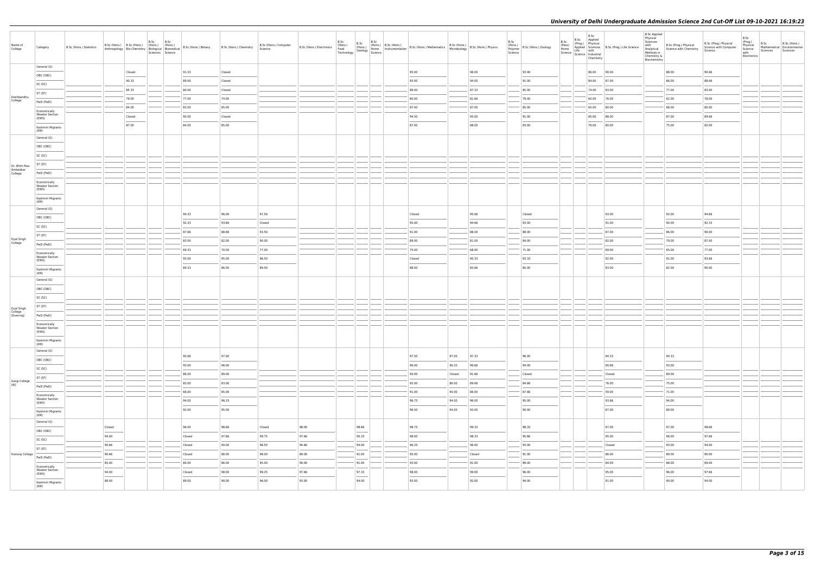| Name of<br>College                 | Category                                       | B.Sc (Hons.) Statistics |                                                                                                                                                                                                                                                                                                                                                                                                                                                                                     |        | B.Sc<br>B.Sc<br>B.Sc (Hons.) B.Sc (Hons.) (Hons.) (Hons.)<br>Sciences Science | Anthropology Bio-Chemistry Biological Biomedical B.Sc (Hons.) Botany | B.Sc (Hons.) Chemistry | B.Sc (Hons.) Computer<br>Science | B.Sc (Hons.) Electronics | B.Sc<br>B.Sc<br>(Hons.)<br>Food<br>(Hons.)<br>Food (Hons.) Home<br>Technology Geology Science                                                                                                                                                                                                                                                                                                                                                                                       | B.Sc |        | (Hons.) B.Sc (Hons.) B.Sc (Hons.) Mathematics B.Sc (Hons.) B.Sc (Hons.) Physics<br>Home Instrumentation B.Sc (Hons.) Mathematics Microbiology B.Sc (Hons.) Physics | B.Sc<br>(Hons.)<br>Polymer<br>Science | B.Sc (Hons.) Zoology | B.Sc<br>(Pass)<br>Home | B.Sc<br>Science   Science   Industrial<br>Chemistry | B.Sc Applied<br>(Prog.) Physical<br>Applied Sciences B.Sc (Prog.) Life Science<br>Life with | <b>B.Sc Applied</b><br>Physical<br>Sciences<br>with<br>Methods in<br>Chemistry &<br>Biochemistry | B.Sc (Prog.) Physical<br>Analytical Science with Chemistry | B.Sc (Prog.) Physical<br>Science with Computer<br>Science | B.Sc<br>(Prog.)<br>Physical<br>Science<br>with<br>Electronics | B.Sc<br>Sciences | B.Sc (Hons.)<br>Mathematical Environmental<br>Sciences |
|------------------------------------|------------------------------------------------|-------------------------|-------------------------------------------------------------------------------------------------------------------------------------------------------------------------------------------------------------------------------------------------------------------------------------------------------------------------------------------------------------------------------------------------------------------------------------------------------------------------------------|--------|-------------------------------------------------------------------------------|----------------------------------------------------------------------|------------------------|----------------------------------|--------------------------|-------------------------------------------------------------------------------------------------------------------------------------------------------------------------------------------------------------------------------------------------------------------------------------------------------------------------------------------------------------------------------------------------------------------------------------------------------------------------------------|------|--------|--------------------------------------------------------------------------------------------------------------------------------------------------------------------|---------------------------------------|----------------------|------------------------|-----------------------------------------------------|---------------------------------------------------------------------------------------------|--------------------------------------------------------------------------------------------------|------------------------------------------------------------|-----------------------------------------------------------|---------------------------------------------------------------|------------------|--------------------------------------------------------|
|                                    | General (G)                                    |                         |                                                                                                                                                                                                                                                                                                                                                                                                                                                                                     | Closed |                                                                               | 91.33                                                                | Closed                 |                                  |                          |                                                                                                                                                                                                                                                                                                                                                                                                                                                                                     |      | 95.00  | 96.00                                                                                                                                                              |                                       | 93.00                |                        | 86.00                                               | 90.00                                                                                       |                                                                                                  | 88.00                                                      | 90.66                                                     |                                                               |                  |                                                        |
|                                    | OBC (OBC)                                      |                         |                                                                                                                                                                                                                                                                                                                                                                                                                                                                                     | 90.33  |                                                                               | 89.00                                                                | Closed                 |                                  |                          |                                                                                                                                                                                                                                                                                                                                                                                                                                                                                     |      | 93.00  | 94.00                                                                                                                                                              |                                       | 91.00                |                        | 84.00 87.00                                         |                                                                                             |                                                                                                  | 86.00                                                      | 88.66                                                     |                                                               |                  |                                                        |
|                                    | SC (SC)                                        |                         |                                                                                                                                                                                                                                                                                                                                                                                                                                                                                     | 85.33  |                                                                               | 84.00                                                                | Closed                 |                                  |                          |                                                                                                                                                                                                                                                                                                                                                                                                                                                                                     |      | 89.00  | 87.33                                                                                                                                                              |                                       | 85.00                |                        | 74.00 83.00                                         |                                                                                             |                                                                                                  | 77.00                                                      | 83.00                                                     |                                                               |                  |                                                        |
| Deshbandhu<br>College              | ST (ST)                                        |                         |                                                                                                                                                                                                                                                                                                                                                                                                                                                                                     | 79.00  |                                                                               | 77.00                                                                | 74.00                  |                                  |                          |                                                                                                                                                                                                                                                                                                                                                                                                                                                                                     |      | 80.00  | 81.66                                                                                                                                                              |                                       | 79.00                |                        | 60.00 76.00                                         |                                                                                             |                                                                                                  | 62.00                                                      | 78.00                                                     |                                                               |                  |                                                        |
|                                    | PwD (PwD)                                      |                         |                                                                                                                                                                                                                                                                                                                                                                                                                                                                                     | 84.00  |                                                                               | 83.00                                                                | 85.00                  |                                  |                          |                                                                                                                                                                                                                                                                                                                                                                                                                                                                                     |      | 87.00  | 87.00                                                                                                                                                              |                                       | 85.00                |                        | 65.00 80.00                                         |                                                                                             |                                                                                                  | 68.00                                                      | 80.00                                                     |                                                               |                  |                                                        |
|                                    | Economically<br><b>Weaker Section</b><br>(EWS) |                         |                                                                                                                                                                                                                                                                                                                                                                                                                                                                                     | Closed |                                                                               | 90.00                                                                | Closed                 |                                  |                          |                                                                                                                                                                                                                                                                                                                                                                                                                                                                                     |      | 94.50  | 95.00                                                                                                                                                              |                                       | 91.00                |                        | 85.00 88.00                                         |                                                                                             |                                                                                                  | 87.00                                                      | 89.66                                                     |                                                               |                  |                                                        |
|                                    | Kashmiri Migrants                              |                         |                                                                                                                                                                                                                                                                                                                                                                                                                                                                                     | 87.00  |                                                                               | 84.00                                                                | 85.00                  |                                  |                          |                                                                                                                                                                                                                                                                                                                                                                                                                                                                                     |      | 87.00  | 88.00                                                                                                                                                              |                                       | 83.00                |                        | 76.00 80.00                                         |                                                                                             |                                                                                                  | 75.00                                                      | 82.00                                                     |                                                               |                  |                                                        |
|                                    | (KM)<br>General (G)                            |                         |                                                                                                                                                                                                                                                                                                                                                                                                                                                                                     |        |                                                                               |                                                                      |                        |                                  |                          |                                                                                                                                                                                                                                                                                                                                                                                                                                                                                     |      |        |                                                                                                                                                                    |                                       |                      |                        |                                                     |                                                                                             |                                                                                                  |                                                            |                                                           |                                                               |                  |                                                        |
|                                    | OBC (OBC)                                      |                         |                                                                                                                                                                                                                                                                                                                                                                                                                                                                                     |        |                                                                               |                                                                      |                        |                                  |                          |                                                                                                                                                                                                                                                                                                                                                                                                                                                                                     |      |        |                                                                                                                                                                    |                                       |                      |                        |                                                     |                                                                                             |                                                                                                  |                                                            |                                                           |                                                               |                  |                                                        |
|                                    | SC (SC)                                        |                         |                                                                                                                                                                                                                                                                                                                                                                                                                                                                                     |        |                                                                               |                                                                      |                        |                                  |                          |                                                                                                                                                                                                                                                                                                                                                                                                                                                                                     |      |        |                                                                                                                                                                    |                                       |                      |                        |                                                     |                                                                                             |                                                                                                  |                                                            |                                                           |                                                               |                  |                                                        |
| Dr. Bhim Rao                       | ST (ST)                                        |                         |                                                                                                                                                                                                                                                                                                                                                                                                                                                                                     |        |                                                                               |                                                                      |                        |                                  |                          |                                                                                                                                                                                                                                                                                                                                                                                                                                                                                     |      |        |                                                                                                                                                                    |                                       |                      |                        |                                                     |                                                                                             |                                                                                                  |                                                            |                                                           |                                                               |                  |                                                        |
| Ambedkar<br>College                | PwD (PwD)                                      |                         |                                                                                                                                                                                                                                                                                                                                                                                                                                                                                     |        |                                                                               |                                                                      |                        |                                  |                          |                                                                                                                                                                                                                                                                                                                                                                                                                                                                                     |      |        |                                                                                                                                                                    |                                       |                      |                        |                                                     |                                                                                             |                                                                                                  |                                                            |                                                           |                                                               |                  |                                                        |
|                                    | Economically<br><b>Weaker Section</b>          |                         |                                                                                                                                                                                                                                                                                                                                                                                                                                                                                     |        |                                                                               |                                                                      |                        |                                  |                          |                                                                                                                                                                                                                                                                                                                                                                                                                                                                                     |      |        |                                                                                                                                                                    |                                       |                      |                        |                                                     |                                                                                             |                                                                                                  |                                                            |                                                           |                                                               |                  |                                                        |
|                                    | (EWS)<br>Kashmiri Migrants                     |                         |                                                                                                                                                                                                                                                                                                                                                                                                                                                                                     |        |                                                                               |                                                                      |                        |                                  |                          |                                                                                                                                                                                                                                                                                                                                                                                                                                                                                     |      |        |                                                                                                                                                                    |                                       |                      |                        |                                                     |                                                                                             |                                                                                                  |                                                            |                                                           |                                                               |                  |                                                        |
|                                    | (KM)                                           |                         |                                                                                                                                                                                                                                                                                                                                                                                                                                                                                     |        |                                                                               |                                                                      |                        |                                  |                          |                                                                                                                                                                                                                                                                                                                                                                                                                                                                                     |      |        |                                                                                                                                                                    |                                       |                      |                        |                                                     |                                                                                             |                                                                                                  |                                                            |                                                           |                                                               |                  |                                                        |
|                                    | General (G)                                    |                         |                                                                                                                                                                                                                                                                                                                                                                                                                                                                                     |        |                                                                               | 94.33                                                                | 96.00                  | 97.50                            |                          |                                                                                                                                                                                                                                                                                                                                                                                                                                                                                     |      | Closed | 95.66                                                                                                                                                              |                                       | Closed               |                        |                                                     | 93.00                                                                                       |                                                                                                  | 92.00                                                      | 94.66                                                     |                                                               |                  |                                                        |
|                                    | OBC (OBC)                                      |                         |                                                                                                                                                                                                                                                                                                                                                                                                                                                                                     |        |                                                                               | 92.33                                                                | 93.66                  | Closed                           |                          |                                                                                                                                                                                                                                                                                                                                                                                                                                                                                     |      | 95.00  | 94.66                                                                                                                                                              |                                       | 93.00                |                        |                                                     | 91.00                                                                                       |                                                                                                  | 90.00                                                      | 92.33                                                     |                                                               |                  |                                                        |
|                                    | SC (SC)                                        |                         |                                                                                                                                                                                                                                                                                                                                                                                                                                                                                     |        |                                                                               | 87.66                                                                | 88.66                  | 93.50                            |                          |                                                                                                                                                                                                                                                                                                                                                                                                                                                                                     |      | 91.00  | 88.00                                                                                                                                                              |                                       | 88.00                |                        |                                                     | 87.00                                                                                       |                                                                                                  | 86.00                                                      | 90.00                                                     |                                                               |                  |                                                        |
| Dyal Singh<br>College              | ST (ST)                                        |                         |                                                                                                                                                                                                                                                                                                                                                                                                                                                                                     |        |                                                                               | 83.00                                                                | 82.00                  | 90.00                            |                          |                                                                                                                                                                                                                                                                                                                                                                                                                                                                                     |      | 89.00  | 81.00                                                                                                                                                              |                                       | 84.00                |                        |                                                     | 82.00                                                                                       |                                                                                                  | 79.00                                                      | 87.00                                                     |                                                               |                  |                                                        |
|                                    | PwD (PwD)                                      |                         |                                                                                                                                                                                                                                                                                                                                                                                                                                                                                     |        |                                                                               | 69.33                                                                | 70.00                  | 77.00                            |                          |                                                                                                                                                                                                                                                                                                                                                                                                                                                                                     |      | 75.00  | 68.00                                                                                                                                                              |                                       | 71.00                |                        |                                                     | 69.00                                                                                       |                                                                                                  | 65.00                                                      | 77.00                                                     |                                                               |                  |                                                        |
|                                    | Economically<br><b>Weaker Section</b><br>(EWS) |                         |                                                                                                                                                                                                                                                                                                                                                                                                                                                                                     |        |                                                                               | 93.00                                                                | 95.00                  | 96.50                            |                          |                                                                                                                                                                                                                                                                                                                                                                                                                                                                                     |      | Closed | 95.33                                                                                                                                                              |                                       | 93.33                |                        |                                                     | 92.00                                                                                       |                                                                                                  | 91.00                                                      | 93.66                                                     |                                                               |                  |                                                        |
|                                    | Kashmiri Migrants                              |                         |                                                                                                                                                                                                                                                                                                                                                                                                                                                                                     |        |                                                                               | 84.33                                                                | 86.00                  | 89.00                            |                          |                                                                                                                                                                                                                                                                                                                                                                                                                                                                                     |      | 88.00  | 85.66                                                                                                                                                              |                                       | 85.00                |                        |                                                     | 83.00                                                                                       |                                                                                                  | 82.00                                                      | 90.00                                                     |                                                               |                  |                                                        |
|                                    | (KM)<br>General (G)                            |                         |                                                                                                                                                                                                                                                                                                                                                                                                                                                                                     |        |                                                                               |                                                                      |                        |                                  |                          |                                                                                                                                                                                                                                                                                                                                                                                                                                                                                     |      |        |                                                                                                                                                                    |                                       |                      |                        |                                                     |                                                                                             |                                                                                                  |                                                            |                                                           |                                                               |                  |                                                        |
|                                    | OBC (OBC)                                      |                         |                                                                                                                                                                                                                                                                                                                                                                                                                                                                                     |        |                                                                               |                                                                      |                        |                                  |                          |                                                                                                                                                                                                                                                                                                                                                                                                                                                                                     |      |        |                                                                                                                                                                    |                                       |                      |                        |                                                     |                                                                                             |                                                                                                  |                                                            |                                                           |                                                               |                  |                                                        |
|                                    | SC (SC)                                        |                         |                                                                                                                                                                                                                                                                                                                                                                                                                                                                                     |        |                                                                               |                                                                      |                        |                                  |                          |                                                                                                                                                                                                                                                                                                                                                                                                                                                                                     |      |        |                                                                                                                                                                    |                                       |                      |                        |                                                     |                                                                                             |                                                                                                  |                                                            |                                                           |                                                               |                  |                                                        |
|                                    | ST (ST)                                        |                         |                                                                                                                                                                                                                                                                                                                                                                                                                                                                                     |        |                                                                               |                                                                      |                        |                                  |                          |                                                                                                                                                                                                                                                                                                                                                                                                                                                                                     |      |        |                                                                                                                                                                    |                                       |                      |                        |                                                     |                                                                                             |                                                                                                  |                                                            |                                                           |                                                               |                  |                                                        |
| Dyal Singh<br>College<br>(Evening) | PwD (PwD)                                      |                         |                                                                                                                                                                                                                                                                                                                                                                                                                                                                                     |        |                                                                               |                                                                      |                        |                                  |                          |                                                                                                                                                                                                                                                                                                                                                                                                                                                                                     |      |        |                                                                                                                                                                    |                                       |                      |                        |                                                     |                                                                                             |                                                                                                  |                                                            |                                                           |                                                               |                  |                                                        |
|                                    | Economically                                   |                         |                                                                                                                                                                                                                                                                                                                                                                                                                                                                                     |        |                                                                               |                                                                      |                        |                                  |                          |                                                                                                                                                                                                                                                                                                                                                                                                                                                                                     |      |        |                                                                                                                                                                    |                                       |                      |                        |                                                     |                                                                                             |                                                                                                  |                                                            |                                                           |                                                               |                  |                                                        |
|                                    | <b>Weaker Section</b><br>(EWS)                 |                         |                                                                                                                                                                                                                                                                                                                                                                                                                                                                                     |        |                                                                               |                                                                      |                        |                                  |                          |                                                                                                                                                                                                                                                                                                                                                                                                                                                                                     |      |        |                                                                                                                                                                    |                                       |                      |                        |                                                     |                                                                                             |                                                                                                  |                                                            |                                                           |                                                               |                  |                                                        |
|                                    | Kashmiri Migrants<br>(KM)                      |                         |                                                                                                                                                                                                                                                                                                                                                                                                                                                                                     |        |                                                                               |                                                                      |                        |                                  |                          |                                                                                                                                                                                                                                                                                                                                                                                                                                                                                     |      |        |                                                                                                                                                                    |                                       |                      |                        |                                                     |                                                                                             |                                                                                                  |                                                            |                                                           |                                                               |                  |                                                        |
|                                    | General (G)                                    |                         |                                                                                                                                                                                                                                                                                                                                                                                                                                                                                     |        |                                                                               | 95.66                                                                | 97.00                  |                                  |                          |                                                                                                                                                                                                                                                                                                                                                                                                                                                                                     |      | 97.50  | 97.00<br>97.33                                                                                                                                                     |                                       | 96.00                |                        |                                                     | 94.33                                                                                       |                                                                                                  | 94.33                                                      |                                                           |                                                               |                  |                                                        |
|                                    | OBC (OBC)                                      |                         |                                                                                                                                                                                                                                                                                                                                                                                                                                                                                     |        |                                                                               | 93.00                                                                | 96.00                  |                                  |                          |                                                                                                                                                                                                                                                                                                                                                                                                                                                                                     |      | 96.00  | 96.33<br>96.66                                                                                                                                                     |                                       | 94.00                |                        |                                                     | 90.66                                                                                       |                                                                                                  | 93.00                                                      |                                                           |                                                               |                  |                                                        |
|                                    | SC (SC)                                        |                         |                                                                                                                                                                                                                                                                                                                                                                                                                                                                                     |        |                                                                               | 86.00                                                                | 89.00                  |                                  |                          |                                                                                                                                                                                                                                                                                                                                                                                                                                                                                     |      | 93.00  | Closed<br>91.66                                                                                                                                                    |                                       | Closed               |                        |                                                     | Closed                                                                                      |                                                                                                  | 89.00                                                      |                                                           |                                                               |                  |                                                        |
| Gargi College<br>(W)               | ST (ST)                                        |                         |                                                                                                                                                                                                                                                                                                                                                                                                                                                                                     |        |                                                                               | 83.00                                                                | 83.00                  |                                  |                          |                                                                                                                                                                                                                                                                                                                                                                                                                                                                                     |      | 92.00  | 89.66<br>86.00                                                                                                                                                     |                                       | 84.66                |                        |                                                     | 76.00                                                                                       |                                                                                                  | 75.00                                                      |                                                           |                                                               |                  |                                                        |
|                                    | PwD (PwD)                                      |                         |                                                                                                                                                                                                                                                                                                                                                                                                                                                                                     |        |                                                                               | 66.00                                                                | 85.00                  |                                  |                          |                                                                                                                                                                                                                                                                                                                                                                                                                                                                                     |      | 91.00  | 86.00<br>90.00                                                                                                                                                     |                                       | 67.66                |                        |                                                     | 59.00                                                                                       |                                                                                                  | 71.00                                                      |                                                           |                                                               |                  |                                                        |
|                                    | Economically<br><b>Weaker Section</b><br>(EWS) |                         |                                                                                                                                                                                                                                                                                                                                                                                                                                                                                     |        |                                                                               | 94.00                                                                | 96.33                  |                                  |                          |                                                                                                                                                                                                                                                                                                                                                                                                                                                                                     |      | 96.75  | 94.00<br>96.00                                                                                                                                                     |                                       | 95.00                |                        |                                                     | 93.66                                                                                       |                                                                                                  | 94.00                                                      |                                                           |                                                               |                  |                                                        |
|                                    | Kashmiri Migrants                              |                         |                                                                                                                                                                                                                                                                                                                                                                                                                                                                                     |        |                                                                               | 92.00                                                                | 95.00                  |                                  |                          |                                                                                                                                                                                                                                                                                                                                                                                                                                                                                     |      | 96.50  | 94.00<br>93.00                                                                                                                                                     |                                       | 90.00                |                        |                                                     | 87.00                                                                                       |                                                                                                  | 89.00                                                      |                                                           |                                                               |                  |                                                        |
|                                    | (KM)                                           |                         |                                                                                                                                                                                                                                                                                                                                                                                                                                                                                     |        |                                                                               |                                                                      |                        |                                  |                          |                                                                                                                                                                                                                                                                                                                                                                                                                                                                                     |      |        |                                                                                                                                                                    |                                       |                      |                        |                                                     |                                                                                             |                                                                                                  |                                                            |                                                           |                                                               |                  |                                                        |
|                                    | General (G)                                    |                         | Closed                                                                                                                                                                                                                                                                                                                                                                                                                                                                              |        |                                                                               | 96.00                                                                | 98.66                  | Closed                           | 98.00                    | 98.66                                                                                                                                                                                                                                                                                                                                                                                                                                                                               |      | 98.75  | 99.33                                                                                                                                                              |                                       | 98.33                |                        |                                                     | 97.00                                                                                       |                                                                                                  | 97.00                                                      | 98.66                                                     |                                                               |                  |                                                        |
|                                    | OBC (OBC)                                      |                         | $\frac{1}{2} \left( \frac{1}{2} \right) \left( \frac{1}{2} \right) \left( \frac{1}{2} \right) \left( \frac{1}{2} \right) \left( \frac{1}{2} \right) \left( \frac{1}{2} \right) \left( \frac{1}{2} \right) \left( \frac{1}{2} \right) \left( \frac{1}{2} \right) \left( \frac{1}{2} \right) \left( \frac{1}{2} \right) \left( \frac{1}{2} \right) \left( \frac{1}{2} \right) \left( \frac{1}{2} \right) \left( \frac{1}{2} \right) \left( \frac{1}{2} \right) \left( \frac$<br>94.00 |        |                                                                               | Closed                                                               | 97.66                  | 99.75                            | 97.66                    | $\frac{1}{2} \left( \frac{1}{2} \right) \left( \frac{1}{2} \right) \left( \frac{1}{2} \right) \left( \frac{1}{2} \right) \left( \frac{1}{2} \right) \left( \frac{1}{2} \right) \left( \frac{1}{2} \right) \left( \frac{1}{2} \right) \left( \frac{1}{2} \right) \left( \frac{1}{2} \right) \left( \frac{1}{2} \right) \left( \frac{1}{2} \right) \left( \frac{1}{2} \right) \left( \frac{1}{2} \right) \left( \frac{1}{2} \right) \left( \frac{1}{2} \right) \left( \frac$<br>95.33 |      | 98.00  | 98.33                                                                                                                                                              |                                       | 95.66                |                        |                                                     | 95.00                                                                                       |                                                                                                  | 96.00                                                      | 97.66                                                     |                                                               |                  |                                                        |
|                                    | SC (SC)                                        |                         | 90.66                                                                                                                                                                                                                                                                                                                                                                                                                                                                               |        |                                                                               | Closed                                                               | 94.00                  | 98.50                            | 94.66                    | 94.00                                                                                                                                                                                                                                                                                                                                                                                                                                                                               |      | 96.25  | 96.00                                                                                                                                                              |                                       | 93.00                |                        |                                                     | Closed                                                                                      |                                                                                                  | 93.00                                                      | 94.00                                                     |                                                               |                  |                                                        |
| Hansraj College                    | ST (ST)                                        |                         | 90.66                                                                                                                                                                                                                                                                                                                                                                                                                                                                               |        |                                                                               | Closed                                                               | 88.00                  | 98.00                            | 89.00                    | 91.00                                                                                                                                                                                                                                                                                                                                                                                                                                                                               |      | 95.00  | Closed                                                                                                                                                             |                                       | 91.00                |                        |                                                     | 86.00                                                                                       |                                                                                                  | 89.00                                                      | 90.00                                                     |                                                               |                  |                                                        |
|                                    | PwD (PwD)<br>Economically                      |                         | 85.00                                                                                                                                                                                                                                                                                                                                                                                                                                                                               |        |                                                                               | 84.00                                                                | 86.00                  | 95.00                            | 90.00                    | 91.00                                                                                                                                                                                                                                                                                                                                                                                                                                                                               |      | 93.00  | 91.00                                                                                                                                                              |                                       | 89.00                |                        |                                                     | 84.00                                                                                       |                                                                                                  | 88.00                                                      | 89.00                                                     |                                                               |                  |                                                        |
|                                    | <b>Weaker Section</b><br>(EWS)                 |                         | 94.00                                                                                                                                                                                                                                                                                                                                                                                                                                                                               |        |                                                                               | Closed                                                               | 98.00                  | 99.25                            | 97.66                    | 97.33                                                                                                                                                                                                                                                                                                                                                                                                                                                                               |      | 98.00  | 99.00                                                                                                                                                              |                                       | 96.00                |                        |                                                     | 95.00                                                                                       |                                                                                                  | 96.00                                                      | 97.66                                                     |                                                               |                  |                                                        |
|                                    | Kashmiri Migrants<br>(KM)                      |                         | 88.00                                                                                                                                                                                                                                                                                                                                                                                                                                                                               |        |                                                                               | 89.00                                                                | 90.00                  | 96.00                            | 93.00                    | $\sim$<br>94.00                                                                                                                                                                                                                                                                                                                                                                                                                                                                     |      | 93.00  | 92.00                                                                                                                                                              |                                       | 94.00                |                        |                                                     | 91.00                                                                                       |                                                                                                  | 90.00                                                      | 94.00                                                     |                                                               |                  |                                                        |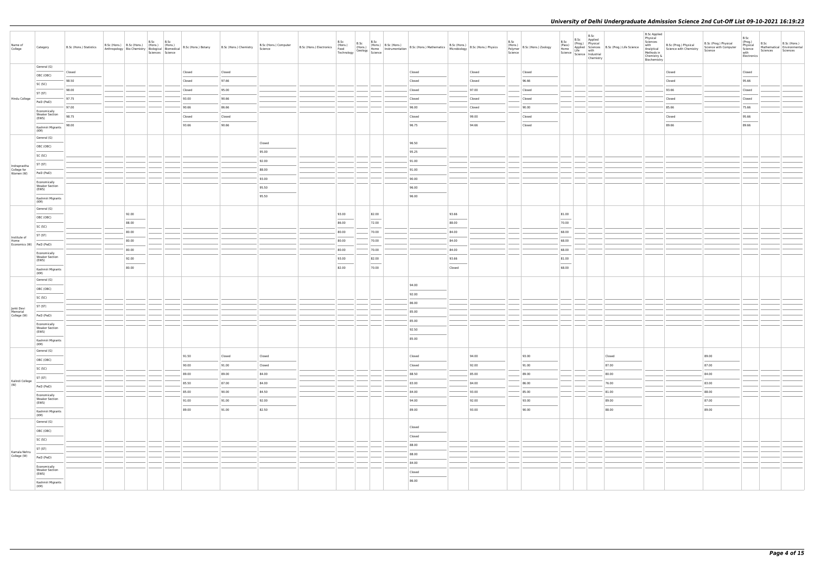| Name of<br>College                       | Category                                       | B.Sc (Hons.) Statistics |                 | B.Sc<br>B.Sc<br>Sciences Science |        | Anthropology   Bio-Chemistry   Thomas.   Thomas.   B.Sc (Hons.) Botany   B.Sc (Hons.) Chemistry   Anthropology   Bio-Chemistry   Biological   Biomedical   B.Sc (Hons.) Botany | B.Sc (Hons.) Computer<br>Science | B.Sc                              | B.Sc                              | B.Sc (Hons.) B.Sc (Hons.) B.Sc (Hons.)<br>B.Sc (Hons.) B.Sc (Hons.) B.Sc (Hons.) B.Sc (Hons.) Mathematics B.Sc (Hons.) Microbiology B.Sc (Hons.) Physics<br>Technology Geology Science Technology Science                                                                                                                                                                                                                                                                           |                                    |        | B.Sc<br>Science | (Hons.)<br>Polymer B.Sc (Hons.) Zoology | B.Sc<br>(Pass)<br>Home<br>Science   Live   Mustrial | B.Sc<br>Chemistry | B.Sc Applied<br>(Prog.) Physical<br>Applied Sciences<br>Life Science<br>Life With | B.Sc Applied<br>Physical<br>Sciences<br>with<br>Methods in<br>Chemistry &<br>Biochemistry | B.Sc (Prog.) Physical<br>Analytical Science with Chemistry | B.Sc (Prog.) Physical<br>Science with Computer<br>Science | B.Sc<br>(Prog.)<br>Physical<br>Science<br>with<br>Electronics                                                                                                                                                                                                                                                                                                                                                                                                                       | B.Sc<br>Sciences Sciences | B.Sc (Hons.)<br>Mathematical Environmental |
|------------------------------------------|------------------------------------------------|-------------------------|-----------------|----------------------------------|--------|--------------------------------------------------------------------------------------------------------------------------------------------------------------------------------|----------------------------------|-----------------------------------|-----------------------------------|-------------------------------------------------------------------------------------------------------------------------------------------------------------------------------------------------------------------------------------------------------------------------------------------------------------------------------------------------------------------------------------------------------------------------------------------------------------------------------------|------------------------------------|--------|-----------------|-----------------------------------------|-----------------------------------------------------|-------------------|-----------------------------------------------------------------------------------|-------------------------------------------------------------------------------------------|------------------------------------------------------------|-----------------------------------------------------------|-------------------------------------------------------------------------------------------------------------------------------------------------------------------------------------------------------------------------------------------------------------------------------------------------------------------------------------------------------------------------------------------------------------------------------------------------------------------------------------|---------------------------|--------------------------------------------|
|                                          | General (G)                                    | Closed                  |                 |                                  | Closed | Closed                                                                                                                                                                         |                                  |                                   |                                   | Closed                                                                                                                                                                                                                                                                                                                                                                                                                                                                              |                                    | Closed |                 | Closed                                  |                                                     |                   |                                                                                   |                                                                                           | Closed                                                     |                                                           | Closed                                                                                                                                                                                                                                                                                                                                                                                                                                                                              |                           |                                            |
|                                          | OBC (OBC)                                      | 98.50                   |                 |                                  | Closed | 97.66                                                                                                                                                                          |                                  |                                   |                                   | Closed                                                                                                                                                                                                                                                                                                                                                                                                                                                                              |                                    | Closed |                 | 96.66                                   |                                                     |                   |                                                                                   |                                                                                           | Closed                                                     |                                                           | $\frac{1}{2} \left( \frac{1}{2} \right) \left( \frac{1}{2} \right) \left( \frac{1}{2} \right) \left( \frac{1}{2} \right) \left( \frac{1}{2} \right) \left( \frac{1}{2} \right) \left( \frac{1}{2} \right) \left( \frac{1}{2} \right) \left( \frac{1}{2} \right) \left( \frac{1}{2} \right) \left( \frac{1}{2} \right) \left( \frac{1}{2} \right) \left( \frac{1}{2} \right) \left( \frac{1}{2} \right) \left( \frac{1}{2} \right) \left( \frac{1}{2} \right) \left( \frac$<br>95.66 |                           |                                            |
|                                          | SC (SC)                                        | 98.00                   |                 |                                  | Closed | 95.00                                                                                                                                                                          |                                  |                                   |                                   | Closed                                                                                                                                                                                                                                                                                                                                                                                                                                                                              |                                    | 97.00  |                 | Closed                                  |                                                     |                   |                                                                                   |                                                                                           | 93.66                                                      |                                                           | Closed                                                                                                                                                                                                                                                                                                                                                                                                                                                                              |                           |                                            |
| Hindu College                            | ST (ST)                                        | 97.75                   |                 |                                  | 93.00  | 90.66                                                                                                                                                                          |                                  |                                   |                                   | Closed                                                                                                                                                                                                                                                                                                                                                                                                                                                                              |                                    | Closed |                 | Closed                                  |                                                     |                   |                                                                                   |                                                                                           | Closed                                                     |                                                           | Closed                                                                                                                                                                                                                                                                                                                                                                                                                                                                              |                           |                                            |
|                                          | PwD (PwD)                                      | 97.00                   |                 |                                  | 90.66  | 86.66                                                                                                                                                                          |                                  |                                   |                                   | 96.00                                                                                                                                                                                                                                                                                                                                                                                                                                                                               |                                    | Closed |                 | 90.00                                   |                                                     |                   |                                                                                   |                                                                                           | 85.66                                                      |                                                           | 75.66                                                                                                                                                                                                                                                                                                                                                                                                                                                                               |                           |                                            |
|                                          | Economically<br><b>Weaker Section</b><br>(EWS) | 98.75                   |                 |                                  | Closed | Closed                                                                                                                                                                         |                                  |                                   |                                   | Closed                                                                                                                                                                                                                                                                                                                                                                                                                                                                              |                                    | 99.00  |                 | Closed                                  |                                                     |                   |                                                                                   |                                                                                           | Closed                                                     |                                                           | 95.66                                                                                                                                                                                                                                                                                                                                                                                                                                                                               |                           |                                            |
|                                          | Kashmiri Migrants                              | 98.00                   |                 |                                  | 93.66  | 90.66                                                                                                                                                                          |                                  |                                   |                                   | 96.75                                                                                                                                                                                                                                                                                                                                                                                                                                                                               |                                    | 94.66  |                 | Closed                                  |                                                     |                   |                                                                                   |                                                                                           | 89.66                                                      |                                                           | 89.66                                                                                                                                                                                                                                                                                                                                                                                                                                                                               |                           |                                            |
|                                          | (KM)<br>General (G)                            |                         |                 |                                  |        |                                                                                                                                                                                |                                  |                                   |                                   |                                                                                                                                                                                                                                                                                                                                                                                                                                                                                     |                                    |        |                 |                                         |                                                     |                   |                                                                                   |                                                                                           |                                                            |                                                           |                                                                                                                                                                                                                                                                                                                                                                                                                                                                                     |                           |                                            |
|                                          | OBC (OBC)                                      |                         |                 |                                  |        |                                                                                                                                                                                | Closed                           |                                   |                                   | 96.50                                                                                                                                                                                                                                                                                                                                                                                                                                                                               |                                    |        |                 |                                         |                                                     |                   |                                                                                   |                                                                                           |                                                            |                                                           |                                                                                                                                                                                                                                                                                                                                                                                                                                                                                     |                           |                                            |
|                                          | SC (SC)                                        |                         |                 |                                  |        |                                                                                                                                                                                | 95.00                            |                                   |                                   | 95.25                                                                                                                                                                                                                                                                                                                                                                                                                                                                               |                                    |        |                 |                                         |                                                     |                   |                                                                                   |                                                                                           |                                                            |                                                           |                                                                                                                                                                                                                                                                                                                                                                                                                                                                                     |                           |                                            |
|                                          | ST (ST)                                        |                         |                 |                                  |        |                                                                                                                                                                                | 92.00                            |                                   |                                   | 91.00                                                                                                                                                                                                                                                                                                                                                                                                                                                                               |                                    |        |                 |                                         |                                                     |                   |                                                                                   |                                                                                           |                                                            |                                                           |                                                                                                                                                                                                                                                                                                                                                                                                                                                                                     |                           |                                            |
| Indraprastha<br>College for<br>Women (W) | PwD (PwD)                                      |                         |                 |                                  |        |                                                                                                                                                                                | 88.00                            |                                   |                                   | 91.00                                                                                                                                                                                                                                                                                                                                                                                                                                                                               |                                    |        |                 |                                         |                                                     |                   |                                                                                   |                                                                                           |                                                            |                                                           |                                                                                                                                                                                                                                                                                                                                                                                                                                                                                     |                           |                                            |
|                                          | Economically                                   |                         |                 |                                  |        |                                                                                                                                                                                | 93.00                            |                                   |                                   | 90.00                                                                                                                                                                                                                                                                                                                                                                                                                                                                               |                                    |        |                 |                                         |                                                     |                   |                                                                                   |                                                                                           |                                                            |                                                           |                                                                                                                                                                                                                                                                                                                                                                                                                                                                                     |                           |                                            |
|                                          | <b>Weaker Section</b><br>(EWS)                 |                         |                 |                                  |        |                                                                                                                                                                                | 95.50                            |                                   |                                   | 96.00                                                                                                                                                                                                                                                                                                                                                                                                                                                                               |                                    |        |                 |                                         |                                                     |                   |                                                                                   |                                                                                           |                                                            |                                                           |                                                                                                                                                                                                                                                                                                                                                                                                                                                                                     |                           |                                            |
|                                          | Kashmiri Migrants<br>(KM)                      |                         |                 |                                  |        |                                                                                                                                                                                | 95.50                            |                                   |                                   | $\frac{1}{2} \left( \frac{1}{2} \right) \left( \frac{1}{2} \right) \left( \frac{1}{2} \right) \left( \frac{1}{2} \right) \left( \frac{1}{2} \right) \left( \frac{1}{2} \right) \left( \frac{1}{2} \right) \left( \frac{1}{2} \right) \left( \frac{1}{2} \right) \left( \frac{1}{2} \right) \left( \frac{1}{2} \right) \left( \frac{1}{2} \right) \left( \frac{1}{2} \right) \left( \frac{1}{2} \right) \left( \frac{1}{2} \right) \left( \frac{1}{2} \right) \left( \frac$<br>96.00 |                                    |        |                 |                                         |                                                     |                   |                                                                                   |                                                                                           |                                                            |                                                           |                                                                                                                                                                                                                                                                                                                                                                                                                                                                                     |                           |                                            |
|                                          | General (G)                                    |                         | 92.00           |                                  |        |                                                                                                                                                                                |                                  | 93.00                             | 82.00                             |                                                                                                                                                                                                                                                                                                                                                                                                                                                                                     | 93.66                              |        |                 |                                         | 81.00                                               |                   |                                                                                   |                                                                                           |                                                            |                                                           |                                                                                                                                                                                                                                                                                                                                                                                                                                                                                     |                           |                                            |
|                                          | OBC (OBC)                                      |                         | 88.00           |                                  |        |                                                                                                                                                                                |                                  | 86.00                             | $\overline{\phantom{a}}$<br>72.00 |                                                                                                                                                                                                                                                                                                                                                                                                                                                                                     | $\sim$ 100 $\mu$<br>88.00          |        |                 |                                         | $\sim$<br>70.00                                     |                   |                                                                                   |                                                                                           |                                                            |                                                           |                                                                                                                                                                                                                                                                                                                                                                                                                                                                                     |                           |                                            |
|                                          | SC (SC)                                        |                         | 80.00           |                                  |        |                                                                                                                                                                                |                                  | 80.00                             | 70.00                             |                                                                                                                                                                                                                                                                                                                                                                                                                                                                                     | 84.00                              |        |                 |                                         | 68.00                                               |                   |                                                                                   |                                                                                           |                                                            |                                                           |                                                                                                                                                                                                                                                                                                                                                                                                                                                                                     |                           |                                            |
| Institute of<br>Home                     | ST (ST)                                        |                         | 80.00           |                                  |        |                                                                                                                                                                                |                                  | 80.00                             | 70.00                             |                                                                                                                                                                                                                                                                                                                                                                                                                                                                                     | 84.00                              |        |                 |                                         | 68.00                                               |                   |                                                                                   |                                                                                           |                                                            |                                                           |                                                                                                                                                                                                                                                                                                                                                                                                                                                                                     |                           |                                            |
| Economics (W) PwD (PwD)                  |                                                |                         | 80.00           |                                  |        |                                                                                                                                                                                |                                  | 80.00                             | 70.00                             |                                                                                                                                                                                                                                                                                                                                                                                                                                                                                     | 84.00                              |        |                 |                                         | 68.00                                               |                   |                                                                                   |                                                                                           |                                                            |                                                           |                                                                                                                                                                                                                                                                                                                                                                                                                                                                                     |                           |                                            |
|                                          | Economically<br><b>Weaker Section</b>          |                         | 92.00           |                                  |        |                                                                                                                                                                                |                                  | 93.00                             | 82.00                             |                                                                                                                                                                                                                                                                                                                                                                                                                                                                                     | 93.66                              |        |                 |                                         | 81.00                                               |                   |                                                                                   |                                                                                           |                                                            |                                                           |                                                                                                                                                                                                                                                                                                                                                                                                                                                                                     |                           |                                            |
|                                          | (EWS)                                          |                         | $\sim$<br>80.00 |                                  |        |                                                                                                                                                                                |                                  | $\overline{\phantom{a}}$<br>82.00 | $\overline{\phantom{a}}$<br>70.00 |                                                                                                                                                                                                                                                                                                                                                                                                                                                                                     | $\overline{\phantom{a}}$<br>Closed |        |                 |                                         | $\overline{\phantom{a}}$<br>68.00                   |                   |                                                                                   |                                                                                           |                                                            |                                                           |                                                                                                                                                                                                                                                                                                                                                                                                                                                                                     |                           |                                            |
|                                          | Kashmiri Migrants<br>(KM)                      |                         |                 |                                  |        |                                                                                                                                                                                |                                  |                                   |                                   |                                                                                                                                                                                                                                                                                                                                                                                                                                                                                     |                                    |        |                 |                                         |                                                     |                   |                                                                                   |                                                                                           |                                                            |                                                           |                                                                                                                                                                                                                                                                                                                                                                                                                                                                                     |                           |                                            |
|                                          | General (G)                                    |                         |                 |                                  |        |                                                                                                                                                                                |                                  |                                   |                                   | 94.00                                                                                                                                                                                                                                                                                                                                                                                                                                                                               |                                    |        |                 |                                         |                                                     |                   |                                                                                   |                                                                                           |                                                            |                                                           |                                                                                                                                                                                                                                                                                                                                                                                                                                                                                     |                           |                                            |
|                                          | OBC (OBC)                                      |                         |                 |                                  |        |                                                                                                                                                                                |                                  |                                   |                                   | 92.00                                                                                                                                                                                                                                                                                                                                                                                                                                                                               |                                    |        |                 |                                         |                                                     |                   |                                                                                   |                                                                                           |                                                            |                                                           |                                                                                                                                                                                                                                                                                                                                                                                                                                                                                     |                           |                                            |
|                                          | SC (SC)                                        |                         |                 |                                  |        |                                                                                                                                                                                |                                  |                                   |                                   | 86.00                                                                                                                                                                                                                                                                                                                                                                                                                                                                               |                                    |        |                 |                                         |                                                     |                   |                                                                                   |                                                                                           |                                                            |                                                           |                                                                                                                                                                                                                                                                                                                                                                                                                                                                                     |                           |                                            |
| Janki Devi<br>Memorial                   | ST (ST)                                        |                         |                 |                                  |        |                                                                                                                                                                                |                                  |                                   |                                   | 85.00                                                                                                                                                                                                                                                                                                                                                                                                                                                                               |                                    |        |                 |                                         |                                                     |                   |                                                                                   |                                                                                           |                                                            |                                                           |                                                                                                                                                                                                                                                                                                                                                                                                                                                                                     |                           |                                            |
| College (W)                              | PwD (PwD)                                      |                         |                 |                                  |        |                                                                                                                                                                                |                                  |                                   |                                   | 85.00                                                                                                                                                                                                                                                                                                                                                                                                                                                                               |                                    |        |                 |                                         |                                                     |                   |                                                                                   |                                                                                           |                                                            |                                                           |                                                                                                                                                                                                                                                                                                                                                                                                                                                                                     |                           |                                            |
|                                          | Economically<br><b>Weaker Section</b><br>(EWS) |                         |                 |                                  |        |                                                                                                                                                                                |                                  |                                   |                                   | 92.50                                                                                                                                                                                                                                                                                                                                                                                                                                                                               |                                    |        |                 |                                         |                                                     |                   |                                                                                   |                                                                                           |                                                            |                                                           |                                                                                                                                                                                                                                                                                                                                                                                                                                                                                     |                           |                                            |
|                                          | Kashmiri Migrants                              |                         |                 |                                  |        |                                                                                                                                                                                |                                  |                                   |                                   | 85.00                                                                                                                                                                                                                                                                                                                                                                                                                                                                               |                                    |        |                 |                                         |                                                     |                   |                                                                                   |                                                                                           |                                                            |                                                           |                                                                                                                                                                                                                                                                                                                                                                                                                                                                                     |                           |                                            |
|                                          | (KM)<br>General (G)                            |                         |                 |                                  |        |                                                                                                                                                                                |                                  |                                   |                                   |                                                                                                                                                                                                                                                                                                                                                                                                                                                                                     |                                    |        |                 |                                         |                                                     |                   |                                                                                   |                                                                                           |                                                            |                                                           |                                                                                                                                                                                                                                                                                                                                                                                                                                                                                     |                           |                                            |
|                                          | OBC (OBC)                                      |                         |                 |                                  | 91.50  | Closed                                                                                                                                                                         | Closed                           |                                   |                                   | Closed                                                                                                                                                                                                                                                                                                                                                                                                                                                                              |                                    | 94.00  |                 | 93.00                                   |                                                     |                   | Closed                                                                            |                                                                                           |                                                            | 89.00                                                     |                                                                                                                                                                                                                                                                                                                                                                                                                                                                                     |                           |                                            |
|                                          | SC (SC)                                        |                         |                 |                                  | 90.00  | 91.00                                                                                                                                                                          | Closed                           |                                   |                                   | Closed                                                                                                                                                                                                                                                                                                                                                                                                                                                                              |                                    | 92.00  |                 | 91.00                                   |                                                     |                   | 87.00                                                                             |                                                                                           |                                                            | 87.00                                                     |                                                                                                                                                                                                                                                                                                                                                                                                                                                                                     |                           |                                            |
|                                          | ST (ST)                                        |                         |                 |                                  | 89.00  | 89.00                                                                                                                                                                          | 84.00                            |                                   |                                   | 88.50                                                                                                                                                                                                                                                                                                                                                                                                                                                                               |                                    | 85.00  |                 | 89.00                                   |                                                     |                   | 80.00                                                                             |                                                                                           |                                                            | 84.00                                                     |                                                                                                                                                                                                                                                                                                                                                                                                                                                                                     |                           |                                            |
| Kalindi College<br>(W)                   | PwD (PwD)                                      |                         |                 |                                  | 85.50  | 87.00                                                                                                                                                                          | 84.00                            |                                   |                                   | 83.00                                                                                                                                                                                                                                                                                                                                                                                                                                                                               |                                    | 84.00  |                 | 86.00                                   |                                                     |                   | 76.00                                                                             |                                                                                           |                                                            | 83.00                                                     |                                                                                                                                                                                                                                                                                                                                                                                                                                                                                     |                           |                                            |
|                                          | Economically                                   |                         |                 |                                  | 85.00  | 90.00                                                                                                                                                                          | 84.50                            |                                   |                                   | 84.00                                                                                                                                                                                                                                                                                                                                                                                                                                                                               |                                    | 93.00  |                 | 85.00                                   |                                                     |                   | 81.00                                                                             |                                                                                           |                                                            | 88.00                                                     |                                                                                                                                                                                                                                                                                                                                                                                                                                                                                     |                           |                                            |
|                                          | <b>Weaker Section</b><br>(EWS)                 |                         |                 |                                  | 91.00  | 91.00                                                                                                                                                                          | 92.00                            |                                   |                                   | 94.00                                                                                                                                                                                                                                                                                                                                                                                                                                                                               |                                    | 92.00  |                 | 93.00                                   |                                                     |                   | 89.00<br>$\sim$                                                                   |                                                                                           |                                                            | 87.00                                                     |                                                                                                                                                                                                                                                                                                                                                                                                                                                                                     |                           |                                            |
|                                          | Kashmiri Migrants<br>(KM)                      |                         |                 |                                  | 89.00  | 91.00                                                                                                                                                                          | 82.50                            |                                   |                                   | 89.00                                                                                                                                                                                                                                                                                                                                                                                                                                                                               |                                    | 93.00  |                 | 90.00                                   |                                                     |                   | 88.00                                                                             |                                                                                           |                                                            | 89.00                                                     |                                                                                                                                                                                                                                                                                                                                                                                                                                                                                     |                           |                                            |
|                                          | General (G)                                    |                         |                 |                                  |        |                                                                                                                                                                                |                                  |                                   |                                   |                                                                                                                                                                                                                                                                                                                                                                                                                                                                                     |                                    |        |                 |                                         |                                                     |                   |                                                                                   |                                                                                           |                                                            |                                                           |                                                                                                                                                                                                                                                                                                                                                                                                                                                                                     |                           |                                            |
|                                          | OBC (OBC)                                      |                         |                 |                                  |        |                                                                                                                                                                                |                                  |                                   |                                   | Closed                                                                                                                                                                                                                                                                                                                                                                                                                                                                              |                                    |        |                 |                                         |                                                     |                   |                                                                                   |                                                                                           |                                                            |                                                           |                                                                                                                                                                                                                                                                                                                                                                                                                                                                                     |                           |                                            |
|                                          | SC (SC)                                        |                         |                 |                                  |        |                                                                                                                                                                                |                                  |                                   |                                   | Closed                                                                                                                                                                                                                                                                                                                                                                                                                                                                              |                                    |        |                 |                                         |                                                     |                   |                                                                                   |                                                                                           |                                                            |                                                           |                                                                                                                                                                                                                                                                                                                                                                                                                                                                                     |                           |                                            |
| Kamala Nehru                             | ST (ST)                                        |                         |                 |                                  |        |                                                                                                                                                                                |                                  |                                   |                                   | 88.00                                                                                                                                                                                                                                                                                                                                                                                                                                                                               |                                    |        |                 |                                         |                                                     |                   |                                                                                   |                                                                                           |                                                            |                                                           |                                                                                                                                                                                                                                                                                                                                                                                                                                                                                     |                           |                                            |
| College (W)                              | PwD (PwD)                                      |                         |                 |                                  |        |                                                                                                                                                                                |                                  |                                   |                                   | 88.00                                                                                                                                                                                                                                                                                                                                                                                                                                                                               |                                    |        |                 |                                         |                                                     |                   |                                                                                   |                                                                                           |                                                            |                                                           |                                                                                                                                                                                                                                                                                                                                                                                                                                                                                     |                           |                                            |
|                                          | Economically<br>Weaker Section                 |                         |                 |                                  |        |                                                                                                                                                                                |                                  |                                   |                                   | 84.00                                                                                                                                                                                                                                                                                                                                                                                                                                                                               |                                    |        |                 |                                         |                                                     |                   |                                                                                   |                                                                                           |                                                            |                                                           |                                                                                                                                                                                                                                                                                                                                                                                                                                                                                     |                           |                                            |
|                                          | (EWS)                                          |                         |                 |                                  |        |                                                                                                                                                                                |                                  |                                   |                                   | Closed                                                                                                                                                                                                                                                                                                                                                                                                                                                                              |                                    |        |                 |                                         |                                                     |                   |                                                                                   |                                                                                           |                                                            |                                                           |                                                                                                                                                                                                                                                                                                                                                                                                                                                                                     |                           |                                            |
|                                          | Kashmiri Migrants<br>(KM)                      |                         |                 |                                  |        |                                                                                                                                                                                |                                  |                                   |                                   | 86.00                                                                                                                                                                                                                                                                                                                                                                                                                                                                               |                                    |        |                 |                                         |                                                     |                   |                                                                                   |                                                                                           |                                                            |                                                           |                                                                                                                                                                                                                                                                                                                                                                                                                                                                                     |                           |                                            |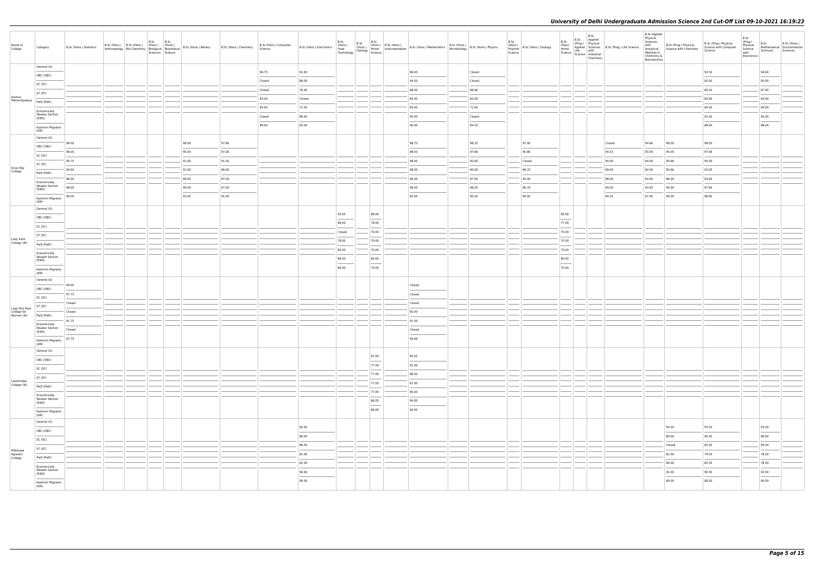| General (G)<br>93.50<br>96.75<br>91.00<br>96.00<br>94.00<br>Closed<br>OBC (OBC)<br>92.00<br>Closed<br>88.00<br>94.50<br>Closed<br>93.00<br>SC (SC)<br>86.66<br>85.50<br>87.00<br>76.00<br>88.00<br>Closed<br>ST (ST)<br>Keshav<br>83.00<br>85.00<br>82.00<br>84.00<br>84.00<br>Closed<br>Mahavidyalaya<br>PwD (PwD)<br>84.00<br>84.50<br>84.00<br>72.00<br>85.00<br>71.00<br>Economically<br><b>Weaker Section</b><br>92.50<br>93.50<br>89.00<br>95.00<br>Closed<br>Closed<br>(EWS)<br>84.33<br>88.00<br>88.00<br>89.00<br>83.00<br>90.00<br>Kashmiri Migrants<br>(KM)<br>General (G)<br>96.00<br>97.66<br>98.75<br>98.33<br>97.00<br>94.66<br>98.00<br>99.00<br>Closed<br>96.00<br>OBC (OBC)<br>95.00<br>97.66<br>97.66<br>98.00<br>97.00<br>98.50<br>95.66<br>94.33<br>93.00<br>95.00<br>SC (SC)<br>91.00<br>91.00<br>98.00<br>92.00<br>84.00<br>90.66<br>95.00<br>95.75<br>Closed<br>90.00<br>ST (ST)<br>Kirori Mal<br>College<br>91.00<br>94.50<br>86.00<br>98.00<br>90.00<br>89.33<br>89.00<br>82.00<br>85.66<br>93.00<br>PwD (PwD)<br>87.00<br>96.50<br>89.00<br>87.00<br>96.00<br>92.00<br>88.00<br>84.00<br>86.00<br>93.00<br>Economically<br><b>Weaker Section</b><br>98.00<br>94.00<br>97.00<br>98.50<br>98.00<br>96.33<br>94.00<br>93.00<br>94.00<br>97.66<br>(EWS)<br>93.00<br>96.00<br>91.00<br>95.00<br>95.00<br>94.00<br>94.33<br>96.00<br>87.00<br>90.00<br>Kashmiri Migrants<br>(KM)<br>General (G)<br>93.00<br>86.00<br>85.00<br>OBC (OBC)<br>$\overline{\phantom{a}}$<br>$\overline{a}$<br>77.00<br>86.00<br>78.00<br>SC (SC)<br>70.00<br>70.00<br>Closed<br>ST (ST)<br>Lady Irwin<br>78.00<br>70.00<br>70.00<br>College (W)<br>PwD (PwD)<br>$\sim$<br>70.00<br>80.00<br>70.00<br>Economically<br><b>Weaker Section</b><br>80.00<br>80.00<br>86.00<br>(EWS)<br>$\overline{\phantom{a}}$<br>$\overline{\phantom{a}}$<br>$\frac{1}{2}$<br>70.00<br>80.00<br>70.00<br>Kashmiri Migrants<br>(KM)<br>General (G)<br>99.00<br>Closed<br>OBC (OBC)<br>97.75<br>Closed<br>SC (SC)<br>Closed<br>Closed<br>ST (ST)<br>Lady Shri Ram<br>92.00<br>College for<br>Women (W)<br>Closed<br>PwD (PwD)<br>91.75<br>91.00<br>Economically<br><b>Weaker Section</b><br>Closed<br>Closed<br>(EWS)<br>94.00<br>Kashmiri Migrants 97.75<br>(KM)<br>General (G)<br>87.00<br>95.50<br>OBC (OBC)<br>$\frac{1}{2} \left( \frac{1}{2} \right) \left( \frac{1}{2} \right) \left( \frac{1}{2} \right) \left( \frac{1}{2} \right) \left( \frac{1}{2} \right) \left( \frac{1}{2} \right) \left( \frac{1}{2} \right) \left( \frac{1}{2} \right) \left( \frac{1}{2} \right) \left( \frac{1}{2} \right) \left( \frac{1}{2} \right) \left( \frac{1}{2} \right) \left( \frac{1}{2} \right) \left( \frac{1}{2} \right) \left( \frac{1}{2} \right) \left( \frac{1}{2} \right) \left( \frac$<br>77.00<br>91.50<br>SC (SC)<br>77.00<br>88.00<br>ST (ST)<br>Lakshmibai<br>77.00<br>87.00<br>College (W)<br>PwD (PwD)<br>77.00<br>90.00<br>Economically<br><b>Weaker Section</b><br>86.00<br>94.00<br>(EWS)<br>$\overline{\phantom{a}}$<br>86.00<br>94.00<br>Kashmiri Migrants<br>(KM)<br>General (G)<br>92.00<br>92.00<br>93.50<br>93.00<br>OBC (OBC)<br>89.00<br>89.00<br>90.50<br>89.00<br>SC (SC)<br>86.00<br>Closed<br>82.50<br>84.50<br>ST (ST)<br>Maharaja<br>Agrasen<br>College<br>81.00<br>81.00<br>79.50<br>78.50<br>PwD (PwD)<br>81.00<br>84.00<br>82.50<br>78.50<br>Economically<br><b>Weaker Section</b><br>90.50<br>92.00<br>90.00<br>91.00<br>(EWS)<br>$\frac{1}{2} \left( \frac{1}{2} \right) \left( \frac{1}{2} \right) \left( \frac{1}{2} \right) \left( \frac{1}{2} \right) \left( \frac{1}{2} \right) \left( \frac{1}{2} \right) \left( \frac{1}{2} \right) \left( \frac{1}{2} \right) \left( \frac{1}{2} \right) \left( \frac{1}{2} \right) \left( \frac{1}{2} \right) \left( \frac{1}{2} \right) \left( \frac{1}{2} \right) \left( \frac{1}{2} \right) \left( \frac{1}{2} \right) \left( \frac{1}{2} \right) \left( \frac$<br>90.00<br>90.00<br>89.00<br>88.50<br>Kashmiri Migrants | Name of<br>College | Category | B.Sc (Hons.) Statistics | B.Sc (Hons.) B.Sc (Hons.) (Hons.) (Hons.) | B.Sc B.Sc<br>Sciences Science |  | Anthropology   Bio-Chemistry   Mons.)   (Hons.)   B.Sc (Hons.) Botany   B.Sc (Hons.) Chemistry   Anthropology   Bio-Chemistry   Biological   Biomedical   B.Sc (Hons.) Botany   B.Sc (Hons.) Chemistry | B.Sc (Hons.) Computer<br>Science | B.Sc (Hons.) Electronics (Hons.) | B.Sc<br>Food<br>Technology Geology Home<br>Science | B.Sc | B.Sc | B.Sc (Hons.) B.Sc (Hons.)<br>(Honne Instrumentation B.Sc (Hons.) Mathematics B.Sc (Hons.) B.Sc (Hons.) Physics<br>(Geology Home Instrumentation B.Sc (Hons.) Mathematics Microbiology | B.Sc<br>Science | (Hons.)<br>Polymer B.Sc (Hons.) Zoology | B.Sc<br>(Pass)<br>Home | B.Sc<br>B.Sc Applied<br>(Prog.) Physical<br>Science   Lite<br>  Science   Industrial<br>Chemistry | Applied Sciences B.Sc (Prog.) Life Science<br>Life with | B.Sc Applied<br>Physical<br>Sciences<br>with<br>Chemistry &<br>Biochemistry | B.Sc (Prog.) Physical<br>Analytical Science with Chemistry | B.Sc (Prog.) Physical<br>Science with Computer<br>Science | B.Sc<br>(Prog.)<br>Physical<br>Science<br>with<br>Electronics | B.Sc<br>Sciences | B.Sc (Hons.)<br>Mathematical Environmental<br>Sciences |
|------------------------------------------------------------------------------------------------------------------------------------------------------------------------------------------------------------------------------------------------------------------------------------------------------------------------------------------------------------------------------------------------------------------------------------------------------------------------------------------------------------------------------------------------------------------------------------------------------------------------------------------------------------------------------------------------------------------------------------------------------------------------------------------------------------------------------------------------------------------------------------------------------------------------------------------------------------------------------------------------------------------------------------------------------------------------------------------------------------------------------------------------------------------------------------------------------------------------------------------------------------------------------------------------------------------------------------------------------------------------------------------------------------------------------------------------------------------------------------------------------------------------------------------------------------------------------------------------------------------------------------------------------------------------------------------------------------------------------------------------------------------------------------------------------------------------------------------------------------------------------------------------------------------------------------------------------------------------------------------------------------------------------------------------------------------------------------------------------------------------------------------------------------------------------------------------------------------------------------------------------------------------------------------------------------------------------------------------------------------------------------------------------------------------------------------------------------------------------------------------------------------------------------------------------------------------------------------------------------------------------------------------------------------------------------------------------------------------------------------------------------------------------------------------------------------------------------------------------------------------------------------------------------------------------------------------------------------------------------------------------------------------------------------------------------------------------------------------------------------------------------------------------------------------------------------------------------------------------------------------------------------------------------------------------------------------------------------------------------------------------------------------------------------------------------------------------------------------------------------------------------------------------------------------------------------------------------------------------------------------------------------------------------------------------------------------------------------------------------------------------------------------------------------------------------------------------------------------------------------------------------------------------------------------------------------------------------------------------------|--------------------|----------|-------------------------|-------------------------------------------|-------------------------------|--|--------------------------------------------------------------------------------------------------------------------------------------------------------------------------------------------------------|----------------------------------|----------------------------------|----------------------------------------------------|------|------|---------------------------------------------------------------------------------------------------------------------------------------------------------------------------------------|-----------------|-----------------------------------------|------------------------|---------------------------------------------------------------------------------------------------|---------------------------------------------------------|-----------------------------------------------------------------------------|------------------------------------------------------------|-----------------------------------------------------------|---------------------------------------------------------------|------------------|--------------------------------------------------------|
|                                                                                                                                                                                                                                                                                                                                                                                                                                                                                                                                                                                                                                                                                                                                                                                                                                                                                                                                                                                                                                                                                                                                                                                                                                                                                                                                                                                                                                                                                                                                                                                                                                                                                                                                                                                                                                                                                                                                                                                                                                                                                                                                                                                                                                                                                                                                                                                                                                                                                                                                                                                                                                                                                                                                                                                                                                                                                                                                                                                                                                                                                                                                                                                                                                                                                                                                                                                                                                                                                                                                                                                                                                                                                                                                                                                                                                                                                                                                                                                    |                    |          |                         |                                           |                               |  |                                                                                                                                                                                                        |                                  |                                  |                                                    |      |      |                                                                                                                                                                                       |                 |                                         |                        |                                                                                                   |                                                         |                                                                             |                                                            |                                                           |                                                               |                  |                                                        |
|                                                                                                                                                                                                                                                                                                                                                                                                                                                                                                                                                                                                                                                                                                                                                                                                                                                                                                                                                                                                                                                                                                                                                                                                                                                                                                                                                                                                                                                                                                                                                                                                                                                                                                                                                                                                                                                                                                                                                                                                                                                                                                                                                                                                                                                                                                                                                                                                                                                                                                                                                                                                                                                                                                                                                                                                                                                                                                                                                                                                                                                                                                                                                                                                                                                                                                                                                                                                                                                                                                                                                                                                                                                                                                                                                                                                                                                                                                                                                                                    |                    |          |                         |                                           |                               |  |                                                                                                                                                                                                        |                                  |                                  |                                                    |      |      |                                                                                                                                                                                       |                 |                                         |                        |                                                                                                   |                                                         |                                                                             |                                                            |                                                           |                                                               |                  |                                                        |
|                                                                                                                                                                                                                                                                                                                                                                                                                                                                                                                                                                                                                                                                                                                                                                                                                                                                                                                                                                                                                                                                                                                                                                                                                                                                                                                                                                                                                                                                                                                                                                                                                                                                                                                                                                                                                                                                                                                                                                                                                                                                                                                                                                                                                                                                                                                                                                                                                                                                                                                                                                                                                                                                                                                                                                                                                                                                                                                                                                                                                                                                                                                                                                                                                                                                                                                                                                                                                                                                                                                                                                                                                                                                                                                                                                                                                                                                                                                                                                                    |                    |          |                         |                                           |                               |  |                                                                                                                                                                                                        |                                  |                                  |                                                    |      |      |                                                                                                                                                                                       |                 |                                         |                        |                                                                                                   |                                                         |                                                                             |                                                            |                                                           |                                                               |                  |                                                        |
|                                                                                                                                                                                                                                                                                                                                                                                                                                                                                                                                                                                                                                                                                                                                                                                                                                                                                                                                                                                                                                                                                                                                                                                                                                                                                                                                                                                                                                                                                                                                                                                                                                                                                                                                                                                                                                                                                                                                                                                                                                                                                                                                                                                                                                                                                                                                                                                                                                                                                                                                                                                                                                                                                                                                                                                                                                                                                                                                                                                                                                                                                                                                                                                                                                                                                                                                                                                                                                                                                                                                                                                                                                                                                                                                                                                                                                                                                                                                                                                    |                    |          |                         |                                           |                               |  |                                                                                                                                                                                                        |                                  |                                  |                                                    |      |      |                                                                                                                                                                                       |                 |                                         |                        |                                                                                                   |                                                         |                                                                             |                                                            |                                                           |                                                               |                  |                                                        |
|                                                                                                                                                                                                                                                                                                                                                                                                                                                                                                                                                                                                                                                                                                                                                                                                                                                                                                                                                                                                                                                                                                                                                                                                                                                                                                                                                                                                                                                                                                                                                                                                                                                                                                                                                                                                                                                                                                                                                                                                                                                                                                                                                                                                                                                                                                                                                                                                                                                                                                                                                                                                                                                                                                                                                                                                                                                                                                                                                                                                                                                                                                                                                                                                                                                                                                                                                                                                                                                                                                                                                                                                                                                                                                                                                                                                                                                                                                                                                                                    |                    |          |                         |                                           |                               |  |                                                                                                                                                                                                        |                                  |                                  |                                                    |      |      |                                                                                                                                                                                       |                 |                                         |                        |                                                                                                   |                                                         |                                                                             |                                                            |                                                           |                                                               |                  |                                                        |
|                                                                                                                                                                                                                                                                                                                                                                                                                                                                                                                                                                                                                                                                                                                                                                                                                                                                                                                                                                                                                                                                                                                                                                                                                                                                                                                                                                                                                                                                                                                                                                                                                                                                                                                                                                                                                                                                                                                                                                                                                                                                                                                                                                                                                                                                                                                                                                                                                                                                                                                                                                                                                                                                                                                                                                                                                                                                                                                                                                                                                                                                                                                                                                                                                                                                                                                                                                                                                                                                                                                                                                                                                                                                                                                                                                                                                                                                                                                                                                                    |                    |          |                         |                                           |                               |  |                                                                                                                                                                                                        |                                  |                                  |                                                    |      |      |                                                                                                                                                                                       |                 |                                         |                        |                                                                                                   |                                                         |                                                                             |                                                            |                                                           |                                                               |                  |                                                        |
|                                                                                                                                                                                                                                                                                                                                                                                                                                                                                                                                                                                                                                                                                                                                                                                                                                                                                                                                                                                                                                                                                                                                                                                                                                                                                                                                                                                                                                                                                                                                                                                                                                                                                                                                                                                                                                                                                                                                                                                                                                                                                                                                                                                                                                                                                                                                                                                                                                                                                                                                                                                                                                                                                                                                                                                                                                                                                                                                                                                                                                                                                                                                                                                                                                                                                                                                                                                                                                                                                                                                                                                                                                                                                                                                                                                                                                                                                                                                                                                    |                    |          |                         |                                           |                               |  |                                                                                                                                                                                                        |                                  |                                  |                                                    |      |      |                                                                                                                                                                                       |                 |                                         |                        |                                                                                                   |                                                         |                                                                             |                                                            |                                                           |                                                               |                  |                                                        |
|                                                                                                                                                                                                                                                                                                                                                                                                                                                                                                                                                                                                                                                                                                                                                                                                                                                                                                                                                                                                                                                                                                                                                                                                                                                                                                                                                                                                                                                                                                                                                                                                                                                                                                                                                                                                                                                                                                                                                                                                                                                                                                                                                                                                                                                                                                                                                                                                                                                                                                                                                                                                                                                                                                                                                                                                                                                                                                                                                                                                                                                                                                                                                                                                                                                                                                                                                                                                                                                                                                                                                                                                                                                                                                                                                                                                                                                                                                                                                                                    |                    |          |                         |                                           |                               |  |                                                                                                                                                                                                        |                                  |                                  |                                                    |      |      |                                                                                                                                                                                       |                 |                                         |                        |                                                                                                   |                                                         |                                                                             |                                                            |                                                           |                                                               |                  |                                                        |
|                                                                                                                                                                                                                                                                                                                                                                                                                                                                                                                                                                                                                                                                                                                                                                                                                                                                                                                                                                                                                                                                                                                                                                                                                                                                                                                                                                                                                                                                                                                                                                                                                                                                                                                                                                                                                                                                                                                                                                                                                                                                                                                                                                                                                                                                                                                                                                                                                                                                                                                                                                                                                                                                                                                                                                                                                                                                                                                                                                                                                                                                                                                                                                                                                                                                                                                                                                                                                                                                                                                                                                                                                                                                                                                                                                                                                                                                                                                                                                                    |                    |          |                         |                                           |                               |  |                                                                                                                                                                                                        |                                  |                                  |                                                    |      |      |                                                                                                                                                                                       |                 |                                         |                        |                                                                                                   |                                                         |                                                                             |                                                            |                                                           |                                                               |                  |                                                        |
|                                                                                                                                                                                                                                                                                                                                                                                                                                                                                                                                                                                                                                                                                                                                                                                                                                                                                                                                                                                                                                                                                                                                                                                                                                                                                                                                                                                                                                                                                                                                                                                                                                                                                                                                                                                                                                                                                                                                                                                                                                                                                                                                                                                                                                                                                                                                                                                                                                                                                                                                                                                                                                                                                                                                                                                                                                                                                                                                                                                                                                                                                                                                                                                                                                                                                                                                                                                                                                                                                                                                                                                                                                                                                                                                                                                                                                                                                                                                                                                    |                    |          |                         |                                           |                               |  |                                                                                                                                                                                                        |                                  |                                  |                                                    |      |      |                                                                                                                                                                                       |                 |                                         |                        |                                                                                                   |                                                         |                                                                             |                                                            |                                                           |                                                               |                  |                                                        |
|                                                                                                                                                                                                                                                                                                                                                                                                                                                                                                                                                                                                                                                                                                                                                                                                                                                                                                                                                                                                                                                                                                                                                                                                                                                                                                                                                                                                                                                                                                                                                                                                                                                                                                                                                                                                                                                                                                                                                                                                                                                                                                                                                                                                                                                                                                                                                                                                                                                                                                                                                                                                                                                                                                                                                                                                                                                                                                                                                                                                                                                                                                                                                                                                                                                                                                                                                                                                                                                                                                                                                                                                                                                                                                                                                                                                                                                                                                                                                                                    |                    |          |                         |                                           |                               |  |                                                                                                                                                                                                        |                                  |                                  |                                                    |      |      |                                                                                                                                                                                       |                 |                                         |                        |                                                                                                   |                                                         |                                                                             |                                                            |                                                           |                                                               |                  |                                                        |
|                                                                                                                                                                                                                                                                                                                                                                                                                                                                                                                                                                                                                                                                                                                                                                                                                                                                                                                                                                                                                                                                                                                                                                                                                                                                                                                                                                                                                                                                                                                                                                                                                                                                                                                                                                                                                                                                                                                                                                                                                                                                                                                                                                                                                                                                                                                                                                                                                                                                                                                                                                                                                                                                                                                                                                                                                                                                                                                                                                                                                                                                                                                                                                                                                                                                                                                                                                                                                                                                                                                                                                                                                                                                                                                                                                                                                                                                                                                                                                                    |                    |          |                         |                                           |                               |  |                                                                                                                                                                                                        |                                  |                                  |                                                    |      |      |                                                                                                                                                                                       |                 |                                         |                        |                                                                                                   |                                                         |                                                                             |                                                            |                                                           |                                                               |                  |                                                        |
|                                                                                                                                                                                                                                                                                                                                                                                                                                                                                                                                                                                                                                                                                                                                                                                                                                                                                                                                                                                                                                                                                                                                                                                                                                                                                                                                                                                                                                                                                                                                                                                                                                                                                                                                                                                                                                                                                                                                                                                                                                                                                                                                                                                                                                                                                                                                                                                                                                                                                                                                                                                                                                                                                                                                                                                                                                                                                                                                                                                                                                                                                                                                                                                                                                                                                                                                                                                                                                                                                                                                                                                                                                                                                                                                                                                                                                                                                                                                                                                    |                    |          |                         |                                           |                               |  |                                                                                                                                                                                                        |                                  |                                  |                                                    |      |      |                                                                                                                                                                                       |                 |                                         |                        |                                                                                                   |                                                         |                                                                             |                                                            |                                                           |                                                               |                  |                                                        |
|                                                                                                                                                                                                                                                                                                                                                                                                                                                                                                                                                                                                                                                                                                                                                                                                                                                                                                                                                                                                                                                                                                                                                                                                                                                                                                                                                                                                                                                                                                                                                                                                                                                                                                                                                                                                                                                                                                                                                                                                                                                                                                                                                                                                                                                                                                                                                                                                                                                                                                                                                                                                                                                                                                                                                                                                                                                                                                                                                                                                                                                                                                                                                                                                                                                                                                                                                                                                                                                                                                                                                                                                                                                                                                                                                                                                                                                                                                                                                                                    |                    |          |                         |                                           |                               |  |                                                                                                                                                                                                        |                                  |                                  |                                                    |      |      |                                                                                                                                                                                       |                 |                                         |                        |                                                                                                   |                                                         |                                                                             |                                                            |                                                           |                                                               |                  |                                                        |
|                                                                                                                                                                                                                                                                                                                                                                                                                                                                                                                                                                                                                                                                                                                                                                                                                                                                                                                                                                                                                                                                                                                                                                                                                                                                                                                                                                                                                                                                                                                                                                                                                                                                                                                                                                                                                                                                                                                                                                                                                                                                                                                                                                                                                                                                                                                                                                                                                                                                                                                                                                                                                                                                                                                                                                                                                                                                                                                                                                                                                                                                                                                                                                                                                                                                                                                                                                                                                                                                                                                                                                                                                                                                                                                                                                                                                                                                                                                                                                                    |                    |          |                         |                                           |                               |  |                                                                                                                                                                                                        |                                  |                                  |                                                    |      |      |                                                                                                                                                                                       |                 |                                         |                        |                                                                                                   |                                                         |                                                                             |                                                            |                                                           |                                                               |                  |                                                        |
|                                                                                                                                                                                                                                                                                                                                                                                                                                                                                                                                                                                                                                                                                                                                                                                                                                                                                                                                                                                                                                                                                                                                                                                                                                                                                                                                                                                                                                                                                                                                                                                                                                                                                                                                                                                                                                                                                                                                                                                                                                                                                                                                                                                                                                                                                                                                                                                                                                                                                                                                                                                                                                                                                                                                                                                                                                                                                                                                                                                                                                                                                                                                                                                                                                                                                                                                                                                                                                                                                                                                                                                                                                                                                                                                                                                                                                                                                                                                                                                    |                    |          |                         |                                           |                               |  |                                                                                                                                                                                                        |                                  |                                  |                                                    |      |      |                                                                                                                                                                                       |                 |                                         |                        |                                                                                                   |                                                         |                                                                             |                                                            |                                                           |                                                               |                  |                                                        |
|                                                                                                                                                                                                                                                                                                                                                                                                                                                                                                                                                                                                                                                                                                                                                                                                                                                                                                                                                                                                                                                                                                                                                                                                                                                                                                                                                                                                                                                                                                                                                                                                                                                                                                                                                                                                                                                                                                                                                                                                                                                                                                                                                                                                                                                                                                                                                                                                                                                                                                                                                                                                                                                                                                                                                                                                                                                                                                                                                                                                                                                                                                                                                                                                                                                                                                                                                                                                                                                                                                                                                                                                                                                                                                                                                                                                                                                                                                                                                                                    |                    |          |                         |                                           |                               |  |                                                                                                                                                                                                        |                                  |                                  |                                                    |      |      |                                                                                                                                                                                       |                 |                                         |                        |                                                                                                   |                                                         |                                                                             |                                                            |                                                           |                                                               |                  |                                                        |
|                                                                                                                                                                                                                                                                                                                                                                                                                                                                                                                                                                                                                                                                                                                                                                                                                                                                                                                                                                                                                                                                                                                                                                                                                                                                                                                                                                                                                                                                                                                                                                                                                                                                                                                                                                                                                                                                                                                                                                                                                                                                                                                                                                                                                                                                                                                                                                                                                                                                                                                                                                                                                                                                                                                                                                                                                                                                                                                                                                                                                                                                                                                                                                                                                                                                                                                                                                                                                                                                                                                                                                                                                                                                                                                                                                                                                                                                                                                                                                                    |                    |          |                         |                                           |                               |  |                                                                                                                                                                                                        |                                  |                                  |                                                    |      |      |                                                                                                                                                                                       |                 |                                         |                        |                                                                                                   |                                                         |                                                                             |                                                            |                                                           |                                                               |                  |                                                        |
|                                                                                                                                                                                                                                                                                                                                                                                                                                                                                                                                                                                                                                                                                                                                                                                                                                                                                                                                                                                                                                                                                                                                                                                                                                                                                                                                                                                                                                                                                                                                                                                                                                                                                                                                                                                                                                                                                                                                                                                                                                                                                                                                                                                                                                                                                                                                                                                                                                                                                                                                                                                                                                                                                                                                                                                                                                                                                                                                                                                                                                                                                                                                                                                                                                                                                                                                                                                                                                                                                                                                                                                                                                                                                                                                                                                                                                                                                                                                                                                    |                    |          |                         |                                           |                               |  |                                                                                                                                                                                                        |                                  |                                  |                                                    |      |      |                                                                                                                                                                                       |                 |                                         |                        |                                                                                                   |                                                         |                                                                             |                                                            |                                                           |                                                               |                  |                                                        |
|                                                                                                                                                                                                                                                                                                                                                                                                                                                                                                                                                                                                                                                                                                                                                                                                                                                                                                                                                                                                                                                                                                                                                                                                                                                                                                                                                                                                                                                                                                                                                                                                                                                                                                                                                                                                                                                                                                                                                                                                                                                                                                                                                                                                                                                                                                                                                                                                                                                                                                                                                                                                                                                                                                                                                                                                                                                                                                                                                                                                                                                                                                                                                                                                                                                                                                                                                                                                                                                                                                                                                                                                                                                                                                                                                                                                                                                                                                                                                                                    |                    |          |                         |                                           |                               |  |                                                                                                                                                                                                        |                                  |                                  |                                                    |      |      |                                                                                                                                                                                       |                 |                                         |                        |                                                                                                   |                                                         |                                                                             |                                                            |                                                           |                                                               |                  |                                                        |
|                                                                                                                                                                                                                                                                                                                                                                                                                                                                                                                                                                                                                                                                                                                                                                                                                                                                                                                                                                                                                                                                                                                                                                                                                                                                                                                                                                                                                                                                                                                                                                                                                                                                                                                                                                                                                                                                                                                                                                                                                                                                                                                                                                                                                                                                                                                                                                                                                                                                                                                                                                                                                                                                                                                                                                                                                                                                                                                                                                                                                                                                                                                                                                                                                                                                                                                                                                                                                                                                                                                                                                                                                                                                                                                                                                                                                                                                                                                                                                                    |                    |          |                         |                                           |                               |  |                                                                                                                                                                                                        |                                  |                                  |                                                    |      |      |                                                                                                                                                                                       |                 |                                         |                        |                                                                                                   |                                                         |                                                                             |                                                            |                                                           |                                                               |                  |                                                        |
|                                                                                                                                                                                                                                                                                                                                                                                                                                                                                                                                                                                                                                                                                                                                                                                                                                                                                                                                                                                                                                                                                                                                                                                                                                                                                                                                                                                                                                                                                                                                                                                                                                                                                                                                                                                                                                                                                                                                                                                                                                                                                                                                                                                                                                                                                                                                                                                                                                                                                                                                                                                                                                                                                                                                                                                                                                                                                                                                                                                                                                                                                                                                                                                                                                                                                                                                                                                                                                                                                                                                                                                                                                                                                                                                                                                                                                                                                                                                                                                    |                    |          |                         |                                           |                               |  |                                                                                                                                                                                                        |                                  |                                  |                                                    |      |      |                                                                                                                                                                                       |                 |                                         |                        |                                                                                                   |                                                         |                                                                             |                                                            |                                                           |                                                               |                  |                                                        |
|                                                                                                                                                                                                                                                                                                                                                                                                                                                                                                                                                                                                                                                                                                                                                                                                                                                                                                                                                                                                                                                                                                                                                                                                                                                                                                                                                                                                                                                                                                                                                                                                                                                                                                                                                                                                                                                                                                                                                                                                                                                                                                                                                                                                                                                                                                                                                                                                                                                                                                                                                                                                                                                                                                                                                                                                                                                                                                                                                                                                                                                                                                                                                                                                                                                                                                                                                                                                                                                                                                                                                                                                                                                                                                                                                                                                                                                                                                                                                                                    |                    |          |                         |                                           |                               |  |                                                                                                                                                                                                        |                                  |                                  |                                                    |      |      |                                                                                                                                                                                       |                 |                                         |                        |                                                                                                   |                                                         |                                                                             |                                                            |                                                           |                                                               |                  |                                                        |
|                                                                                                                                                                                                                                                                                                                                                                                                                                                                                                                                                                                                                                                                                                                                                                                                                                                                                                                                                                                                                                                                                                                                                                                                                                                                                                                                                                                                                                                                                                                                                                                                                                                                                                                                                                                                                                                                                                                                                                                                                                                                                                                                                                                                                                                                                                                                                                                                                                                                                                                                                                                                                                                                                                                                                                                                                                                                                                                                                                                                                                                                                                                                                                                                                                                                                                                                                                                                                                                                                                                                                                                                                                                                                                                                                                                                                                                                                                                                                                                    |                    |          |                         |                                           |                               |  |                                                                                                                                                                                                        |                                  |                                  |                                                    |      |      |                                                                                                                                                                                       |                 |                                         |                        |                                                                                                   |                                                         |                                                                             |                                                            |                                                           |                                                               |                  |                                                        |
|                                                                                                                                                                                                                                                                                                                                                                                                                                                                                                                                                                                                                                                                                                                                                                                                                                                                                                                                                                                                                                                                                                                                                                                                                                                                                                                                                                                                                                                                                                                                                                                                                                                                                                                                                                                                                                                                                                                                                                                                                                                                                                                                                                                                                                                                                                                                                                                                                                                                                                                                                                                                                                                                                                                                                                                                                                                                                                                                                                                                                                                                                                                                                                                                                                                                                                                                                                                                                                                                                                                                                                                                                                                                                                                                                                                                                                                                                                                                                                                    |                    |          |                         |                                           |                               |  |                                                                                                                                                                                                        |                                  |                                  |                                                    |      |      |                                                                                                                                                                                       |                 |                                         |                        |                                                                                                   |                                                         |                                                                             |                                                            |                                                           |                                                               |                  |                                                        |
|                                                                                                                                                                                                                                                                                                                                                                                                                                                                                                                                                                                                                                                                                                                                                                                                                                                                                                                                                                                                                                                                                                                                                                                                                                                                                                                                                                                                                                                                                                                                                                                                                                                                                                                                                                                                                                                                                                                                                                                                                                                                                                                                                                                                                                                                                                                                                                                                                                                                                                                                                                                                                                                                                                                                                                                                                                                                                                                                                                                                                                                                                                                                                                                                                                                                                                                                                                                                                                                                                                                                                                                                                                                                                                                                                                                                                                                                                                                                                                                    |                    |          |                         |                                           |                               |  |                                                                                                                                                                                                        |                                  |                                  |                                                    |      |      |                                                                                                                                                                                       |                 |                                         |                        |                                                                                                   |                                                         |                                                                             |                                                            |                                                           |                                                               |                  |                                                        |
|                                                                                                                                                                                                                                                                                                                                                                                                                                                                                                                                                                                                                                                                                                                                                                                                                                                                                                                                                                                                                                                                                                                                                                                                                                                                                                                                                                                                                                                                                                                                                                                                                                                                                                                                                                                                                                                                                                                                                                                                                                                                                                                                                                                                                                                                                                                                                                                                                                                                                                                                                                                                                                                                                                                                                                                                                                                                                                                                                                                                                                                                                                                                                                                                                                                                                                                                                                                                                                                                                                                                                                                                                                                                                                                                                                                                                                                                                                                                                                                    |                    |          |                         |                                           |                               |  |                                                                                                                                                                                                        |                                  |                                  |                                                    |      |      |                                                                                                                                                                                       |                 |                                         |                        |                                                                                                   |                                                         |                                                                             |                                                            |                                                           |                                                               |                  |                                                        |
|                                                                                                                                                                                                                                                                                                                                                                                                                                                                                                                                                                                                                                                                                                                                                                                                                                                                                                                                                                                                                                                                                                                                                                                                                                                                                                                                                                                                                                                                                                                                                                                                                                                                                                                                                                                                                                                                                                                                                                                                                                                                                                                                                                                                                                                                                                                                                                                                                                                                                                                                                                                                                                                                                                                                                                                                                                                                                                                                                                                                                                                                                                                                                                                                                                                                                                                                                                                                                                                                                                                                                                                                                                                                                                                                                                                                                                                                                                                                                                                    |                    |          |                         |                                           |                               |  |                                                                                                                                                                                                        |                                  |                                  |                                                    |      |      |                                                                                                                                                                                       |                 |                                         |                        |                                                                                                   |                                                         |                                                                             |                                                            |                                                           |                                                               |                  |                                                        |
|                                                                                                                                                                                                                                                                                                                                                                                                                                                                                                                                                                                                                                                                                                                                                                                                                                                                                                                                                                                                                                                                                                                                                                                                                                                                                                                                                                                                                                                                                                                                                                                                                                                                                                                                                                                                                                                                                                                                                                                                                                                                                                                                                                                                                                                                                                                                                                                                                                                                                                                                                                                                                                                                                                                                                                                                                                                                                                                                                                                                                                                                                                                                                                                                                                                                                                                                                                                                                                                                                                                                                                                                                                                                                                                                                                                                                                                                                                                                                                                    |                    |          |                         |                                           |                               |  |                                                                                                                                                                                                        |                                  |                                  |                                                    |      |      |                                                                                                                                                                                       |                 |                                         |                        |                                                                                                   |                                                         |                                                                             |                                                            |                                                           |                                                               |                  |                                                        |
|                                                                                                                                                                                                                                                                                                                                                                                                                                                                                                                                                                                                                                                                                                                                                                                                                                                                                                                                                                                                                                                                                                                                                                                                                                                                                                                                                                                                                                                                                                                                                                                                                                                                                                                                                                                                                                                                                                                                                                                                                                                                                                                                                                                                                                                                                                                                                                                                                                                                                                                                                                                                                                                                                                                                                                                                                                                                                                                                                                                                                                                                                                                                                                                                                                                                                                                                                                                                                                                                                                                                                                                                                                                                                                                                                                                                                                                                                                                                                                                    |                    |          |                         |                                           |                               |  |                                                                                                                                                                                                        |                                  |                                  |                                                    |      |      |                                                                                                                                                                                       |                 |                                         |                        |                                                                                                   |                                                         |                                                                             |                                                            |                                                           |                                                               |                  |                                                        |
|                                                                                                                                                                                                                                                                                                                                                                                                                                                                                                                                                                                                                                                                                                                                                                                                                                                                                                                                                                                                                                                                                                                                                                                                                                                                                                                                                                                                                                                                                                                                                                                                                                                                                                                                                                                                                                                                                                                                                                                                                                                                                                                                                                                                                                                                                                                                                                                                                                                                                                                                                                                                                                                                                                                                                                                                                                                                                                                                                                                                                                                                                                                                                                                                                                                                                                                                                                                                                                                                                                                                                                                                                                                                                                                                                                                                                                                                                                                                                                                    |                    |          |                         |                                           |                               |  |                                                                                                                                                                                                        |                                  |                                  |                                                    |      |      |                                                                                                                                                                                       |                 |                                         |                        |                                                                                                   |                                                         |                                                                             |                                                            |                                                           |                                                               |                  |                                                        |
|                                                                                                                                                                                                                                                                                                                                                                                                                                                                                                                                                                                                                                                                                                                                                                                                                                                                                                                                                                                                                                                                                                                                                                                                                                                                                                                                                                                                                                                                                                                                                                                                                                                                                                                                                                                                                                                                                                                                                                                                                                                                                                                                                                                                                                                                                                                                                                                                                                                                                                                                                                                                                                                                                                                                                                                                                                                                                                                                                                                                                                                                                                                                                                                                                                                                                                                                                                                                                                                                                                                                                                                                                                                                                                                                                                                                                                                                                                                                                                                    |                    |          |                         |                                           |                               |  |                                                                                                                                                                                                        |                                  |                                  |                                                    |      |      |                                                                                                                                                                                       |                 |                                         |                        |                                                                                                   |                                                         |                                                                             |                                                            |                                                           |                                                               |                  |                                                        |
|                                                                                                                                                                                                                                                                                                                                                                                                                                                                                                                                                                                                                                                                                                                                                                                                                                                                                                                                                                                                                                                                                                                                                                                                                                                                                                                                                                                                                                                                                                                                                                                                                                                                                                                                                                                                                                                                                                                                                                                                                                                                                                                                                                                                                                                                                                                                                                                                                                                                                                                                                                                                                                                                                                                                                                                                                                                                                                                                                                                                                                                                                                                                                                                                                                                                                                                                                                                                                                                                                                                                                                                                                                                                                                                                                                                                                                                                                                                                                                                    |                    |          |                         |                                           |                               |  |                                                                                                                                                                                                        |                                  |                                  |                                                    |      |      |                                                                                                                                                                                       |                 |                                         |                        |                                                                                                   |                                                         |                                                                             |                                                            |                                                           |                                                               |                  |                                                        |
|                                                                                                                                                                                                                                                                                                                                                                                                                                                                                                                                                                                                                                                                                                                                                                                                                                                                                                                                                                                                                                                                                                                                                                                                                                                                                                                                                                                                                                                                                                                                                                                                                                                                                                                                                                                                                                                                                                                                                                                                                                                                                                                                                                                                                                                                                                                                                                                                                                                                                                                                                                                                                                                                                                                                                                                                                                                                                                                                                                                                                                                                                                                                                                                                                                                                                                                                                                                                                                                                                                                                                                                                                                                                                                                                                                                                                                                                                                                                                                                    |                    |          |                         |                                           |                               |  |                                                                                                                                                                                                        |                                  |                                  |                                                    |      |      |                                                                                                                                                                                       |                 |                                         |                        |                                                                                                   |                                                         |                                                                             |                                                            |                                                           |                                                               |                  |                                                        |
|                                                                                                                                                                                                                                                                                                                                                                                                                                                                                                                                                                                                                                                                                                                                                                                                                                                                                                                                                                                                                                                                                                                                                                                                                                                                                                                                                                                                                                                                                                                                                                                                                                                                                                                                                                                                                                                                                                                                                                                                                                                                                                                                                                                                                                                                                                                                                                                                                                                                                                                                                                                                                                                                                                                                                                                                                                                                                                                                                                                                                                                                                                                                                                                                                                                                                                                                                                                                                                                                                                                                                                                                                                                                                                                                                                                                                                                                                                                                                                                    |                    |          |                         |                                           |                               |  |                                                                                                                                                                                                        |                                  |                                  |                                                    |      |      |                                                                                                                                                                                       |                 |                                         |                        |                                                                                                   |                                                         |                                                                             |                                                            |                                                           |                                                               |                  |                                                        |
|                                                                                                                                                                                                                                                                                                                                                                                                                                                                                                                                                                                                                                                                                                                                                                                                                                                                                                                                                                                                                                                                                                                                                                                                                                                                                                                                                                                                                                                                                                                                                                                                                                                                                                                                                                                                                                                                                                                                                                                                                                                                                                                                                                                                                                                                                                                                                                                                                                                                                                                                                                                                                                                                                                                                                                                                                                                                                                                                                                                                                                                                                                                                                                                                                                                                                                                                                                                                                                                                                                                                                                                                                                                                                                                                                                                                                                                                                                                                                                                    |                    |          |                         |                                           |                               |  |                                                                                                                                                                                                        |                                  |                                  |                                                    |      |      |                                                                                                                                                                                       |                 |                                         |                        |                                                                                                   |                                                         |                                                                             |                                                            |                                                           |                                                               |                  |                                                        |
|                                                                                                                                                                                                                                                                                                                                                                                                                                                                                                                                                                                                                                                                                                                                                                                                                                                                                                                                                                                                                                                                                                                                                                                                                                                                                                                                                                                                                                                                                                                                                                                                                                                                                                                                                                                                                                                                                                                                                                                                                                                                                                                                                                                                                                                                                                                                                                                                                                                                                                                                                                                                                                                                                                                                                                                                                                                                                                                                                                                                                                                                                                                                                                                                                                                                                                                                                                                                                                                                                                                                                                                                                                                                                                                                                                                                                                                                                                                                                                                    |                    |          |                         |                                           |                               |  |                                                                                                                                                                                                        |                                  |                                  |                                                    |      |      |                                                                                                                                                                                       |                 |                                         |                        |                                                                                                   |                                                         |                                                                             |                                                            |                                                           |                                                               |                  |                                                        |
|                                                                                                                                                                                                                                                                                                                                                                                                                                                                                                                                                                                                                                                                                                                                                                                                                                                                                                                                                                                                                                                                                                                                                                                                                                                                                                                                                                                                                                                                                                                                                                                                                                                                                                                                                                                                                                                                                                                                                                                                                                                                                                                                                                                                                                                                                                                                                                                                                                                                                                                                                                                                                                                                                                                                                                                                                                                                                                                                                                                                                                                                                                                                                                                                                                                                                                                                                                                                                                                                                                                                                                                                                                                                                                                                                                                                                                                                                                                                                                                    |                    |          |                         |                                           |                               |  |                                                                                                                                                                                                        |                                  |                                  |                                                    |      |      |                                                                                                                                                                                       |                 |                                         |                        |                                                                                                   |                                                         |                                                                             |                                                            |                                                           |                                                               |                  |                                                        |
|                                                                                                                                                                                                                                                                                                                                                                                                                                                                                                                                                                                                                                                                                                                                                                                                                                                                                                                                                                                                                                                                                                                                                                                                                                                                                                                                                                                                                                                                                                                                                                                                                                                                                                                                                                                                                                                                                                                                                                                                                                                                                                                                                                                                                                                                                                                                                                                                                                                                                                                                                                                                                                                                                                                                                                                                                                                                                                                                                                                                                                                                                                                                                                                                                                                                                                                                                                                                                                                                                                                                                                                                                                                                                                                                                                                                                                                                                                                                                                                    |                    |          |                         |                                           |                               |  |                                                                                                                                                                                                        |                                  |                                  |                                                    |      |      |                                                                                                                                                                                       |                 |                                         |                        |                                                                                                   |                                                         |                                                                             |                                                            |                                                           |                                                               |                  |                                                        |
|                                                                                                                                                                                                                                                                                                                                                                                                                                                                                                                                                                                                                                                                                                                                                                                                                                                                                                                                                                                                                                                                                                                                                                                                                                                                                                                                                                                                                                                                                                                                                                                                                                                                                                                                                                                                                                                                                                                                                                                                                                                                                                                                                                                                                                                                                                                                                                                                                                                                                                                                                                                                                                                                                                                                                                                                                                                                                                                                                                                                                                                                                                                                                                                                                                                                                                                                                                                                                                                                                                                                                                                                                                                                                                                                                                                                                                                                                                                                                                                    |                    |          |                         |                                           |                               |  |                                                                                                                                                                                                        |                                  |                                  |                                                    |      |      |                                                                                                                                                                                       |                 |                                         |                        |                                                                                                   |                                                         |                                                                             |                                                            |                                                           |                                                               |                  |                                                        |
|                                                                                                                                                                                                                                                                                                                                                                                                                                                                                                                                                                                                                                                                                                                                                                                                                                                                                                                                                                                                                                                                                                                                                                                                                                                                                                                                                                                                                                                                                                                                                                                                                                                                                                                                                                                                                                                                                                                                                                                                                                                                                                                                                                                                                                                                                                                                                                                                                                                                                                                                                                                                                                                                                                                                                                                                                                                                                                                                                                                                                                                                                                                                                                                                                                                                                                                                                                                                                                                                                                                                                                                                                                                                                                                                                                                                                                                                                                                                                                                    |                    |          |                         |                                           |                               |  |                                                                                                                                                                                                        |                                  |                                  |                                                    |      |      |                                                                                                                                                                                       |                 |                                         |                        |                                                                                                   |                                                         |                                                                             |                                                            |                                                           |                                                               |                  |                                                        |
|                                                                                                                                                                                                                                                                                                                                                                                                                                                                                                                                                                                                                                                                                                                                                                                                                                                                                                                                                                                                                                                                                                                                                                                                                                                                                                                                                                                                                                                                                                                                                                                                                                                                                                                                                                                                                                                                                                                                                                                                                                                                                                                                                                                                                                                                                                                                                                                                                                                                                                                                                                                                                                                                                                                                                                                                                                                                                                                                                                                                                                                                                                                                                                                                                                                                                                                                                                                                                                                                                                                                                                                                                                                                                                                                                                                                                                                                                                                                                                                    |                    |          |                         |                                           |                               |  |                                                                                                                                                                                                        |                                  |                                  |                                                    |      |      |                                                                                                                                                                                       |                 |                                         |                        |                                                                                                   |                                                         |                                                                             |                                                            |                                                           |                                                               |                  |                                                        |
|                                                                                                                                                                                                                                                                                                                                                                                                                                                                                                                                                                                                                                                                                                                                                                                                                                                                                                                                                                                                                                                                                                                                                                                                                                                                                                                                                                                                                                                                                                                                                                                                                                                                                                                                                                                                                                                                                                                                                                                                                                                                                                                                                                                                                                                                                                                                                                                                                                                                                                                                                                                                                                                                                                                                                                                                                                                                                                                                                                                                                                                                                                                                                                                                                                                                                                                                                                                                                                                                                                                                                                                                                                                                                                                                                                                                                                                                                                                                                                                    |                    |          |                         |                                           |                               |  |                                                                                                                                                                                                        |                                  |                                  |                                                    |      |      |                                                                                                                                                                                       |                 |                                         |                        |                                                                                                   |                                                         |                                                                             |                                                            |                                                           |                                                               |                  |                                                        |
|                                                                                                                                                                                                                                                                                                                                                                                                                                                                                                                                                                                                                                                                                                                                                                                                                                                                                                                                                                                                                                                                                                                                                                                                                                                                                                                                                                                                                                                                                                                                                                                                                                                                                                                                                                                                                                                                                                                                                                                                                                                                                                                                                                                                                                                                                                                                                                                                                                                                                                                                                                                                                                                                                                                                                                                                                                                                                                                                                                                                                                                                                                                                                                                                                                                                                                                                                                                                                                                                                                                                                                                                                                                                                                                                                                                                                                                                                                                                                                                    |                    |          |                         |                                           |                               |  |                                                                                                                                                                                                        |                                  |                                  |                                                    |      |      |                                                                                                                                                                                       |                 |                                         |                        |                                                                                                   |                                                         |                                                                             |                                                            |                                                           |                                                               |                  |                                                        |
|                                                                                                                                                                                                                                                                                                                                                                                                                                                                                                                                                                                                                                                                                                                                                                                                                                                                                                                                                                                                                                                                                                                                                                                                                                                                                                                                                                                                                                                                                                                                                                                                                                                                                                                                                                                                                                                                                                                                                                                                                                                                                                                                                                                                                                                                                                                                                                                                                                                                                                                                                                                                                                                                                                                                                                                                                                                                                                                                                                                                                                                                                                                                                                                                                                                                                                                                                                                                                                                                                                                                                                                                                                                                                                                                                                                                                                                                                                                                                                                    |                    |          |                         |                                           |                               |  |                                                                                                                                                                                                        |                                  |                                  |                                                    |      |      |                                                                                                                                                                                       |                 |                                         |                        |                                                                                                   |                                                         |                                                                             |                                                            |                                                           |                                                               |                  |                                                        |
|                                                                                                                                                                                                                                                                                                                                                                                                                                                                                                                                                                                                                                                                                                                                                                                                                                                                                                                                                                                                                                                                                                                                                                                                                                                                                                                                                                                                                                                                                                                                                                                                                                                                                                                                                                                                                                                                                                                                                                                                                                                                                                                                                                                                                                                                                                                                                                                                                                                                                                                                                                                                                                                                                                                                                                                                                                                                                                                                                                                                                                                                                                                                                                                                                                                                                                                                                                                                                                                                                                                                                                                                                                                                                                                                                                                                                                                                                                                                                                                    |                    | (KM)     |                         |                                           |                               |  |                                                                                                                                                                                                        |                                  |                                  |                                                    |      |      |                                                                                                                                                                                       |                 |                                         |                        |                                                                                                   |                                                         |                                                                             |                                                            |                                                           |                                                               |                  |                                                        |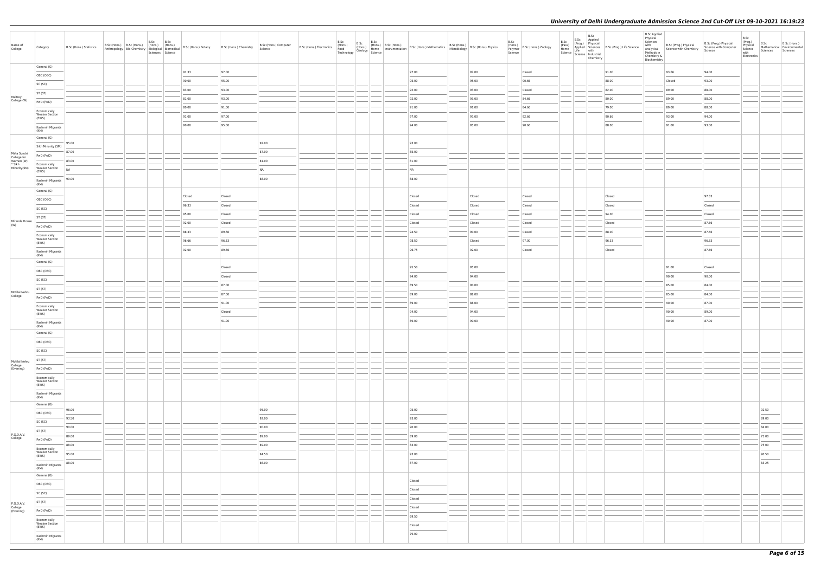| Name of<br>College                                                | Category                                                                                                                                                                                                                                                                                                                                                                                                                                                                                                     | B.Sc (Hons.) Statistics |  | B.Sc B.Sc |        | Anthropology Bio-Chemistry Biological Riomedical B.Sc (Hons.) Botany B.Sc (Hons.) Chemistry B.Sc (Hons.) Chemistry B.Sc (Hons.) Chemistry Science | B.Sc (Hons.) Computer | B.Sc (Hons.) Electronics | B.Sc (Hons.) B.Sc (Hons.) Example 1<br>Food (Hons.) Home 1<br>Technology Geology Science | (Hons.) B.Sc (Hons.)<br>(Hons.) B.Sc (Hons.) B.Sc (Hons.) Mathematics B.Sc (Hons.) B.Sc (Hons.) Physics<br>Home Instrumentation B.Sc (Hons.) Mathematics Microbiology B.Sc (Hons.) Physics                                                                                                                                                                                                                                                                                          |                | B.Sc<br>Polymer<br>Science | (Hons.) B.Sc (Hons.) Zoology | B.Sc<br>(Pass)<br>Home<br>Science   Lite<br>Science   Industrial<br>Chamistru | B.Sc | Chemistry | B.Sc Applied<br>(Prog.) Physical<br>Applied Sciences B.Sc (Prog.) Life Science<br>e Life with | <b>B.Sc Applied</b><br>Physical<br>Sciences<br>with<br>Chemistry &<br>Biochemistry | B.Sc (Prog.) Physical<br>Analytical Science with Chemistry<br>Methods in | B.Sc (Prog.) Physical<br>Science with Computer<br>Science | B.Sc<br>(Prog.)<br>Physical<br>Science<br>with<br>Electronics | B.Sc<br>Sciences                                                                                                                                                                                                                                                                                                                                                                                                                                                                    | B.Sc (Hons.)<br>Mathematical Environmental<br>Sciences |
|-------------------------------------------------------------------|--------------------------------------------------------------------------------------------------------------------------------------------------------------------------------------------------------------------------------------------------------------------------------------------------------------------------------------------------------------------------------------------------------------------------------------------------------------------------------------------------------------|-------------------------|--|-----------|--------|---------------------------------------------------------------------------------------------------------------------------------------------------|-----------------------|--------------------------|------------------------------------------------------------------------------------------|-------------------------------------------------------------------------------------------------------------------------------------------------------------------------------------------------------------------------------------------------------------------------------------------------------------------------------------------------------------------------------------------------------------------------------------------------------------------------------------|----------------|----------------------------|------------------------------|-------------------------------------------------------------------------------|------|-----------|-----------------------------------------------------------------------------------------------|------------------------------------------------------------------------------------|--------------------------------------------------------------------------|-----------------------------------------------------------|---------------------------------------------------------------|-------------------------------------------------------------------------------------------------------------------------------------------------------------------------------------------------------------------------------------------------------------------------------------------------------------------------------------------------------------------------------------------------------------------------------------------------------------------------------------|--------------------------------------------------------|
|                                                                   | General (G)                                                                                                                                                                                                                                                                                                                                                                                                                                                                                                  |                         |  |           | 91.33  | 97.00                                                                                                                                             |                       |                          |                                                                                          | 97.00                                                                                                                                                                                                                                                                                                                                                                                                                                                                               | 97.00          |                            | Closed                       |                                                                               |      |           | 91.00                                                                                         |                                                                                    | 93.66                                                                    | 94.00                                                     |                                                               |                                                                                                                                                                                                                                                                                                                                                                                                                                                                                     |                                                        |
|                                                                   | OBC (OBC)                                                                                                                                                                                                                                                                                                                                                                                                                                                                                                    |                         |  |           | 90.00  | 95.00                                                                                                                                             |                       |                          |                                                                                          | 95.00                                                                                                                                                                                                                                                                                                                                                                                                                                                                               | 95.00          |                            | 90.66                        |                                                                               |      |           | 88.00                                                                                         |                                                                                    | Closed                                                                   | 93.00                                                     |                                                               |                                                                                                                                                                                                                                                                                                                                                                                                                                                                                     |                                                        |
|                                                                   | SC (SC)                                                                                                                                                                                                                                                                                                                                                                                                                                                                                                      |                         |  |           | 83.00  | 93.00                                                                                                                                             |                       |                          |                                                                                          | 92.00                                                                                                                                                                                                                                                                                                                                                                                                                                                                               | 93.00          |                            | Closed                       |                                                                               |      |           | 82.00                                                                                         |                                                                                    | 89.00                                                                    | 88.00                                                     |                                                               |                                                                                                                                                                                                                                                                                                                                                                                                                                                                                     |                                                        |
| Maitreyi<br>College (W)                                           | ST (ST)                                                                                                                                                                                                                                                                                                                                                                                                                                                                                                      |                         |  |           | 81.00  | 93.00                                                                                                                                             |                       |                          |                                                                                          | 92.00                                                                                                                                                                                                                                                                                                                                                                                                                                                                               | 93.00          |                            | 84.66                        |                                                                               |      |           | 80.00                                                                                         |                                                                                    | 89.00                                                                    | 88.00                                                     |                                                               |                                                                                                                                                                                                                                                                                                                                                                                                                                                                                     |                                                        |
|                                                                   | PwD (PwD)                                                                                                                                                                                                                                                                                                                                                                                                                                                                                                    |                         |  |           | 80.00  | 91.00                                                                                                                                             |                       |                          |                                                                                          | 91.00                                                                                                                                                                                                                                                                                                                                                                                                                                                                               | 91.00          |                            | 84.66                        |                                                                               |      |           | 79.00                                                                                         |                                                                                    | 89.00                                                                    | 88.00                                                     |                                                               |                                                                                                                                                                                                                                                                                                                                                                                                                                                                                     |                                                        |
|                                                                   | Economically<br><b>Weaker Section</b><br>(EWS)                                                                                                                                                                                                                                                                                                                                                                                                                                                               |                         |  |           | 91.00  | 97.00                                                                                                                                             |                       |                          |                                                                                          | 97.00                                                                                                                                                                                                                                                                                                                                                                                                                                                                               | 97.00          |                            | 92.66                        |                                                                               |      |           | 90.66                                                                                         |                                                                                    | 93.00                                                                    | 94.00                                                     |                                                               |                                                                                                                                                                                                                                                                                                                                                                                                                                                                                     |                                                        |
|                                                                   | Kashmiri Migrants                                                                                                                                                                                                                                                                                                                                                                                                                                                                                            |                         |  |           | 90.00  | 95.00                                                                                                                                             |                       |                          |                                                                                          | 94.00                                                                                                                                                                                                                                                                                                                                                                                                                                                                               | 95.00          |                            | 90.66                        |                                                                               |      |           | 88.00                                                                                         |                                                                                    | 91.00                                                                    | 93.00                                                     |                                                               |                                                                                                                                                                                                                                                                                                                                                                                                                                                                                     |                                                        |
|                                                                   | (KM)<br>General (G)                                                                                                                                                                                                                                                                                                                                                                                                                                                                                          |                         |  |           |        |                                                                                                                                                   |                       |                          |                                                                                          |                                                                                                                                                                                                                                                                                                                                                                                                                                                                                     |                |                            |                              |                                                                               |      |           |                                                                                               |                                                                                    |                                                                          |                                                           |                                                               |                                                                                                                                                                                                                                                                                                                                                                                                                                                                                     |                                                        |
|                                                                   | Sikh Minority (SM)                                                                                                                                                                                                                                                                                                                                                                                                                                                                                           | 95.00                   |  |           |        |                                                                                                                                                   | 92.00                 |                          |                                                                                          | 93.00                                                                                                                                                                                                                                                                                                                                                                                                                                                                               |                |                            |                              |                                                                               |      |           |                                                                                               |                                                                                    |                                                                          |                                                           |                                                               |                                                                                                                                                                                                                                                                                                                                                                                                                                                                                     |                                                        |
|                                                                   | PwD (PwD)                                                                                                                                                                                                                                                                                                                                                                                                                                                                                                    | 87.00                   |  |           |        |                                                                                                                                                   | 87.00                 |                          |                                                                                          | 85.00                                                                                                                                                                                                                                                                                                                                                                                                                                                                               |                |                            |                              |                                                                               |      |           |                                                                                               |                                                                                    |                                                                          |                                                           |                                                               |                                                                                                                                                                                                                                                                                                                                                                                                                                                                                     |                                                        |
| Mata Sundri<br>College for<br>Women (W)<br>* Sikh<br>Minority(SM) | Economically                                                                                                                                                                                                                                                                                                                                                                                                                                                                                                 | 83.00                   |  |           |        |                                                                                                                                                   | 81.00                 |                          |                                                                                          | 81.00                                                                                                                                                                                                                                                                                                                                                                                                                                                                               |                |                            |                              |                                                                               |      |           |                                                                                               |                                                                                    |                                                                          |                                                           |                                                               |                                                                                                                                                                                                                                                                                                                                                                                                                                                                                     |                                                        |
|                                                                   | <b>Weaker Section</b><br>(EWS)                                                                                                                                                                                                                                                                                                                                                                                                                                                                               | NA                      |  |           |        |                                                                                                                                                   | <b>NA</b>             |                          |                                                                                          | NA                                                                                                                                                                                                                                                                                                                                                                                                                                                                                  |                |                            |                              |                                                                               |      |           |                                                                                               |                                                                                    |                                                                          |                                                           |                                                               |                                                                                                                                                                                                                                                                                                                                                                                                                                                                                     |                                                        |
|                                                                   | Kashmiri Migrants<br>(KM)                                                                                                                                                                                                                                                                                                                                                                                                                                                                                    | 90.00                   |  |           |        |                                                                                                                                                   | 88.00                 |                          |                                                                                          | 88.00                                                                                                                                                                                                                                                                                                                                                                                                                                                                               |                |                            |                              |                                                                               |      |           |                                                                                               |                                                                                    |                                                                          |                                                           |                                                               |                                                                                                                                                                                                                                                                                                                                                                                                                                                                                     |                                                        |
|                                                                   | General (G)                                                                                                                                                                                                                                                                                                                                                                                                                                                                                                  |                         |  |           |        |                                                                                                                                                   |                       |                          |                                                                                          |                                                                                                                                                                                                                                                                                                                                                                                                                                                                                     |                |                            |                              |                                                                               |      |           |                                                                                               |                                                                                    |                                                                          |                                                           |                                                               |                                                                                                                                                                                                                                                                                                                                                                                                                                                                                     |                                                        |
|                                                                   | OBC (OBC)                                                                                                                                                                                                                                                                                                                                                                                                                                                                                                    |                         |  |           | Closed | Closed                                                                                                                                            |                       |                          |                                                                                          | Closed                                                                                                                                                                                                                                                                                                                                                                                                                                                                              | Closed         |                            | Closed                       |                                                                               |      |           | Closed                                                                                        |                                                                                    |                                                                          | 97.33                                                     |                                                               |                                                                                                                                                                                                                                                                                                                                                                                                                                                                                     |                                                        |
|                                                                   | SC (SC)                                                                                                                                                                                                                                                                                                                                                                                                                                                                                                      |                         |  |           | 96.33  | Closed                                                                                                                                            |                       |                          |                                                                                          | Closed                                                                                                                                                                                                                                                                                                                                                                                                                                                                              | Closed         |                            | Closed                       |                                                                               |      |           | Closed                                                                                        |                                                                                    |                                                                          | Closed                                                    |                                                               |                                                                                                                                                                                                                                                                                                                                                                                                                                                                                     |                                                        |
|                                                                   | ST (ST)                                                                                                                                                                                                                                                                                                                                                                                                                                                                                                      |                         |  |           | 95.00  | Closed                                                                                                                                            |                       |                          |                                                                                          | Closed                                                                                                                                                                                                                                                                                                                                                                                                                                                                              | Closed         |                            | Closed                       |                                                                               |      |           | 94.00                                                                                         |                                                                                    |                                                                          | Closed                                                    |                                                               |                                                                                                                                                                                                                                                                                                                                                                                                                                                                                     |                                                        |
| Miranda House<br>(W)                                              | PwD (PwD)                                                                                                                                                                                                                                                                                                                                                                                                                                                                                                    |                         |  |           | 92.00  | Closed                                                                                                                                            |                       |                          |                                                                                          | Closed                                                                                                                                                                                                                                                                                                                                                                                                                                                                              | Closed         |                            | Closed                       |                                                                               |      |           | Closed                                                                                        |                                                                                    |                                                                          | 87.66                                                     |                                                               |                                                                                                                                                                                                                                                                                                                                                                                                                                                                                     |                                                        |
|                                                                   | Economically                                                                                                                                                                                                                                                                                                                                                                                                                                                                                                 |                         |  |           | 88.33  | 89.66                                                                                                                                             |                       |                          |                                                                                          | 94.50                                                                                                                                                                                                                                                                                                                                                                                                                                                                               | 90.00          |                            | Closed                       |                                                                               |      |           | 88.00                                                                                         |                                                                                    |                                                                          | 87.66                                                     |                                                               |                                                                                                                                                                                                                                                                                                                                                                                                                                                                                     |                                                        |
|                                                                   | <b>Weaker Section</b><br>(EWS)                                                                                                                                                                                                                                                                                                                                                                                                                                                                               |                         |  |           | 96.66  | 96.33                                                                                                                                             |                       |                          |                                                                                          | 98.50                                                                                                                                                                                                                                                                                                                                                                                                                                                                               | Closed         |                            | 97.00                        |                                                                               |      |           | 96.33                                                                                         |                                                                                    |                                                                          | 96.33                                                     |                                                               |                                                                                                                                                                                                                                                                                                                                                                                                                                                                                     |                                                        |
|                                                                   | Kashmiri Migrants<br>(KM)                                                                                                                                                                                                                                                                                                                                                                                                                                                                                    |                         |  |           | 92.00  | 89.66                                                                                                                                             |                       |                          |                                                                                          | 96.75                                                                                                                                                                                                                                                                                                                                                                                                                                                                               | 92.00          |                            | Closed                       |                                                                               |      |           | Closed                                                                                        |                                                                                    |                                                                          | 87.66                                                     |                                                               |                                                                                                                                                                                                                                                                                                                                                                                                                                                                                     |                                                        |
|                                                                   | General (G)                                                                                                                                                                                                                                                                                                                                                                                                                                                                                                  |                         |  |           |        |                                                                                                                                                   |                       |                          |                                                                                          |                                                                                                                                                                                                                                                                                                                                                                                                                                                                                     |                |                            |                              |                                                                               |      |           |                                                                                               |                                                                                    |                                                                          |                                                           |                                                               |                                                                                                                                                                                                                                                                                                                                                                                                                                                                                     |                                                        |
|                                                                   | OBC (OBC)                                                                                                                                                                                                                                                                                                                                                                                                                                                                                                    |                         |  |           |        | Closed                                                                                                                                            |                       |                          |                                                                                          | 95.50                                                                                                                                                                                                                                                                                                                                                                                                                                                                               | 95.00          |                            |                              |                                                                               |      |           |                                                                                               |                                                                                    | 91.00                                                                    | Closed                                                    |                                                               |                                                                                                                                                                                                                                                                                                                                                                                                                                                                                     |                                                        |
|                                                                   | SC (SC)                                                                                                                                                                                                                                                                                                                                                                                                                                                                                                      |                         |  |           |        | Closed                                                                                                                                            |                       |                          |                                                                                          | 94.00                                                                                                                                                                                                                                                                                                                                                                                                                                                                               | 94.00          |                            |                              |                                                                               |      |           |                                                                                               |                                                                                    | 90.00                                                                    | 90.00                                                     |                                                               |                                                                                                                                                                                                                                                                                                                                                                                                                                                                                     |                                                        |
| Motilal Nehru                                                     | ST (ST)                                                                                                                                                                                                                                                                                                                                                                                                                                                                                                      |                         |  |           |        | 87.00                                                                                                                                             |                       |                          |                                                                                          | 89.50                                                                                                                                                                                                                                                                                                                                                                                                                                                                               | 90.00          |                            |                              |                                                                               |      |           |                                                                                               |                                                                                    | 85.00                                                                    | 84.00                                                     |                                                               |                                                                                                                                                                                                                                                                                                                                                                                                                                                                                     |                                                        |
| College                                                           | PwD (PwD)                                                                                                                                                                                                                                                                                                                                                                                                                                                                                                    |                         |  |           |        | 87.00                                                                                                                                             |                       |                          |                                                                                          | 89.00                                                                                                                                                                                                                                                                                                                                                                                                                                                                               | 88.00          |                            |                              |                                                                               |      |           |                                                                                               |                                                                                    | 85.00                                                                    | 84.00                                                     |                                                               |                                                                                                                                                                                                                                                                                                                                                                                                                                                                                     |                                                        |
|                                                                   | Economically<br><b>Weaker Section</b>                                                                                                                                                                                                                                                                                                                                                                                                                                                                        |                         |  |           |        | 91.00                                                                                                                                             |                       |                          |                                                                                          | 89.00                                                                                                                                                                                                                                                                                                                                                                                                                                                                               | 88.00          |                            |                              |                                                                               |      |           |                                                                                               |                                                                                    | 90.00                                                                    | 87.00                                                     |                                                               |                                                                                                                                                                                                                                                                                                                                                                                                                                                                                     |                                                        |
|                                                                   | (EWS)                                                                                                                                                                                                                                                                                                                                                                                                                                                                                                        |                         |  |           |        | Closed<br>91.00                                                                                                                                   |                       |                          |                                                                                          | 94.00<br>89.00                                                                                                                                                                                                                                                                                                                                                                                                                                                                      | 94.00<br>90.00 |                            |                              |                                                                               |      |           |                                                                                               |                                                                                    | 90.00<br>90.00                                                           | 89.00<br>87.00                                            |                                                               |                                                                                                                                                                                                                                                                                                                                                                                                                                                                                     |                                                        |
|                                                                   | Kashmiri Migrants<br>(KM)                                                                                                                                                                                                                                                                                                                                                                                                                                                                                    |                         |  |           |        |                                                                                                                                                   |                       |                          |                                                                                          |                                                                                                                                                                                                                                                                                                                                                                                                                                                                                     |                |                            |                              |                                                                               |      |           |                                                                                               |                                                                                    |                                                                          |                                                           |                                                               |                                                                                                                                                                                                                                                                                                                                                                                                                                                                                     |                                                        |
|                                                                   | General (G)                                                                                                                                                                                                                                                                                                                                                                                                                                                                                                  |                         |  |           |        |                                                                                                                                                   |                       |                          |                                                                                          |                                                                                                                                                                                                                                                                                                                                                                                                                                                                                     |                |                            |                              |                                                                               |      |           |                                                                                               |                                                                                    |                                                                          |                                                           |                                                               |                                                                                                                                                                                                                                                                                                                                                                                                                                                                                     |                                                        |
|                                                                   | OBC (OBC)                                                                                                                                                                                                                                                                                                                                                                                                                                                                                                    |                         |  |           |        |                                                                                                                                                   |                       |                          |                                                                                          |                                                                                                                                                                                                                                                                                                                                                                                                                                                                                     |                |                            |                              |                                                                               |      |           |                                                                                               |                                                                                    |                                                                          |                                                           |                                                               |                                                                                                                                                                                                                                                                                                                                                                                                                                                                                     |                                                        |
|                                                                   | SC (SC)                                                                                                                                                                                                                                                                                                                                                                                                                                                                                                      |                         |  |           |        |                                                                                                                                                   |                       |                          |                                                                                          |                                                                                                                                                                                                                                                                                                                                                                                                                                                                                     |                |                            |                              |                                                                               |      |           |                                                                                               |                                                                                    |                                                                          |                                                           |                                                               |                                                                                                                                                                                                                                                                                                                                                                                                                                                                                     |                                                        |
| Motilal Nehru                                                     | ST (ST)                                                                                                                                                                                                                                                                                                                                                                                                                                                                                                      |                         |  |           |        |                                                                                                                                                   |                       |                          |                                                                                          |                                                                                                                                                                                                                                                                                                                                                                                                                                                                                     |                |                            |                              |                                                                               |      |           |                                                                                               |                                                                                    |                                                                          |                                                           |                                                               |                                                                                                                                                                                                                                                                                                                                                                                                                                                                                     |                                                        |
| College<br>(Evening)                                              | PwD (PwD)                                                                                                                                                                                                                                                                                                                                                                                                                                                                                                    |                         |  |           |        |                                                                                                                                                   |                       |                          |                                                                                          |                                                                                                                                                                                                                                                                                                                                                                                                                                                                                     |                |                            |                              |                                                                               |      |           |                                                                                               |                                                                                    |                                                                          |                                                           |                                                               |                                                                                                                                                                                                                                                                                                                                                                                                                                                                                     |                                                        |
|                                                                   | Economically<br><b>Weaker Section</b><br>(EWS)                                                                                                                                                                                                                                                                                                                                                                                                                                                               |                         |  |           |        |                                                                                                                                                   |                       |                          |                                                                                          |                                                                                                                                                                                                                                                                                                                                                                                                                                                                                     |                |                            |                              |                                                                               |      |           |                                                                                               |                                                                                    |                                                                          |                                                           |                                                               |                                                                                                                                                                                                                                                                                                                                                                                                                                                                                     |                                                        |
|                                                                   | Kashmiri Migrants                                                                                                                                                                                                                                                                                                                                                                                                                                                                                            |                         |  |           |        |                                                                                                                                                   |                       |                          |                                                                                          |                                                                                                                                                                                                                                                                                                                                                                                                                                                                                     |                |                            |                              |                                                                               |      |           |                                                                                               |                                                                                    |                                                                          |                                                           |                                                               |                                                                                                                                                                                                                                                                                                                                                                                                                                                                                     |                                                        |
|                                                                   | (KM)                                                                                                                                                                                                                                                                                                                                                                                                                                                                                                         |                         |  |           |        |                                                                                                                                                   |                       |                          |                                                                                          |                                                                                                                                                                                                                                                                                                                                                                                                                                                                                     |                |                            |                              |                                                                               |      |           |                                                                                               |                                                                                    |                                                                          |                                                           |                                                               |                                                                                                                                                                                                                                                                                                                                                                                                                                                                                     |                                                        |
|                                                                   | General (G)<br>OBC (OBC)                                                                                                                                                                                                                                                                                                                                                                                                                                                                                     | 96.00                   |  |           |        |                                                                                                                                                   | 95.00                 |                          |                                                                                          | 95.00                                                                                                                                                                                                                                                                                                                                                                                                                                                                               |                |                            |                              |                                                                               |      |           |                                                                                               |                                                                                    |                                                                          |                                                           |                                                               | 92.50                                                                                                                                                                                                                                                                                                                                                                                                                                                                               |                                                        |
|                                                                   | SC (SC)                                                                                                                                                                                                                                                                                                                                                                                                                                                                                                      | 93.50                   |  |           |        |                                                                                                                                                   | 92.00                 |                          |                                                                                          | 93.00                                                                                                                                                                                                                                                                                                                                                                                                                                                                               |                |                            |                              |                                                                               |      |           |                                                                                               |                                                                                    |                                                                          |                                                           |                                                               | 89.00                                                                                                                                                                                                                                                                                                                                                                                                                                                                               |                                                        |
|                                                                   | ST (ST)                                                                                                                                                                                                                                                                                                                                                                                                                                                                                                      | $\sim$<br>90.00         |  |           |        |                                                                                                                                                   | 90.00                 |                          |                                                                                          | 90.00                                                                                                                                                                                                                                                                                                                                                                                                                                                                               |                |                            |                              |                                                                               |      |           |                                                                                               |                                                                                    |                                                                          |                                                           |                                                               | 84.00                                                                                                                                                                                                                                                                                                                                                                                                                                                                               |                                                        |
| P.G.D.A.V.<br>College                                             | PwD (PwD)                                                                                                                                                                                                                                                                                                                                                                                                                                                                                                    | 89.00                   |  |           |        |                                                                                                                                                   | 89.00                 |                          |                                                                                          | 89.00                                                                                                                                                                                                                                                                                                                                                                                                                                                                               |                |                            |                              |                                                                               |      |           |                                                                                               |                                                                                    |                                                                          |                                                           |                                                               | 75.00                                                                                                                                                                                                                                                                                                                                                                                                                                                                               |                                                        |
|                                                                   | Economically                                                                                                                                                                                                                                                                                                                                                                                                                                                                                                 | 88.00                   |  |           |        |                                                                                                                                                   | 89.00                 |                          |                                                                                          | 83.00                                                                                                                                                                                                                                                                                                                                                                                                                                                                               |                |                            |                              |                                                                               |      |           |                                                                                               |                                                                                    |                                                                          |                                                           |                                                               | 75.00                                                                                                                                                                                                                                                                                                                                                                                                                                                                               |                                                        |
|                                                                   | <b>Weaker Section</b><br>(EWS)                                                                                                                                                                                                                                                                                                                                                                                                                                                                               | 95.00                   |  |           |        |                                                                                                                                                   | 94.50                 |                          |                                                                                          | 93.00<br>$\frac{1}{2} \left( \frac{1}{2} \right) \left( \frac{1}{2} \right) \left( \frac{1}{2} \right) \left( \frac{1}{2} \right) \left( \frac{1}{2} \right) \left( \frac{1}{2} \right) \left( \frac{1}{2} \right) \left( \frac{1}{2} \right) \left( \frac{1}{2} \right) \left( \frac{1}{2} \right) \left( \frac{1}{2} \right) \left( \frac{1}{2} \right) \left( \frac{1}{2} \right) \left( \frac{1}{2} \right) \left( \frac{1}{2} \right) \left( \frac{1}{2} \right) \left( \frac$ |                |                            |                              |                                                                               |      |           |                                                                                               |                                                                                    |                                                                          |                                                           |                                                               | 90.50<br>$\frac{1}{2} \left( \frac{1}{2} \right) \left( \frac{1}{2} \right) \left( \frac{1}{2} \right) \left( \frac{1}{2} \right) \left( \frac{1}{2} \right) \left( \frac{1}{2} \right) \left( \frac{1}{2} \right) \left( \frac{1}{2} \right) \left( \frac{1}{2} \right) \left( \frac{1}{2} \right) \left( \frac{1}{2} \right) \left( \frac{1}{2} \right) \left( \frac{1}{2} \right) \left( \frac{1}{2} \right) \left( \frac{1}{2} \right) \left( \frac{1}{2} \right) \left( \frac$ |                                                        |
|                                                                   | Kashmiri Migrants                                                                                                                                                                                                                                                                                                                                                                                                                                                                                            | 88.00                   |  |           |        |                                                                                                                                                   | 86.00                 |                          |                                                                                          | 87.00                                                                                                                                                                                                                                                                                                                                                                                                                                                                               |                |                            |                              |                                                                               |      |           |                                                                                               |                                                                                    |                                                                          |                                                           |                                                               | 83.25                                                                                                                                                                                                                                                                                                                                                                                                                                                                               |                                                        |
|                                                                   | (KM)<br>General (G)                                                                                                                                                                                                                                                                                                                                                                                                                                                                                          |                         |  |           |        |                                                                                                                                                   |                       |                          |                                                                                          |                                                                                                                                                                                                                                                                                                                                                                                                                                                                                     |                |                            |                              |                                                                               |      |           |                                                                                               |                                                                                    |                                                                          |                                                           |                                                               |                                                                                                                                                                                                                                                                                                                                                                                                                                                                                     |                                                        |
|                                                                   | OBC (OBC)                                                                                                                                                                                                                                                                                                                                                                                                                                                                                                    |                         |  |           |        |                                                                                                                                                   |                       |                          |                                                                                          | Closed                                                                                                                                                                                                                                                                                                                                                                                                                                                                              |                |                            |                              |                                                                               |      |           |                                                                                               |                                                                                    |                                                                          |                                                           |                                                               |                                                                                                                                                                                                                                                                                                                                                                                                                                                                                     |                                                        |
|                                                                   | SC (SC)                                                                                                                                                                                                                                                                                                                                                                                                                                                                                                      |                         |  |           |        |                                                                                                                                                   |                       |                          |                                                                                          | Closed                                                                                                                                                                                                                                                                                                                                                                                                                                                                              |                |                            |                              |                                                                               |      |           |                                                                                               |                                                                                    |                                                                          |                                                           |                                                               |                                                                                                                                                                                                                                                                                                                                                                                                                                                                                     |                                                        |
| P.G.D.A.V.                                                        | ST (ST)                                                                                                                                                                                                                                                                                                                                                                                                                                                                                                      |                         |  |           |        |                                                                                                                                                   |                       |                          |                                                                                          | Closed                                                                                                                                                                                                                                                                                                                                                                                                                                                                              |                |                            |                              |                                                                               |      |           |                                                                                               |                                                                                    |                                                                          |                                                           |                                                               |                                                                                                                                                                                                                                                                                                                                                                                                                                                                                     |                                                        |
| College<br>(Evening)                                              | PwD (PwD)                                                                                                                                                                                                                                                                                                                                                                                                                                                                                                    |                         |  |           |        |                                                                                                                                                   |                       |                          |                                                                                          | Closed                                                                                                                                                                                                                                                                                                                                                                                                                                                                              |                |                            |                              |                                                                               |      |           |                                                                                               |                                                                                    |                                                                          |                                                           |                                                               |                                                                                                                                                                                                                                                                                                                                                                                                                                                                                     |                                                        |
|                                                                   | Economically                                                                                                                                                                                                                                                                                                                                                                                                                                                                                                 |                         |  |           |        |                                                                                                                                                   |                       |                          |                                                                                          | 69.50                                                                                                                                                                                                                                                                                                                                                                                                                                                                               |                |                            |                              |                                                                               |      |           |                                                                                               |                                                                                    |                                                                          |                                                           |                                                               |                                                                                                                                                                                                                                                                                                                                                                                                                                                                                     |                                                        |
|                                                                   | <b>Weaker Section</b><br>(EWS)<br>$\frac{1}{2} \left( \frac{1}{2} \right) \left( \frac{1}{2} \right) \left( \frac{1}{2} \right) \left( \frac{1}{2} \right) \left( \frac{1}{2} \right) \left( \frac{1}{2} \right) \left( \frac{1}{2} \right) \left( \frac{1}{2} \right) \left( \frac{1}{2} \right) \left( \frac{1}{2} \right) \left( \frac{1}{2} \right) \left( \frac{1}{2} \right) \left( \frac{1}{2} \right) \left( \frac{1}{2} \right) \left( \frac{1}{2} \right) \left( \frac{1}{2} \right) \left( \frac$ |                         |  |           |        |                                                                                                                                                   |                       |                          |                                                                                          | Closed                                                                                                                                                                                                                                                                                                                                                                                                                                                                              |                |                            |                              |                                                                               |      |           |                                                                                               |                                                                                    |                                                                          |                                                           |                                                               |                                                                                                                                                                                                                                                                                                                                                                                                                                                                                     |                                                        |
|                                                                   | Kashmiri Migrants<br>(KM)                                                                                                                                                                                                                                                                                                                                                                                                                                                                                    |                         |  |           |        |                                                                                                                                                   |                       |                          |                                                                                          | 79.00                                                                                                                                                                                                                                                                                                                                                                                                                                                                               |                |                            |                              |                                                                               |      |           |                                                                                               |                                                                                    |                                                                          |                                                           |                                                               |                                                                                                                                                                                                                                                                                                                                                                                                                                                                                     |                                                        |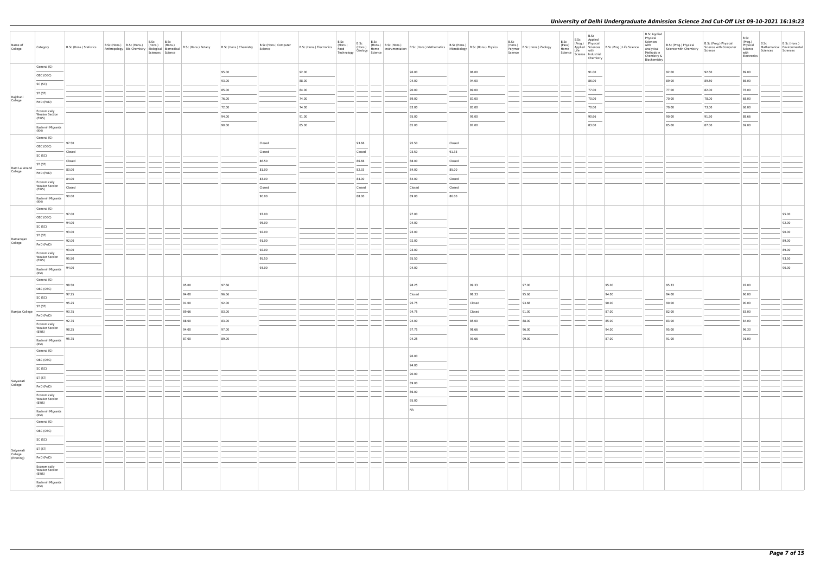| Name of<br>College                | Category                                                                                                                                                                                                                                                                                                                                                                                                                                                                                | B.Sc (Hons.) Statistics |  | B.Sc<br>Sciences Science | B.Sc | B.Sc (Hons.) B.Sc (Hons.) (Hons.) (Hons.) (Hons.) B.Sc (Hons.) Botany<br>Anthropology Bio-Chemistry Biological Biomedical B.Sc (Hons.) Botany | B.Sc (Hons.) Chemistry | B.Sc (Hons.) Computer<br>Science |       | B.Sc | B.Sc<br>B.Sc | B.Sc (Hons.) (Hons.) (Hons.) (Hons.) (Hons.) B.Sc (Hons.) Mathematics B.Sc (Hons.) (B.Sc (Hons.) Physics<br>Technology Geology Science<br>Technology Geology Science |        |        | B.Sc<br>(Hons.)<br>Polymer<br>Science | B.Sc (Hons.) Zoology | B.Sc<br>(Pass)<br>Home<br>Science   Lite<br>  Science   Industrial | B.Sc<br>B.Sc Applied<br>Chemistry                                                                                                                                                                                                                                                                                                                                                                                                                                                   | Processor Physical<br>Applied Sciences<br>Life with | <b>B.Sc Applied</b><br>Physical<br>Sciences<br>with<br>Analytical<br>Methods in<br>Chemistry &<br>Biochemistry | B.Sc (Prog.) Physical<br>Science with Chemistry | B.Sc (Prog.) Physical<br>Science with Computer<br>Science | B.Sc<br>(Prog.)<br>Physical<br>Science<br>with<br>Electronics | B.Sc<br>Sciences | B.Sc (Hons.)<br>Mathematical Environmental<br>Sciences |
|-----------------------------------|-----------------------------------------------------------------------------------------------------------------------------------------------------------------------------------------------------------------------------------------------------------------------------------------------------------------------------------------------------------------------------------------------------------------------------------------------------------------------------------------|-------------------------|--|--------------------------|------|-----------------------------------------------------------------------------------------------------------------------------------------------|------------------------|----------------------------------|-------|------|--------------|----------------------------------------------------------------------------------------------------------------------------------------------------------------------|--------|--------|---------------------------------------|----------------------|--------------------------------------------------------------------|-------------------------------------------------------------------------------------------------------------------------------------------------------------------------------------------------------------------------------------------------------------------------------------------------------------------------------------------------------------------------------------------------------------------------------------------------------------------------------------|-----------------------------------------------------|----------------------------------------------------------------------------------------------------------------|-------------------------------------------------|-----------------------------------------------------------|---------------------------------------------------------------|------------------|--------------------------------------------------------|
|                                   | General (G)                                                                                                                                                                                                                                                                                                                                                                                                                                                                             |                         |  |                          |      |                                                                                                                                               | 95.00                  |                                  | 92.00 |      |              | 96.00                                                                                                                                                                |        | 96.00  |                                       |                      |                                                                    | 91.00                                                                                                                                                                                                                                                                                                                                                                                                                                                                               |                                                     |                                                                                                                | 92.00                                           | 92.50                                                     | 89.00                                                         |                  |                                                        |
|                                   | OBC (OBC)                                                                                                                                                                                                                                                                                                                                                                                                                                                                               |                         |  |                          |      |                                                                                                                                               | 93.00                  |                                  | 88.00 |      |              | 94.00                                                                                                                                                                |        | 94.00  |                                       |                      |                                                                    | $\frac{1}{2} \left( \frac{1}{2} \right) \left( \frac{1}{2} \right) \left( \frac{1}{2} \right) \left( \frac{1}{2} \right) \left( \frac{1}{2} \right) \left( \frac{1}{2} \right) \left( \frac{1}{2} \right) \left( \frac{1}{2} \right) \left( \frac{1}{2} \right) \left( \frac{1}{2} \right) \left( \frac{1}{2} \right) \left( \frac{1}{2} \right) \left( \frac{1}{2} \right) \left( \frac{1}{2} \right) \left( \frac{1}{2} \right) \left( \frac{1}{2} \right) \left( \frac$<br>86.00 |                                                     |                                                                                                                | 89.00                                           | 89.50                                                     | 86.00                                                         |                  |                                                        |
|                                   | SC (SC)                                                                                                                                                                                                                                                                                                                                                                                                                                                                                 |                         |  |                          |      |                                                                                                                                               | 85.00                  |                                  | 84.00 |      |              | 90.00                                                                                                                                                                |        | 89.00  |                                       |                      |                                                                    | 77.00                                                                                                                                                                                                                                                                                                                                                                                                                                                                               |                                                     |                                                                                                                | 77.00                                           | 82.00                                                     | 76.00                                                         |                  |                                                        |
| Rajdhani<br>College               | ST (ST)                                                                                                                                                                                                                                                                                                                                                                                                                                                                                 |                         |  |                          |      |                                                                                                                                               | 76.00                  |                                  | 74.00 |      |              | 89.00                                                                                                                                                                |        | 87.00  |                                       |                      |                                                                    | 70.00                                                                                                                                                                                                                                                                                                                                                                                                                                                                               |                                                     |                                                                                                                | 70.00                                           | 78.00                                                     | 68.00                                                         |                  |                                                        |
|                                   | PwD (PwD)                                                                                                                                                                                                                                                                                                                                                                                                                                                                               |                         |  |                          |      |                                                                                                                                               | 72.00                  |                                  | 74.00 |      |              | 83.00                                                                                                                                                                |        | 83.00  |                                       |                      |                                                                    | 70.00                                                                                                                                                                                                                                                                                                                                                                                                                                                                               |                                                     |                                                                                                                | 70.00                                           | 73.00                                                     | 68.00                                                         |                  |                                                        |
|                                   | Economically<br><b>Weaker Section</b><br>(EWS)                                                                                                                                                                                                                                                                                                                                                                                                                                          |                         |  |                          |      |                                                                                                                                               | 94.00                  |                                  | 91.00 |      |              | 95.00                                                                                                                                                                |        | 95.00  |                                       |                      |                                                                    | 90.66                                                                                                                                                                                                                                                                                                                                                                                                                                                                               |                                                     |                                                                                                                | 90.00                                           | 91.50                                                     | 88.66                                                         |                  |                                                        |
|                                   | Kashmiri Migrants                                                                                                                                                                                                                                                                                                                                                                                                                                                                       |                         |  |                          |      |                                                                                                                                               | 90.00                  |                                  | 85.00 |      |              | 85.00                                                                                                                                                                |        | 87.00  |                                       |                      |                                                                    | $\frac{1}{2} \left( \frac{1}{2} \right) \left( \frac{1}{2} \right) \left( \frac{1}{2} \right) \left( \frac{1}{2} \right) \left( \frac{1}{2} \right) \left( \frac{1}{2} \right) \left( \frac{1}{2} \right) \left( \frac{1}{2} \right) \left( \frac{1}{2} \right) \left( \frac{1}{2} \right) \left( \frac{1}{2} \right) \left( \frac{1}{2} \right) \left( \frac{1}{2} \right) \left( \frac{1}{2} \right) \left( \frac{1}{2} \right) \left( \frac{1}{2} \right) \left( \frac$<br>83.00 |                                                     |                                                                                                                | 85.00                                           | 87.00                                                     | 69.00                                                         |                  |                                                        |
|                                   | (KM)                                                                                                                                                                                                                                                                                                                                                                                                                                                                                    |                         |  |                          |      |                                                                                                                                               |                        |                                  |       |      |              |                                                                                                                                                                      |        |        |                                       |                      |                                                                    |                                                                                                                                                                                                                                                                                                                                                                                                                                                                                     |                                                     |                                                                                                                |                                                 |                                                           |                                                               |                  |                                                        |
|                                   | General (G)                                                                                                                                                                                                                                                                                                                                                                                                                                                                             | 97.50                   |  |                          |      |                                                                                                                                               |                        | Closed                           |       |      | 93.66        | 95.50                                                                                                                                                                | Closed |        |                                       |                      |                                                                    |                                                                                                                                                                                                                                                                                                                                                                                                                                                                                     |                                                     |                                                                                                                |                                                 |                                                           |                                                               |                  |                                                        |
|                                   | OBC (OBC)<br>SC (SC)                                                                                                                                                                                                                                                                                                                                                                                                                                                                    | Closed                  |  |                          |      |                                                                                                                                               |                        | Closed                           |       |      | Closed       | 93.50                                                                                                                                                                | 91.33  |        |                                       |                      |                                                                    |                                                                                                                                                                                                                                                                                                                                                                                                                                                                                     |                                                     |                                                                                                                |                                                 |                                                           |                                                               |                  |                                                        |
|                                   | ST (ST)                                                                                                                                                                                                                                                                                                                                                                                                                                                                                 | Closed                  |  |                          |      |                                                                                                                                               |                        | 86.50                            |       |      | 86.66        | 88.00                                                                                                                                                                | Closed |        |                                       |                      |                                                                    |                                                                                                                                                                                                                                                                                                                                                                                                                                                                                     |                                                     |                                                                                                                |                                                 |                                                           |                                                               |                  |                                                        |
| Ram Lal Anand<br>College          | PwD (PwD)                                                                                                                                                                                                                                                                                                                                                                                                                                                                               | 83.00                   |  |                          |      |                                                                                                                                               |                        | 81.00                            |       |      | 82.33        | 84.00                                                                                                                                                                | 85.00  |        |                                       |                      |                                                                    |                                                                                                                                                                                                                                                                                                                                                                                                                                                                                     |                                                     |                                                                                                                |                                                 |                                                           |                                                               |                  |                                                        |
|                                   | Economically                                                                                                                                                                                                                                                                                                                                                                                                                                                                            | 84.00                   |  |                          |      |                                                                                                                                               |                        | 83.00                            |       |      | 84.00        | 84.00                                                                                                                                                                | Closed |        |                                       |                      |                                                                    |                                                                                                                                                                                                                                                                                                                                                                                                                                                                                     |                                                     |                                                                                                                |                                                 |                                                           |                                                               |                  |                                                        |
|                                   | <b>Weaker Section</b><br>(EWS)                                                                                                                                                                                                                                                                                                                                                                                                                                                          | Closed                  |  |                          |      |                                                                                                                                               |                        | Closed                           |       |      | Closed       | Closed                                                                                                                                                               | Closed |        |                                       |                      |                                                                    |                                                                                                                                                                                                                                                                                                                                                                                                                                                                                     |                                                     |                                                                                                                |                                                 |                                                           |                                                               |                  |                                                        |
|                                   | Kashmiri Migrants<br>(KM)                                                                                                                                                                                                                                                                                                                                                                                                                                                               | 90.00                   |  |                          |      |                                                                                                                                               |                        | 90.00                            |       |      | 88.00        | 89.00                                                                                                                                                                | 86.00  |        |                                       |                      |                                                                    |                                                                                                                                                                                                                                                                                                                                                                                                                                                                                     |                                                     |                                                                                                                |                                                 |                                                           |                                                               |                  |                                                        |
|                                   | General (G)                                                                                                                                                                                                                                                                                                                                                                                                                                                                             |                         |  |                          |      |                                                                                                                                               |                        |                                  |       |      |              |                                                                                                                                                                      |        |        |                                       |                      |                                                                    |                                                                                                                                                                                                                                                                                                                                                                                                                                                                                     |                                                     |                                                                                                                |                                                 |                                                           |                                                               |                  |                                                        |
|                                   | OBC (OBC)                                                                                                                                                                                                                                                                                                                                                                                                                                                                               | 97.00                   |  |                          |      |                                                                                                                                               |                        | 97.00                            |       |      |              | 97.00                                                                                                                                                                |        |        |                                       |                      |                                                                    |                                                                                                                                                                                                                                                                                                                                                                                                                                                                                     |                                                     |                                                                                                                |                                                 |                                                           |                                                               |                  | 95.00<br>$\overline{\phantom{a}}$                      |
|                                   | SC (SC)                                                                                                                                                                                                                                                                                                                                                                                                                                                                                 | 94.00                   |  |                          |      |                                                                                                                                               |                        | 95.00                            |       |      |              | 94.00                                                                                                                                                                |        |        |                                       |                      |                                                                    |                                                                                                                                                                                                                                                                                                                                                                                                                                                                                     |                                                     |                                                                                                                |                                                 |                                                           |                                                               |                  | 92.00                                                  |
|                                   | ST (ST)                                                                                                                                                                                                                                                                                                                                                                                                                                                                                 | 93.00                   |  |                          |      |                                                                                                                                               |                        | 92.00                            |       |      |              | 93.00                                                                                                                                                                |        |        |                                       |                      |                                                                    |                                                                                                                                                                                                                                                                                                                                                                                                                                                                                     |                                                     |                                                                                                                |                                                 |                                                           |                                                               |                  | 90.00                                                  |
| Ramanujan<br>College              | PwD (PwD)                                                                                                                                                                                                                                                                                                                                                                                                                                                                               | 92.00                   |  |                          |      |                                                                                                                                               |                        | 91.00                            |       |      |              | 92.00                                                                                                                                                                |        |        |                                       |                      |                                                                    |                                                                                                                                                                                                                                                                                                                                                                                                                                                                                     |                                                     |                                                                                                                |                                                 |                                                           |                                                               |                  | 89.00                                                  |
|                                   | Economically<br><b>Weaker Section</b>                                                                                                                                                                                                                                                                                                                                                                                                                                                   | 93.00                   |  |                          |      |                                                                                                                                               |                        | 92.00                            |       |      |              | 93.00                                                                                                                                                                |        |        |                                       |                      |                                                                    |                                                                                                                                                                                                                                                                                                                                                                                                                                                                                     |                                                     |                                                                                                                |                                                 |                                                           |                                                               |                  | 89.00                                                  |
|                                   | (EWS)                                                                                                                                                                                                                                                                                                                                                                                                                                                                                   | 95.50                   |  |                          |      |                                                                                                                                               |                        | 95.50                            |       |      |              | 95.50                                                                                                                                                                |        |        |                                       |                      |                                                                    |                                                                                                                                                                                                                                                                                                                                                                                                                                                                                     |                                                     |                                                                                                                |                                                 |                                                           |                                                               |                  | 93.50                                                  |
|                                   | Kashmiri Migrants<br>(KM)                                                                                                                                                                                                                                                                                                                                                                                                                                                               | 94.00                   |  |                          |      |                                                                                                                                               |                        | 93.00                            |       |      |              | 94.00                                                                                                                                                                |        |        |                                       |                      |                                                                    |                                                                                                                                                                                                                                                                                                                                                                                                                                                                                     |                                                     |                                                                                                                |                                                 |                                                           |                                                               |                  | 90.00                                                  |
|                                   | General (G)                                                                                                                                                                                                                                                                                                                                                                                                                                                                             | 98.50                   |  |                          |      | 95.00                                                                                                                                         | 97.66                  |                                  |       |      |              | 98.25                                                                                                                                                                |        | 99.33  |                                       | 97.00                |                                                                    |                                                                                                                                                                                                                                                                                                                                                                                                                                                                                     | 95.00                                               |                                                                                                                | 95.33                                           |                                                           | 97.00                                                         |                  |                                                        |
|                                   | OBC (OBC)                                                                                                                                                                                                                                                                                                                                                                                                                                                                               | 97.25                   |  |                          |      | 94.00                                                                                                                                         | 96.66                  |                                  |       |      |              | Closed                                                                                                                                                               |        | 98.33  |                                       | 95.66                |                                                                    |                                                                                                                                                                                                                                                                                                                                                                                                                                                                                     | 94.00                                               |                                                                                                                | 94.00                                           |                                                           | 96.00                                                         |                  |                                                        |
|                                   | SC (SC)                                                                                                                                                                                                                                                                                                                                                                                                                                                                                 | 95.25                   |  |                          |      | 91.00                                                                                                                                         | 92.00                  |                                  |       |      |              | 95.75                                                                                                                                                                |        | Closed |                                       | 93.66                |                                                                    |                                                                                                                                                                                                                                                                                                                                                                                                                                                                                     | 90.00                                               |                                                                                                                | 90.00                                           |                                                           | 90.00                                                         |                  |                                                        |
| Ramjas College                    | ST (ST)                                                                                                                                                                                                                                                                                                                                                                                                                                                                                 | 93.75                   |  |                          |      | 89.66                                                                                                                                         | 83.00                  |                                  |       |      |              | 94.75                                                                                                                                                                |        | Closed |                                       | 91.00                |                                                                    |                                                                                                                                                                                                                                                                                                                                                                                                                                                                                     | 87.00                                               |                                                                                                                | 82.00                                           |                                                           | 83.00                                                         |                  |                                                        |
|                                   | PwD (PwD)                                                                                                                                                                                                                                                                                                                                                                                                                                                                               | 92.75                   |  |                          |      | 88.00                                                                                                                                         | 83.00                  |                                  |       |      |              | 94.00                                                                                                                                                                |        | 85.00  |                                       | 88.00                |                                                                    |                                                                                                                                                                                                                                                                                                                                                                                                                                                                                     | 85.00                                               |                                                                                                                | 83.00                                           |                                                           | 84.00                                                         |                  |                                                        |
|                                   | Economically<br><b>Weaker Section</b><br>(EWS)                                                                                                                                                                                                                                                                                                                                                                                                                                          | 98.25                   |  |                          |      | 94.00                                                                                                                                         | 97.00                  |                                  |       |      |              | 97.75                                                                                                                                                                |        | 98.66  |                                       | 96.00                |                                                                    |                                                                                                                                                                                                                                                                                                                                                                                                                                                                                     | 94.00                                               |                                                                                                                | 95.00                                           |                                                           | 96.33                                                         |                  |                                                        |
|                                   | Kashmiri Migrants 95.75                                                                                                                                                                                                                                                                                                                                                                                                                                                                 |                         |  |                          |      | 87.00                                                                                                                                         | 89.00                  |                                  |       |      |              | 94.25                                                                                                                                                                |        | 93.66  |                                       | 99.00                |                                                                    |                                                                                                                                                                                                                                                                                                                                                                                                                                                                                     | 87.00                                               |                                                                                                                | 91.00                                           |                                                           | 91.00                                                         |                  |                                                        |
|                                   | (KM)<br>General (G)                                                                                                                                                                                                                                                                                                                                                                                                                                                                     |                         |  |                          |      |                                                                                                                                               |                        |                                  |       |      |              |                                                                                                                                                                      |        |        |                                       |                      |                                                                    |                                                                                                                                                                                                                                                                                                                                                                                                                                                                                     |                                                     |                                                                                                                |                                                 |                                                           |                                                               |                  |                                                        |
|                                   | OBC (OBC)                                                                                                                                                                                                                                                                                                                                                                                                                                                                               |                         |  |                          |      |                                                                                                                                               |                        |                                  |       |      |              | 96.00                                                                                                                                                                |        |        |                                       |                      |                                                                    |                                                                                                                                                                                                                                                                                                                                                                                                                                                                                     |                                                     |                                                                                                                |                                                 |                                                           |                                                               |                  |                                                        |
|                                   | SC (SC)                                                                                                                                                                                                                                                                                                                                                                                                                                                                                 |                         |  |                          |      |                                                                                                                                               |                        |                                  |       |      |              | 94.00                                                                                                                                                                |        |        |                                       |                      |                                                                    |                                                                                                                                                                                                                                                                                                                                                                                                                                                                                     |                                                     |                                                                                                                |                                                 |                                                           |                                                               |                  |                                                        |
|                                   | ST (ST)                                                                                                                                                                                                                                                                                                                                                                                                                                                                                 |                         |  |                          |      |                                                                                                                                               |                        |                                  |       |      |              | 90.00                                                                                                                                                                |        |        |                                       |                      |                                                                    |                                                                                                                                                                                                                                                                                                                                                                                                                                                                                     |                                                     |                                                                                                                |                                                 |                                                           |                                                               |                  |                                                        |
| Satyawati<br>College              | PwD (PwD)                                                                                                                                                                                                                                                                                                                                                                                                                                                                               |                         |  |                          |      |                                                                                                                                               |                        |                                  |       |      |              | 89.00                                                                                                                                                                |        |        |                                       |                      |                                                                    |                                                                                                                                                                                                                                                                                                                                                                                                                                                                                     |                                                     |                                                                                                                |                                                 |                                                           |                                                               |                  |                                                        |
|                                   | Economically<br><b>Weaker Section</b>                                                                                                                                                                                                                                                                                                                                                                                                                                                   |                         |  |                          |      |                                                                                                                                               |                        |                                  |       |      |              | 86.00                                                                                                                                                                |        |        |                                       |                      |                                                                    |                                                                                                                                                                                                                                                                                                                                                                                                                                                                                     |                                                     |                                                                                                                |                                                 |                                                           |                                                               |                  |                                                        |
|                                   | (EWS)                                                                                                                                                                                                                                                                                                                                                                                                                                                                                   |                         |  |                          |      |                                                                                                                                               |                        |                                  |       |      |              | 95.00<br>$\overline{\phantom{a}}$                                                                                                                                    |        |        |                                       |                      |                                                                    |                                                                                                                                                                                                                                                                                                                                                                                                                                                                                     |                                                     |                                                                                                                |                                                 |                                                           |                                                               |                  |                                                        |
|                                   | Kashmiri Migrants<br>(KM)                                                                                                                                                                                                                                                                                                                                                                                                                                                               |                         |  |                          |      |                                                                                                                                               |                        |                                  |       |      |              | <b>NA</b>                                                                                                                                                            |        |        |                                       |                      |                                                                    |                                                                                                                                                                                                                                                                                                                                                                                                                                                                                     |                                                     |                                                                                                                |                                                 |                                                           |                                                               |                  |                                                        |
|                                   | General (G)                                                                                                                                                                                                                                                                                                                                                                                                                                                                             |                         |  |                          |      |                                                                                                                                               |                        |                                  |       |      |              |                                                                                                                                                                      |        |        |                                       |                      |                                                                    |                                                                                                                                                                                                                                                                                                                                                                                                                                                                                     |                                                     |                                                                                                                |                                                 |                                                           |                                                               |                  |                                                        |
|                                   | OBC (OBC)<br>$\frac{1}{2} \left( \frac{1}{2} \right) \left( \frac{1}{2} \right) \left( \frac{1}{2} \right) \left( \frac{1}{2} \right) \left( \frac{1}{2} \right) \left( \frac{1}{2} \right) \left( \frac{1}{2} \right) \left( \frac{1}{2} \right) \left( \frac{1}{2} \right) \left( \frac{1}{2} \right) \left( \frac{1}{2} \right) \left( \frac{1}{2} \right) \left( \frac{1}{2} \right) \left( \frac{1}{2} \right) \left( \frac{1}{2} \right) \left( \frac{1}{2} \right) \left( \frac$ |                         |  |                          |      |                                                                                                                                               |                        |                                  |       |      |              |                                                                                                                                                                      |        |        |                                       |                      |                                                                    |                                                                                                                                                                                                                                                                                                                                                                                                                                                                                     |                                                     |                                                                                                                |                                                 |                                                           |                                                               |                  |                                                        |
|                                   | SC (SC)                                                                                                                                                                                                                                                                                                                                                                                                                                                                                 |                         |  |                          |      |                                                                                                                                               |                        |                                  |       |      |              |                                                                                                                                                                      |        |        |                                       |                      |                                                                    |                                                                                                                                                                                                                                                                                                                                                                                                                                                                                     |                                                     |                                                                                                                |                                                 |                                                           |                                                               |                  |                                                        |
| Satyawati<br>College<br>(Evening) | ST (ST)                                                                                                                                                                                                                                                                                                                                                                                                                                                                                 |                         |  |                          |      |                                                                                                                                               |                        |                                  |       |      |              |                                                                                                                                                                      |        |        |                                       |                      |                                                                    |                                                                                                                                                                                                                                                                                                                                                                                                                                                                                     |                                                     |                                                                                                                |                                                 |                                                           |                                                               |                  |                                                        |
|                                   | PwD (PwD)                                                                                                                                                                                                                                                                                                                                                                                                                                                                               |                         |  |                          |      |                                                                                                                                               |                        |                                  |       |      |              |                                                                                                                                                                      |        |        |                                       |                      |                                                                    |                                                                                                                                                                                                                                                                                                                                                                                                                                                                                     |                                                     |                                                                                                                |                                                 |                                                           |                                                               |                  |                                                        |
|                                   | Economically<br><b>Weaker Section</b><br>(EWS)                                                                                                                                                                                                                                                                                                                                                                                                                                          |                         |  |                          |      |                                                                                                                                               |                        |                                  |       |      |              |                                                                                                                                                                      |        |        |                                       |                      |                                                                    |                                                                                                                                                                                                                                                                                                                                                                                                                                                                                     |                                                     |                                                                                                                |                                                 |                                                           |                                                               |                  |                                                        |
|                                   | Kashmiri Migrants                                                                                                                                                                                                                                                                                                                                                                                                                                                                       |                         |  |                          |      |                                                                                                                                               |                        |                                  |       |      |              |                                                                                                                                                                      |        |        |                                       |                      |                                                                    |                                                                                                                                                                                                                                                                                                                                                                                                                                                                                     |                                                     |                                                                                                                |                                                 |                                                           |                                                               |                  |                                                        |
|                                   | (KM)                                                                                                                                                                                                                                                                                                                                                                                                                                                                                    |                         |  |                          |      |                                                                                                                                               |                        |                                  |       |      |              |                                                                                                                                                                      |        |        |                                       |                      |                                                                    |                                                                                                                                                                                                                                                                                                                                                                                                                                                                                     |                                                     |                                                                                                                |                                                 |                                                           |                                                               |                  |                                                        |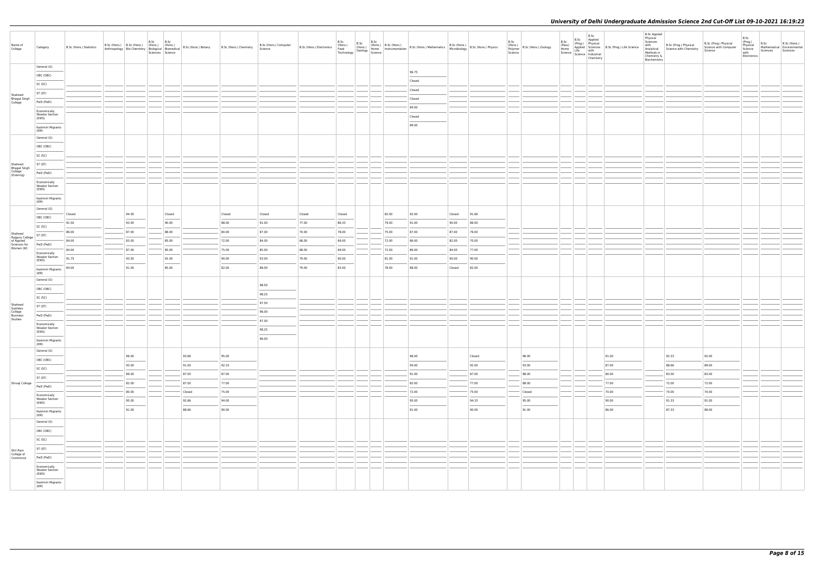|                                                                       |                                                |                         |       | B.Sc | B.Sc             |        |                                                                                                                                                                   |                                  |                                  | B.Sc   | B.Sc  |                                                                                                                                                                       |        |        | B.Sc |                                                    | B.Sc      |                                                                                                                                                                                           | <b>B.Sc Applied</b><br>Physical<br>Sciences |                                                                 |                                                           | B.Sc<br>(Prog.)                            |                  |                                                        |
|-----------------------------------------------------------------------|------------------------------------------------|-------------------------|-------|------|------------------|--------|-------------------------------------------------------------------------------------------------------------------------------------------------------------------|----------------------------------|----------------------------------|--------|-------|-----------------------------------------------------------------------------------------------------------------------------------------------------------------------|--------|--------|------|----------------------------------------------------|-----------|-------------------------------------------------------------------------------------------------------------------------------------------------------------------------------------------|---------------------------------------------|-----------------------------------------------------------------|-----------------------------------------------------------|--------------------------------------------|------------------|--------------------------------------------------------|
| Name of<br>College                                                    | Category                                       | B.Sc (Hons.) Statistics |       |      | Sciences Science |        | B.Sc (Hons.) B.Sc (Hons.) (Hons.) (Hons.) (Bons.) B.Sc (Hons.) Botany B.Sc (Hons.) Chemistry Anthropology Bio-Chemistry Biological Biomedical B.Sc (Hons.) Botany | B.Sc (Hons.) Computer<br>Science | B.Sc (Hons.) Electronics (Hons.) |        |       | B.Sc B.Sc (Hons.)<br>(Hons.) B.Sc (Hons.) B.Sc (Hons.) B.Sc (Hons.) Mathematics B.Sc (Hons.) B.Sc (Hons.) Physics<br>Technology Geology Science<br>Technology Science |        |        |      | (Hons.)<br>Polymer B.Sc (Hons.) Zoology<br>Science | Chemistry | B.Sc Applied<br>(Prog.) Physical<br>(Pass) (Prog.) Physical<br>Home Applied Science<br>Science Industrial<br>Science Industrial<br>The Conduction<br>Industrial<br>Chamietry<br>Chamietry | Methods in<br>Chemistry &<br>Biochemistry   | with B.Sc (Prog.) Physical<br>Analytical Science with Chemistry | B.Sc (Prog.) Physical<br>Science with Computer<br>Science | Physical<br>Science<br>with<br>Electronics | B.Sc<br>Sciences | B.Sc (Hons.)<br>Mathematical Environmental<br>Sciences |
|                                                                       | General (G)                                    |                         |       |      |                  |        |                                                                                                                                                                   |                                  |                                  |        |       | 96.75                                                                                                                                                                 |        |        |      |                                                    |           |                                                                                                                                                                                           |                                             |                                                                 |                                                           |                                            |                  |                                                        |
|                                                                       | OBC (OBC)                                      |                         |       |      |                  |        |                                                                                                                                                                   |                                  |                                  |        |       | Closed                                                                                                                                                                |        |        |      |                                                    |           |                                                                                                                                                                                           |                                             |                                                                 |                                                           |                                            |                  |                                                        |
|                                                                       | SC (SC)                                        |                         |       |      |                  |        |                                                                                                                                                                   |                                  |                                  |        |       | Closed                                                                                                                                                                |        |        |      |                                                    |           |                                                                                                                                                                                           |                                             |                                                                 |                                                           |                                            |                  |                                                        |
| Shaheed<br>Bhagat Singh<br>College                                    | ST (ST)                                        |                         |       |      |                  |        |                                                                                                                                                                   |                                  |                                  |        |       | Closed                                                                                                                                                                |        |        |      |                                                    |           |                                                                                                                                                                                           |                                             |                                                                 |                                                           |                                            |                  |                                                        |
|                                                                       | PwD (PwD)                                      |                         |       |      |                  |        |                                                                                                                                                                   |                                  |                                  |        |       | 84.00                                                                                                                                                                 |        |        |      |                                                    |           |                                                                                                                                                                                           |                                             |                                                                 |                                                           |                                            |                  |                                                        |
|                                                                       | Economically<br><b>Weaker Section</b><br>(EWS) |                         |       |      |                  |        |                                                                                                                                                                   |                                  |                                  |        |       | Closed                                                                                                                                                                |        |        |      |                                                    |           |                                                                                                                                                                                           |                                             |                                                                 |                                                           |                                            |                  |                                                        |
|                                                                       | Kashmiri Migrants                              |                         |       |      |                  |        |                                                                                                                                                                   |                                  |                                  |        |       | 89.00                                                                                                                                                                 |        |        |      |                                                    |           |                                                                                                                                                                                           |                                             |                                                                 |                                                           |                                            |                  |                                                        |
|                                                                       | (KM)<br>General (G)                            |                         |       |      |                  |        |                                                                                                                                                                   |                                  |                                  |        |       |                                                                                                                                                                       |        |        |      |                                                    |           |                                                                                                                                                                                           |                                             |                                                                 |                                                           |                                            |                  |                                                        |
|                                                                       | OBC (OBC)                                      |                         |       |      |                  |        |                                                                                                                                                                   |                                  |                                  |        |       |                                                                                                                                                                       |        |        |      |                                                    |           |                                                                                                                                                                                           |                                             |                                                                 |                                                           |                                            |                  |                                                        |
|                                                                       | SC (SC)                                        |                         |       |      |                  |        |                                                                                                                                                                   |                                  |                                  |        |       |                                                                                                                                                                       |        |        |      |                                                    |           |                                                                                                                                                                                           |                                             |                                                                 |                                                           |                                            |                  |                                                        |
|                                                                       | ST (ST)                                        |                         |       |      |                  |        |                                                                                                                                                                   |                                  |                                  |        |       |                                                                                                                                                                       |        |        |      |                                                    |           |                                                                                                                                                                                           |                                             |                                                                 |                                                           |                                            |                  |                                                        |
| Shaheed<br>Bhagat Singh<br>College<br>(Evening)                       | PwD (PwD)                                      |                         |       |      |                  |        |                                                                                                                                                                   |                                  |                                  |        |       |                                                                                                                                                                       |        |        |      |                                                    |           |                                                                                                                                                                                           |                                             |                                                                 |                                                           |                                            |                  |                                                        |
|                                                                       | Economically<br><b>Weaker Section</b>          |                         |       |      |                  |        |                                                                                                                                                                   |                                  |                                  |        |       |                                                                                                                                                                       |        |        |      |                                                    |           |                                                                                                                                                                                           |                                             |                                                                 |                                                           |                                            |                  |                                                        |
|                                                                       | (EWS)<br>Kashmiri Migrants                     |                         |       |      |                  |        |                                                                                                                                                                   |                                  |                                  |        |       |                                                                                                                                                                       |        |        |      |                                                    |           |                                                                                                                                                                                           |                                             |                                                                 |                                                           |                                            |                  |                                                        |
|                                                                       | (KM)                                           |                         |       |      |                  |        |                                                                                                                                                                   |                                  |                                  |        |       |                                                                                                                                                                       |        |        |      |                                                    |           |                                                                                                                                                                                           |                                             |                                                                 |                                                           |                                            |                  |                                                        |
|                                                                       | General (G)<br>OBC (OBC)                       | Closed                  | 94.00 |      | Closed           |        | Closed                                                                                                                                                            | Closed                           | Closed                           | Closed | 82.00 | 92.00                                                                                                                                                                 | Closed | 91.66  |      |                                                    |           |                                                                                                                                                                                           |                                             |                                                                 |                                                           |                                            |                  |                                                        |
|                                                                       | SC (SC)                                        | 91.50                   | 93.00 |      | 90.00            |        | 88.00                                                                                                                                                             | 91.00                            | 77.00                            | 86.33  | 79.00 | 91.00                                                                                                                                                                 | 90.00  | 86.00  |      |                                                    |           |                                                                                                                                                                                           |                                             |                                                                 |                                                           |                                            |                  |                                                        |
|                                                                       | ST (ST)                                        | 86.00                   | 87.00 |      | 88.00            |        | 80.00                                                                                                                                                             | 87.00                            | 70.00                            | 78.00  | 75.00 | 87.00                                                                                                                                                                 | 87.00  | 76.00  |      |                                                    |           |                                                                                                                                                                                           |                                             |                                                                 |                                                           |                                            |                  |                                                        |
| Shaheed<br>Rajguru College<br>of Applied<br>Sciences for<br>Women (W) | PwD (PwD)                                      | 84.00                   | 83.00 |      | 85.00            |        | 72.00                                                                                                                                                             | 84.00                            | 68.00                            | 69.00  | 72.00 | 86.00                                                                                                                                                                 | 82.00  | 70.00  |      |                                                    |           |                                                                                                                                                                                           |                                             |                                                                 |                                                           |                                            |                  |                                                        |
|                                                                       | Economically                                   | 84.00                   | 87.00 |      | 85.00            |        | 75.00                                                                                                                                                             | 85.00                            | 68.00                            | 69.00  | 72.00 | 86.00                                                                                                                                                                 | 84.00  | 77.00  |      |                                                    |           |                                                                                                                                                                                           |                                             |                                                                 |                                                           |                                            |                  |                                                        |
|                                                                       | <b>Weaker Section</b><br>(EWS)                 | 91.75                   | 93.50 |      | 91.00            |        | 90.00                                                                                                                                                             | 93.00                            | 79.00                            | 90.00  | 81.00 | 91.00                                                                                                                                                                 | 90.00  | 90.00  |      |                                                    |           |                                                                                                                                                                                           |                                             |                                                                 |                                                           |                                            |                  |                                                        |
|                                                                       | Kashmiri Migrants<br>(KM)                      | 84.00                   | 91.00 |      | 85.00            |        | 82.00                                                                                                                                                             | 88.00                            | 79.00                            | 83.00  | 78.00 | 88.00                                                                                                                                                                 | Closed | 82.00  |      |                                                    |           |                                                                                                                                                                                           |                                             |                                                                 |                                                           |                                            |                  |                                                        |
|                                                                       | General (G)                                    |                         |       |      |                  |        |                                                                                                                                                                   | 98.50                            |                                  |        |       |                                                                                                                                                                       |        |        |      |                                                    |           |                                                                                                                                                                                           |                                             |                                                                 |                                                           |                                            |                  |                                                        |
|                                                                       | OBC (OBC)                                      |                         |       |      |                  |        |                                                                                                                                                                   | 98.25                            |                                  |        |       |                                                                                                                                                                       |        |        |      |                                                    |           |                                                                                                                                                                                           |                                             |                                                                 |                                                           |                                            |                  |                                                        |
|                                                                       | SC (SC)                                        |                         |       |      |                  |        |                                                                                                                                                                   | 97.50                            |                                  |        |       |                                                                                                                                                                       |        |        |      |                                                    |           |                                                                                                                                                                                           |                                             |                                                                 |                                                           |                                            |                  |                                                        |
| Shaheed<br>Sukhdev<br>College                                         | ST (ST)                                        |                         |       |      |                  |        |                                                                                                                                                                   | 96.00                            |                                  |        |       |                                                                                                                                                                       |        |        |      |                                                    |           |                                                                                                                                                                                           |                                             |                                                                 |                                                           |                                            |                  |                                                        |
| Business<br>Studies                                                   | PwD (PwD)                                      |                         |       |      |                  |        |                                                                                                                                                                   | 97.00                            |                                  |        |       |                                                                                                                                                                       |        |        |      |                                                    |           |                                                                                                                                                                                           |                                             |                                                                 |                                                           |                                            |                  |                                                        |
|                                                                       | Economically<br><b>Weaker Section</b><br>(EWS) |                         |       |      |                  |        |                                                                                                                                                                   | 98.25                            |                                  |        |       |                                                                                                                                                                       |        |        |      |                                                    |           |                                                                                                                                                                                           |                                             |                                                                 |                                                           |                                            |                  |                                                        |
|                                                                       | Kashmiri Migrants                              |                         |       |      |                  |        |                                                                                                                                                                   | 96.00                            |                                  |        |       |                                                                                                                                                                       |        |        |      |                                                    |           |                                                                                                                                                                                           |                                             |                                                                 |                                                           |                                            |                  |                                                        |
|                                                                       | (KM)<br>General (G)                            |                         |       |      |                  |        |                                                                                                                                                                   |                                  |                                  |        |       |                                                                                                                                                                       |        |        |      |                                                    |           |                                                                                                                                                                                           |                                             |                                                                 |                                                           |                                            |                  |                                                        |
|                                                                       | OBC (OBC)                                      |                         | 96.00 |      |                  | 93.66  | 95.00                                                                                                                                                             |                                  |                                  |        |       | 96.00                                                                                                                                                                 |        | Closed |      | 96.00                                              |           | 91.00                                                                                                                                                                                     |                                             | 92.33                                                           | 92.00                                                     |                                            |                  |                                                        |
|                                                                       | SC (SC)                                        |                         | 93.00 |      |                  | 91.00  | 92.33                                                                                                                                                             |                                  |                                  |        |       | 94.00                                                                                                                                                                 |        | 92.00  |      | 93.00                                              |           | 87.00                                                                                                                                                                                     |                                             | 88.66                                                           | 89.00                                                     |                                            |                  |                                                        |
|                                                                       | ST (ST)                                        |                         | 89.00 |      |                  | 87.00  | 87.00                                                                                                                                                             |                                  |                                  |        |       | 91.00                                                                                                                                                                 |        | 87.00  |      | 88.00                                              |           | 80.00                                                                                                                                                                                     |                                             | 83.00                                                           | 83.00                                                     |                                            |                  |                                                        |
| Shivaji College                                                       | PwD (PwD)                                      |                         | 82.00 |      |                  | 87.00  | 77.00                                                                                                                                                             |                                  |                                  |        |       | 82.00                                                                                                                                                                 |        | 77.00  |      | 88.00                                              |           | 77.00                                                                                                                                                                                     |                                             | 72.00                                                           | 72.00                                                     |                                            |                  |                                                        |
|                                                                       | Economically<br><b>Weaker Section</b>          |                         | 80.00 |      |                  | Closed | 75.00                                                                                                                                                             |                                  |                                  |        |       | 72.00                                                                                                                                                                 |        | 75.00  |      | Closed                                             |           | 70.00                                                                                                                                                                                     |                                             | 70.00                                                           | 70.00                                                     |                                            |                  |                                                        |
|                                                                       | (EWS)                                          |                         | 95.00 |      |                  | 92.66  | 94.00                                                                                                                                                             |                                  |                                  |        |       | 95.00                                                                                                                                                                 |        | 94.33  |      | 95.00                                              |           | 90.00                                                                                                                                                                                     |                                             | 91.33                                                           | 91.00                                                     |                                            |                  |                                                        |
|                                                                       | Kashmiri Migrants<br>(KM)                      |                         | 91.00 |      |                  | 88.66  | 90.00                                                                                                                                                             |                                  |                                  |        |       | 91.00                                                                                                                                                                 |        | 90.00  |      | 91.00                                              |           | 86.00                                                                                                                                                                                     |                                             | 87.33                                                           | 88.00                                                     |                                            |                  |                                                        |
|                                                                       | General (G)                                    |                         |       |      |                  |        |                                                                                                                                                                   |                                  |                                  |        |       |                                                                                                                                                                       |        |        |      |                                                    |           |                                                                                                                                                                                           |                                             |                                                                 |                                                           |                                            |                  |                                                        |
|                                                                       | OBC (OBC)                                      |                         |       |      |                  |        |                                                                                                                                                                   |                                  |                                  |        |       |                                                                                                                                                                       |        |        |      |                                                    |           |                                                                                                                                                                                           |                                             |                                                                 |                                                           |                                            |                  |                                                        |
|                                                                       | SC (SC)                                        |                         |       |      |                  |        |                                                                                                                                                                   |                                  |                                  |        |       |                                                                                                                                                                       |        |        |      |                                                    |           |                                                                                                                                                                                           |                                             |                                                                 |                                                           |                                            |                  |                                                        |
| Shri Ram<br>College of<br>Commerce                                    | ST (ST)                                        |                         |       |      |                  |        |                                                                                                                                                                   |                                  |                                  |        |       |                                                                                                                                                                       |        |        |      |                                                    |           |                                                                                                                                                                                           |                                             |                                                                 |                                                           |                                            |                  |                                                        |
|                                                                       | PwD (PwD)                                      |                         |       |      |                  |        |                                                                                                                                                                   |                                  |                                  |        |       |                                                                                                                                                                       |        |        |      |                                                    |           |                                                                                                                                                                                           |                                             |                                                                 |                                                           |                                            |                  |                                                        |
|                                                                       | Economically<br>Weaker Section<br>(EWS)        |                         |       |      |                  |        |                                                                                                                                                                   |                                  |                                  |        |       |                                                                                                                                                                       |        |        |      |                                                    |           |                                                                                                                                                                                           |                                             |                                                                 |                                                           |                                            |                  |                                                        |
|                                                                       | Kashmiri Migrants<br>(KM)                      |                         |       |      |                  |        |                                                                                                                                                                   |                                  |                                  |        |       |                                                                                                                                                                       |        |        |      |                                                    |           |                                                                                                                                                                                           |                                             |                                                                 |                                                           |                                            |                  |                                                        |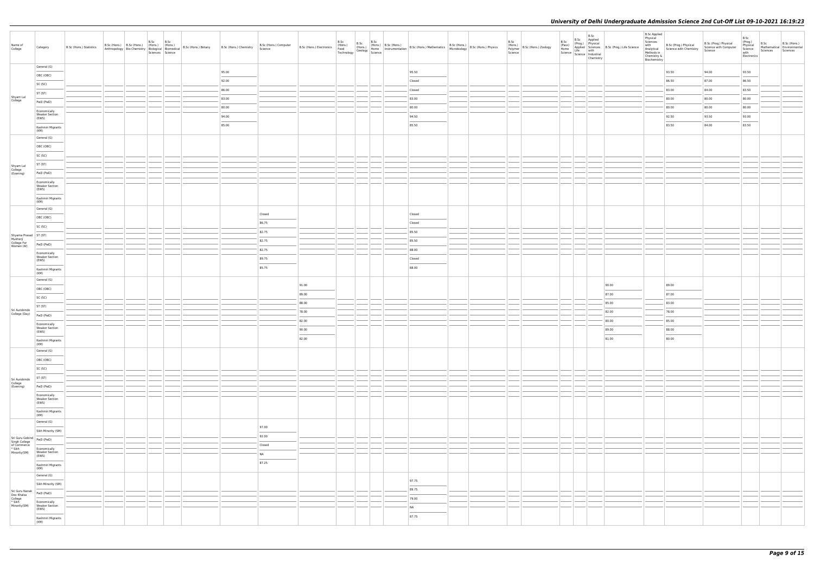| Name of<br>College                                                        | Category                                       | B.Sc (Hons.) Statistics |  | B.Sc B.Sc<br>Sciences Science |  | B.Sc (Hons.) B.Sc (Hons.) (Hons.) (Hons.) (Hons.) B.Sc (Hons.) Botany B.Sc (Hons.) Chemistry Bio-Chemistry Biological Biomedical B.Sc (Hons.) B.Sc (Hons.) Chemistry Science | B.Sc (Hons.) Computer |                | B.Sc | B.Sc |                  | B.Sc (Hons.) B.Sc (Hons.) B.Sc (Hons.) B.Sc (Hons.) B.Sc (Hons.) B.Sc (Hons.) B.Sc (Hons.) B.Sc (Hons.) B.Sc (Hons.) B.Sc (Hons.) B.Sc (Hons.) B.Sc (Hons.) B.Sc (Hons.) Physics Technology Science B.Sc (Hons.) Physics (Hons | B.Sc | (Hons.)<br>Polymer<br>Science |  | $\begin{tabular}{c c c} & & B.Sc & B.Sc & \textit{Applied} \\ \hline \textit{p} & (Prop.g.) & Phyisical & \textit{Physical} \\ \textit{Applied} & \textit{Science} & \textit{S.} \\ Science & \textit{Life} & \textit{with} \\ Science & \textit{Coience} & \textit{Maxtrial} \\ \hline \end{tabular} \begin{tabular}{c c c} S.c \\ Science & \textit{Multi} \\ Chemic \\ Chemistry \\ \end{tabular} \begin{tabular}{c c c} S.c \\ \hline \end{tabular} \begin{tabular}{c} S.c \\ S. \\ \\ \hline \end{tabular}$ | <b>B.Sc Applied</b><br>Physical<br>Biochemistry | $\begin{array}{ll}\n\text{with} & \text{B.Sc (Prog.) Physical} \\ \text{Analytical} & \text{Science with Chemistry} \\ \text{Chenistry} & \text{C.} \\ \text{Biochemistry} & \text{B.} \\ \text{Biochemistry} & \text{C.} \\ \end{array}$ | B.Sc (Prog.) Physical<br>Science with Computer<br>Science | B.Sc<br>(Prog.)<br>Physical<br>Science<br>with<br>Electronics | B.Sc<br>Sciences Sciences | B.Sc (Hons.)<br>Mathematical Environmental |
|---------------------------------------------------------------------------|------------------------------------------------|-------------------------|--|-------------------------------|--|------------------------------------------------------------------------------------------------------------------------------------------------------------------------------|-----------------------|----------------|------|------|------------------|--------------------------------------------------------------------------------------------------------------------------------------------------------------------------------------------------------------------------------|------|-------------------------------|--|------------------------------------------------------------------------------------------------------------------------------------------------------------------------------------------------------------------------------------------------------------------------------------------------------------------------------------------------------------------------------------------------------------------------------------------------------------------------------------------------------------------|-------------------------------------------------|-------------------------------------------------------------------------------------------------------------------------------------------------------------------------------------------------------------------------------------------|-----------------------------------------------------------|---------------------------------------------------------------|---------------------------|--------------------------------------------|
|                                                                           | General (G)                                    |                         |  |                               |  | 95.00                                                                                                                                                                        |                       |                |      |      | 95.50            |                                                                                                                                                                                                                                |      |                               |  |                                                                                                                                                                                                                                                                                                                                                                                                                                                                                                                  |                                                 | 93.50                                                                                                                                                                                                                                     | 94.00                                                     | 93.50                                                         |                           |                                            |
|                                                                           | OBC (OBC)                                      |                         |  |                               |  | 92.00                                                                                                                                                                        |                       |                |      |      | Closed           |                                                                                                                                                                                                                                |      |                               |  |                                                                                                                                                                                                                                                                                                                                                                                                                                                                                                                  |                                                 | 86.50                                                                                                                                                                                                                                     | 87.00                                                     | 86.50                                                         |                           |                                            |
|                                                                           | SC (SC)                                        |                         |  |                               |  | 86.00                                                                                                                                                                        |                       |                |      |      | Closed           |                                                                                                                                                                                                                                |      |                               |  |                                                                                                                                                                                                                                                                                                                                                                                                                                                                                                                  |                                                 | 83.00                                                                                                                                                                                                                                     | 84.00                                                     | 83.50                                                         |                           |                                            |
| Shyam Lal<br>College                                                      | ST (ST)                                        |                         |  |                               |  | 83.00                                                                                                                                                                        |                       |                |      |      | 83.00            |                                                                                                                                                                                                                                |      |                               |  |                                                                                                                                                                                                                                                                                                                                                                                                                                                                                                                  |                                                 | 80.00                                                                                                                                                                                                                                     | 80.00                                                     | 80.00                                                         |                           |                                            |
|                                                                           | PwD (PwD)                                      |                         |  |                               |  | 80.00                                                                                                                                                                        |                       |                |      |      | 80.00            |                                                                                                                                                                                                                                |      |                               |  |                                                                                                                                                                                                                                                                                                                                                                                                                                                                                                                  |                                                 | 80.00                                                                                                                                                                                                                                     | 80.00                                                     | 80.00                                                         |                           |                                            |
|                                                                           | Economically<br><b>Weaker Section</b><br>(EWS) |                         |  |                               |  | 94.00                                                                                                                                                                        |                       |                |      |      | 94.50            |                                                                                                                                                                                                                                |      |                               |  |                                                                                                                                                                                                                                                                                                                                                                                                                                                                                                                  |                                                 | 92.50                                                                                                                                                                                                                                     | 93.50                                                     | 93.00                                                         |                           |                                            |
|                                                                           | Kashmiri Migrants                              |                         |  |                               |  | 85.00                                                                                                                                                                        |                       |                |      |      | 85.50            |                                                                                                                                                                                                                                |      |                               |  |                                                                                                                                                                                                                                                                                                                                                                                                                                                                                                                  |                                                 | 83.50                                                                                                                                                                                                                                     | 84.00                                                     | 83.50                                                         |                           |                                            |
|                                                                           | (KM)<br>General (G)                            |                         |  |                               |  |                                                                                                                                                                              |                       |                |      |      |                  |                                                                                                                                                                                                                                |      |                               |  |                                                                                                                                                                                                                                                                                                                                                                                                                                                                                                                  |                                                 |                                                                                                                                                                                                                                           |                                                           |                                                               |                           |                                            |
|                                                                           | OBC (OBC)                                      |                         |  |                               |  |                                                                                                                                                                              |                       |                |      |      |                  |                                                                                                                                                                                                                                |      |                               |  |                                                                                                                                                                                                                                                                                                                                                                                                                                                                                                                  |                                                 |                                                                                                                                                                                                                                           |                                                           |                                                               |                           |                                            |
|                                                                           | SC (SC)                                        |                         |  |                               |  |                                                                                                                                                                              |                       |                |      |      |                  |                                                                                                                                                                                                                                |      |                               |  |                                                                                                                                                                                                                                                                                                                                                                                                                                                                                                                  |                                                 |                                                                                                                                                                                                                                           |                                                           |                                                               |                           |                                            |
|                                                                           | ST (ST)                                        |                         |  |                               |  |                                                                                                                                                                              |                       |                |      |      |                  |                                                                                                                                                                                                                                |      |                               |  |                                                                                                                                                                                                                                                                                                                                                                                                                                                                                                                  |                                                 |                                                                                                                                                                                                                                           |                                                           |                                                               |                           |                                            |
| Shyam Lal<br>College<br>(Evening)                                         | PwD (PwD)                                      |                         |  |                               |  |                                                                                                                                                                              |                       |                |      |      |                  |                                                                                                                                                                                                                                |      |                               |  |                                                                                                                                                                                                                                                                                                                                                                                                                                                                                                                  |                                                 |                                                                                                                                                                                                                                           |                                                           |                                                               |                           |                                            |
|                                                                           | Economically<br><b>Weaker Section</b><br>(EWS) |                         |  |                               |  |                                                                                                                                                                              |                       |                |      |      |                  |                                                                                                                                                                                                                                |      |                               |  |                                                                                                                                                                                                                                                                                                                                                                                                                                                                                                                  |                                                 |                                                                                                                                                                                                                                           |                                                           |                                                               |                           |                                            |
|                                                                           | ___<br>Kashmiri Migrants<br>(KM)               |                         |  |                               |  |                                                                                                                                                                              |                       |                |      |      |                  |                                                                                                                                                                                                                                |      |                               |  |                                                                                                                                                                                                                                                                                                                                                                                                                                                                                                                  |                                                 |                                                                                                                                                                                                                                           |                                                           |                                                               |                           |                                            |
|                                                                           | General (G)                                    |                         |  |                               |  |                                                                                                                                                                              |                       |                |      |      |                  |                                                                                                                                                                                                                                |      |                               |  |                                                                                                                                                                                                                                                                                                                                                                                                                                                                                                                  |                                                 |                                                                                                                                                                                                                                           |                                                           |                                                               |                           |                                            |
|                                                                           | OBC (OBC)                                      |                         |  |                               |  |                                                                                                                                                                              | Closed<br>86.75       |                |      |      | Closed<br>Closed |                                                                                                                                                                                                                                |      |                               |  |                                                                                                                                                                                                                                                                                                                                                                                                                                                                                                                  |                                                 |                                                                                                                                                                                                                                           |                                                           |                                                               |                           |                                            |
|                                                                           | SC (SC)                                        |                         |  |                               |  |                                                                                                                                                                              | 82.75                 |                |      |      | 85.50            |                                                                                                                                                                                                                                |      |                               |  |                                                                                                                                                                                                                                                                                                                                                                                                                                                                                                                  |                                                 |                                                                                                                                                                                                                                           |                                                           |                                                               |                           |                                            |
| Shyama Prasad<br>Mukherji<br>College For<br>Women (W)                     |                                                |                         |  |                               |  |                                                                                                                                                                              | 82.75                 |                |      |      | 85.50            |                                                                                                                                                                                                                                |      |                               |  |                                                                                                                                                                                                                                                                                                                                                                                                                                                                                                                  |                                                 |                                                                                                                                                                                                                                           |                                                           |                                                               |                           |                                            |
|                                                                           | PwD (PwD)                                      |                         |  |                               |  |                                                                                                                                                                              | 82.75                 |                |      |      | 88.00            |                                                                                                                                                                                                                                |      |                               |  |                                                                                                                                                                                                                                                                                                                                                                                                                                                                                                                  |                                                 |                                                                                                                                                                                                                                           |                                                           |                                                               |                           |                                            |
|                                                                           | Economically<br><b>Weaker Section</b><br>(EWS) |                         |  |                               |  |                                                                                                                                                                              | 89.75                 |                |      |      | Closed           |                                                                                                                                                                                                                                |      |                               |  |                                                                                                                                                                                                                                                                                                                                                                                                                                                                                                                  |                                                 |                                                                                                                                                                                                                                           |                                                           |                                                               |                           |                                            |
|                                                                           | Kashmiri Migrants<br>(KM)                      |                         |  |                               |  |                                                                                                                                                                              | 85.75                 |                |      |      | 88.00            |                                                                                                                                                                                                                                |      |                               |  |                                                                                                                                                                                                                                                                                                                                                                                                                                                                                                                  |                                                 |                                                                                                                                                                                                                                           |                                                           |                                                               |                           |                                            |
|                                                                           | General (G)                                    |                         |  |                               |  |                                                                                                                                                                              |                       |                |      |      |                  |                                                                                                                                                                                                                                |      |                               |  |                                                                                                                                                                                                                                                                                                                                                                                                                                                                                                                  |                                                 |                                                                                                                                                                                                                                           |                                                           |                                                               |                           |                                            |
|                                                                           | OBC (OBC)                                      |                         |  |                               |  |                                                                                                                                                                              |                       | 91.00          |      |      |                  |                                                                                                                                                                                                                                |      |                               |  | 90.00                                                                                                                                                                                                                                                                                                                                                                                                                                                                                                            |                                                 | 89.00                                                                                                                                                                                                                                     |                                                           |                                                               |                           |                                            |
|                                                                           | SC (SC)                                        |                         |  |                               |  |                                                                                                                                                                              |                       | 89.00          |      |      |                  |                                                                                                                                                                                                                                |      |                               |  | 87.00                                                                                                                                                                                                                                                                                                                                                                                                                                                                                                            |                                                 | 87.00                                                                                                                                                                                                                                     |                                                           |                                                               |                           |                                            |
| Sri Aurobindo                                                             | ST (ST)                                        |                         |  |                               |  |                                                                                                                                                                              |                       | 88.00          |      |      |                  |                                                                                                                                                                                                                                |      |                               |  | 85.00                                                                                                                                                                                                                                                                                                                                                                                                                                                                                                            |                                                 | 83.00                                                                                                                                                                                                                                     |                                                           |                                                               |                           |                                            |
| College (Day)                                                             | PwD (PwD)                                      |                         |  |                               |  |                                                                                                                                                                              |                       | 78.00          |      |      |                  |                                                                                                                                                                                                                                |      |                               |  | 82.00                                                                                                                                                                                                                                                                                                                                                                                                                                                                                                            |                                                 | 78.00                                                                                                                                                                                                                                     |                                                           |                                                               |                           |                                            |
|                                                                           | Economically<br><b>Weaker Section</b>          |                         |  |                               |  |                                                                                                                                                                              |                       | 82.00<br>90.00 |      |      |                  |                                                                                                                                                                                                                                |      |                               |  | 80.00<br>89.00                                                                                                                                                                                                                                                                                                                                                                                                                                                                                                   |                                                 | 85.00<br>88.00                                                                                                                                                                                                                            |                                                           |                                                               |                           |                                            |
|                                                                           | (EWS)                                          |                         |  |                               |  |                                                                                                                                                                              |                       | 82.00          |      |      |                  |                                                                                                                                                                                                                                |      |                               |  | 81.00                                                                                                                                                                                                                                                                                                                                                                                                                                                                                                            |                                                 | 80.00                                                                                                                                                                                                                                     |                                                           |                                                               |                           |                                            |
|                                                                           | Kashmiri Migrants<br>(KM)                      |                         |  |                               |  |                                                                                                                                                                              |                       |                |      |      |                  |                                                                                                                                                                                                                                |      |                               |  |                                                                                                                                                                                                                                                                                                                                                                                                                                                                                                                  |                                                 |                                                                                                                                                                                                                                           |                                                           |                                                               |                           |                                            |
|                                                                           | General (G)<br>OBC (OBC)                       |                         |  |                               |  |                                                                                                                                                                              |                       |                |      |      |                  |                                                                                                                                                                                                                                |      |                               |  |                                                                                                                                                                                                                                                                                                                                                                                                                                                                                                                  |                                                 |                                                                                                                                                                                                                                           |                                                           |                                                               |                           |                                            |
|                                                                           | SC (SC)                                        |                         |  |                               |  |                                                                                                                                                                              |                       |                |      |      |                  |                                                                                                                                                                                                                                |      |                               |  |                                                                                                                                                                                                                                                                                                                                                                                                                                                                                                                  |                                                 |                                                                                                                                                                                                                                           |                                                           |                                                               |                           |                                            |
|                                                                           | ST (ST)                                        |                         |  |                               |  |                                                                                                                                                                              |                       |                |      |      |                  |                                                                                                                                                                                                                                |      |                               |  |                                                                                                                                                                                                                                                                                                                                                                                                                                                                                                                  |                                                 |                                                                                                                                                                                                                                           |                                                           |                                                               |                           |                                            |
| Sri Aurobindo<br>College<br>(Evening)                                     | PwD (PwD)                                      |                         |  |                               |  |                                                                                                                                                                              |                       |                |      |      |                  |                                                                                                                                                                                                                                |      |                               |  |                                                                                                                                                                                                                                                                                                                                                                                                                                                                                                                  |                                                 |                                                                                                                                                                                                                                           |                                                           |                                                               |                           |                                            |
|                                                                           | Economically<br><b>Weaker Section</b>          |                         |  |                               |  |                                                                                                                                                                              |                       |                |      |      |                  |                                                                                                                                                                                                                                |      |                               |  |                                                                                                                                                                                                                                                                                                                                                                                                                                                                                                                  |                                                 |                                                                                                                                                                                                                                           |                                                           |                                                               |                           |                                            |
|                                                                           | (EWS)<br>Kashmiri Migrants                     |                         |  |                               |  |                                                                                                                                                                              |                       |                |      |      |                  |                                                                                                                                                                                                                                |      |                               |  |                                                                                                                                                                                                                                                                                                                                                                                                                                                                                                                  |                                                 |                                                                                                                                                                                                                                           |                                                           |                                                               |                           |                                            |
|                                                                           | (KM)<br>General (G)                            |                         |  |                               |  |                                                                                                                                                                              |                       |                |      |      |                  |                                                                                                                                                                                                                                |      |                               |  |                                                                                                                                                                                                                                                                                                                                                                                                                                                                                                                  |                                                 |                                                                                                                                                                                                                                           |                                                           |                                                               |                           |                                            |
|                                                                           | Sikh Minority (SM)                             |                         |  |                               |  |                                                                                                                                                                              | 97.00                 |                |      |      |                  |                                                                                                                                                                                                                                |      |                               |  |                                                                                                                                                                                                                                                                                                                                                                                                                                                                                                                  |                                                 |                                                                                                                                                                                                                                           |                                                           |                                                               |                           |                                            |
|                                                                           | PwD (PwD)                                      |                         |  |                               |  |                                                                                                                                                                              | 92.00                 |                |      |      |                  |                                                                                                                                                                                                                                |      |                               |  |                                                                                                                                                                                                                                                                                                                                                                                                                                                                                                                  |                                                 |                                                                                                                                                                                                                                           |                                                           |                                                               |                           |                                            |
|                                                                           | Economically<br>Weaker Section                 |                         |  |                               |  |                                                                                                                                                                              | Closed                |                |      |      |                  |                                                                                                                                                                                                                                |      |                               |  |                                                                                                                                                                                                                                                                                                                                                                                                                                                                                                                  |                                                 |                                                                                                                                                                                                                                           |                                                           |                                                               |                           |                                            |
| Sri Guru Gobind<br>Singh College<br>of Commerce<br>* Sikh<br>Minority(SM) | (EWS)                                          |                         |  |                               |  |                                                                                                                                                                              | NA                    |                |      |      |                  |                                                                                                                                                                                                                                |      |                               |  |                                                                                                                                                                                                                                                                                                                                                                                                                                                                                                                  |                                                 |                                                                                                                                                                                                                                           |                                                           |                                                               |                           |                                            |
|                                                                           | <b>STATISTICS</b><br>Kashmiri Migrants<br>(KM) |                         |  |                               |  |                                                                                                                                                                              | 87.25                 |                |      |      |                  |                                                                                                                                                                                                                                |      |                               |  |                                                                                                                                                                                                                                                                                                                                                                                                                                                                                                                  |                                                 |                                                                                                                                                                                                                                           |                                                           |                                                               |                           |                                            |
|                                                                           | General (G)                                    |                         |  |                               |  |                                                                                                                                                                              |                       |                |      |      |                  |                                                                                                                                                                                                                                |      |                               |  |                                                                                                                                                                                                                                                                                                                                                                                                                                                                                                                  |                                                 |                                                                                                                                                                                                                                           |                                                           |                                                               |                           |                                            |
|                                                                           | Sikh Minority (SM)                             |                         |  |                               |  |                                                                                                                                                                              |                       |                |      |      | 97.75            |                                                                                                                                                                                                                                |      |                               |  |                                                                                                                                                                                                                                                                                                                                                                                                                                                                                                                  |                                                 |                                                                                                                                                                                                                                           |                                                           |                                                               |                           |                                            |
|                                                                           | PwD (PwD)                                      |                         |  |                               |  |                                                                                                                                                                              |                       |                |      |      | 89.75            |                                                                                                                                                                                                                                |      |                               |  |                                                                                                                                                                                                                                                                                                                                                                                                                                                                                                                  |                                                 |                                                                                                                                                                                                                                           |                                                           |                                                               |                           |                                            |
| Sri Guru Nanak<br>Dev Khalsa<br>College<br>* Sikh<br>Minority(SM)         | Economically<br>Weaker Section                 |                         |  |                               |  |                                                                                                                                                                              |                       |                |      |      | 79.00            |                                                                                                                                                                                                                                |      |                               |  |                                                                                                                                                                                                                                                                                                                                                                                                                                                                                                                  |                                                 |                                                                                                                                                                                                                                           |                                                           |                                                               |                           |                                            |
|                                                                           | (EWS)                                          |                         |  |                               |  |                                                                                                                                                                              |                       |                |      |      | <b>NA</b>        |                                                                                                                                                                                                                                |      |                               |  |                                                                                                                                                                                                                                                                                                                                                                                                                                                                                                                  |                                                 |                                                                                                                                                                                                                                           |                                                           |                                                               |                           |                                            |
|                                                                           | Kashmiri Migrants<br>(KM)                      |                         |  |                               |  |                                                                                                                                                                              |                       |                |      |      | 87.75            |                                                                                                                                                                                                                                |      |                               |  |                                                                                                                                                                                                                                                                                                                                                                                                                                                                                                                  |                                                 |                                                                                                                                                                                                                                           |                                                           |                                                               |                           |                                            |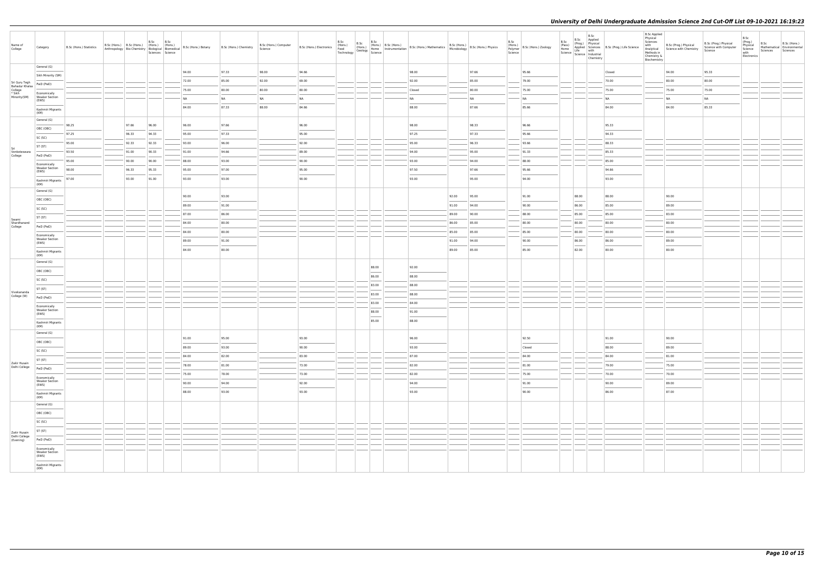| Name of<br>College                                  | Category                                       | B.Sc (Hons.) Statistics |       | B.Sc<br>B.Sc<br>B.Sc (Hons.) B.Sc (Hons.) (Hons.) (Hons.)<br>Sciences Science |       | Anthropology   Bio-Chemistry   Thomas.   Thomas.   Thomas.   B.Sc (Hons.) Botany   B.Sc (Hons.) Chemistry | B.Sc (Hons.) Computer<br>Science | B.Sc (Hons.) Electronics (Hons.) | B.Sc<br>Food<br>Technology Geology Home<br>Science | B.Sc<br>(Hons.) | B.Sc                              | (Hons.) B.Sc (Hons.) B.Sc (Hons.) Mathematics B.Sc (Hons.) B.Sc (Hons.) Physics<br>Home Instrumentation B.Sc (Hons.) Mathematics Microbiology |       |       | B.Sc<br>Polymer<br>Science | $\left  \begin{array}{c} 1.11 \\ \text{(Hons.)} \\ \text{Path-mor} \end{array} \right $ B.Sc (Hons.) Zoology | B.Sc<br>(Pass)<br>Home | B.Sc<br>B.Sc Applied<br>(Prog.) Physical<br>Science Science Industrial | Applied Sciences B.Sc (Prog.) Life Science<br>Life with | <b>B.Sc Applied</b><br>Physical<br>Sciences<br>with<br>Analytical<br>Methods in<br>Chemistry &<br>Biochemistry | B.Sc (Prog.) Physical<br>Science with Chemistry | B.Sc (Prog.) Physical<br>Science with Computer<br>Science | B.Sc<br>(Prog.)<br>B.Sc<br>B.Sc (Hons.)<br>Physical<br>Science<br>Mathematical Environmental<br>Sciences<br>Sciences<br>with<br>Electronics |
|-----------------------------------------------------|------------------------------------------------|-------------------------|-------|-------------------------------------------------------------------------------|-------|-----------------------------------------------------------------------------------------------------------|----------------------------------|----------------------------------|----------------------------------------------------|-----------------|-----------------------------------|-----------------------------------------------------------------------------------------------------------------------------------------------|-------|-------|----------------------------|--------------------------------------------------------------------------------------------------------------|------------------------|------------------------------------------------------------------------|---------------------------------------------------------|----------------------------------------------------------------------------------------------------------------|-------------------------------------------------|-----------------------------------------------------------|---------------------------------------------------------------------------------------------------------------------------------------------|
|                                                     | General (G)                                    |                         |       |                                                                               | 94.00 | 97.33                                                                                                     | 98.00                            | 94.66                            |                                                    |                 |                                   | 98.00                                                                                                                                         |       | 97.66 |                            | 95.66                                                                                                        |                        |                                                                        | Closed                                                  |                                                                                                                | 94.00                                           | 95.33                                                     |                                                                                                                                             |
| Sri Guru Tegh                                       | Sikh Minority (SM)                             |                         |       |                                                                               | 72.00 | 85.00                                                                                                     | 92.00                            | 69.00                            |                                                    |                 |                                   | 92.00                                                                                                                                         |       | 85.00 |                            | 79.00                                                                                                        |                        |                                                                        | 70.00                                                   |                                                                                                                | 80.00                                           | 80.00                                                     |                                                                                                                                             |
| Bahadur Khalsa<br>College<br>* Sikh<br>Minority(SM) | PwD (PwD)                                      |                         |       |                                                                               | 75.00 | 80.00                                                                                                     | 80.00                            | 80.00                            |                                                    |                 |                                   | Closed                                                                                                                                        |       | 80.00 |                            | 75.00                                                                                                        |                        |                                                                        | 75.00                                                   |                                                                                                                | 75.00                                           | 75.00                                                     |                                                                                                                                             |
|                                                     | Economically<br><b>Weaker Section</b><br>(EWS) |                         |       |                                                                               | NA    | <b>NA</b>                                                                                                 | <b>NA</b>                        | NA                               |                                                    |                 |                                   | NA                                                                                                                                            |       | NA    |                            | <b>NA</b>                                                                                                    |                        |                                                                        | NA                                                      |                                                                                                                | <b>NA</b>                                       | NA                                                        |                                                                                                                                             |
|                                                     | Kashmiri Migrants                              |                         |       |                                                                               | 84.00 | 87.33                                                                                                     | 88.00                            | 84.66                            |                                                    |                 |                                   | 88.00                                                                                                                                         |       | 87.66 |                            | 85.66                                                                                                        |                        |                                                                        | 84.00                                                   |                                                                                                                | 84.00                                           | 85.33                                                     |                                                                                                                                             |
|                                                     | (KM)<br>General (G)                            |                         |       |                                                                               |       |                                                                                                           |                                  |                                  |                                                    |                 |                                   |                                                                                                                                               |       |       |                            |                                                                                                              |                        |                                                                        |                                                         |                                                                                                                |                                                 |                                                           |                                                                                                                                             |
|                                                     | OBC (OBC)                                      | 98.25                   | 97.66 | 96.00                                                                         | 96.00 | 97.66                                                                                                     |                                  | 96.00                            |                                                    |                 |                                   | 98.00                                                                                                                                         |       | 98.33 |                            | 96.66                                                                                                        |                        |                                                                        | 95.33                                                   |                                                                                                                |                                                 |                                                           |                                                                                                                                             |
|                                                     | SC (SC)                                        | 97.25                   | 96.33 | 94.33                                                                         | 95.00 | 97.33                                                                                                     |                                  | 95.00                            |                                                    |                 |                                   | 97.25                                                                                                                                         |       | 97.33 |                            | 95.66                                                                                                        |                        |                                                                        | 94.33                                                   |                                                                                                                |                                                 |                                                           |                                                                                                                                             |
|                                                     | ST (ST)                                        | 95.00                   | 92.33 | 92.33                                                                         | 93.00 | 96.00                                                                                                     |                                  | 92.00                            |                                                    |                 |                                   | 95.00                                                                                                                                         |       | 96.33 |                            | 93.66                                                                                                        |                        |                                                                        | 88.33                                                   |                                                                                                                |                                                 |                                                           |                                                                                                                                             |
| Sri<br>Venketeswara<br>College                      | PwD (PwD)                                      | 93.50                   | 91.00 | 90.33                                                                         | 91.00 | 94.66                                                                                                     |                                  | 89.00                            |                                                    |                 |                                   | 94.00                                                                                                                                         |       | 95.00 |                            | 91.33                                                                                                        |                        |                                                                        | 85.33                                                   |                                                                                                                |                                                 |                                                           |                                                                                                                                             |
|                                                     | Economically                                   | 95.00                   | 90.00 | 90.00                                                                         | 88.00 | 93.00                                                                                                     |                                  | 90.00                            |                                                    |                 |                                   | 93.00                                                                                                                                         |       | 94.00 |                            | 88.00                                                                                                        |                        |                                                                        | 85.00                                                   |                                                                                                                |                                                 |                                                           |                                                                                                                                             |
|                                                     | <b>Weaker Section</b><br>(EWS)                 | 98.00                   | 96.33 | 95.33                                                                         | 95.00 | 97.00                                                                                                     |                                  | 95.00                            |                                                    |                 |                                   | 97.50                                                                                                                                         |       | 97.66 |                            | 95.66                                                                                                        |                        |                                                                        | 94.66                                                   |                                                                                                                |                                                 |                                                           |                                                                                                                                             |
|                                                     | Kashmiri Migrants                              | 97.00                   | 93.00 | 91.00                                                                         | 93.00 | 93.00                                                                                                     |                                  | 90.00                            |                                                    |                 |                                   | 93.00                                                                                                                                         |       | 95.00 |                            | 94.00                                                                                                        |                        |                                                                        | 93.00                                                   |                                                                                                                |                                                 |                                                           |                                                                                                                                             |
|                                                     | (KM)<br>General (G)                            |                         |       |                                                                               |       |                                                                                                           |                                  |                                  |                                                    |                 |                                   |                                                                                                                                               |       |       |                            |                                                                                                              |                        |                                                                        |                                                         |                                                                                                                |                                                 |                                                           |                                                                                                                                             |
|                                                     | OBC (OBC)                                      |                         |       |                                                                               | 90.00 | 93.00                                                                                                     |                                  |                                  |                                                    |                 |                                   |                                                                                                                                               | 92.00 | 95.00 |                            | 91.00                                                                                                        |                        | 88.00                                                                  | 88.00                                                   |                                                                                                                | 90.00                                           |                                                           |                                                                                                                                             |
|                                                     | SC (SC)                                        |                         |       |                                                                               | 89.00 | 91.00                                                                                                     |                                  |                                  |                                                    |                 |                                   |                                                                                                                                               | 91.00 | 94.00 |                            | 90.00                                                                                                        |                        | 86.00                                                                  | 85.00                                                   |                                                                                                                | 89.00                                           |                                                           |                                                                                                                                             |
| Swami<br>Shardhanand<br>College                     | ST (ST)                                        |                         |       |                                                                               | 87.00 | 86.00                                                                                                     |                                  |                                  |                                                    |                 |                                   |                                                                                                                                               | 89.00 | 90.00 |                            | 88.00                                                                                                        |                        | 85.00                                                                  | 85.00                                                   |                                                                                                                | 83.00                                           |                                                           |                                                                                                                                             |
|                                                     | PwD (PwD)                                      |                         |       |                                                                               | 84.00 | 80.00                                                                                                     |                                  |                                  |                                                    |                 |                                   |                                                                                                                                               | 86.00 | 85.00 |                            | 80.00                                                                                                        |                        | 80.00                                                                  | 80.00                                                   |                                                                                                                | 80.00                                           |                                                           |                                                                                                                                             |
|                                                     | Economically                                   |                         |       |                                                                               | 84.00 | 80.00                                                                                                     |                                  |                                  |                                                    |                 |                                   |                                                                                                                                               | 85.00 | 85.00 |                            | 85.00                                                                                                        |                        | 80.00                                                                  | 80.00                                                   |                                                                                                                | 80.00                                           |                                                           |                                                                                                                                             |
|                                                     | <b>Weaker Section</b><br>(EWS)                 |                         |       |                                                                               | 89.00 | 91.00                                                                                                     |                                  |                                  |                                                    |                 |                                   |                                                                                                                                               | 91.00 | 94.00 |                            | 90.00                                                                                                        |                        | 86.00                                                                  | 86.00                                                   |                                                                                                                | 89.00<br>$\sim$                                 |                                                           |                                                                                                                                             |
|                                                     | Kashmiri Migrants<br>(KM)                      |                         |       |                                                                               | 84.00 | 80.00                                                                                                     |                                  |                                  |                                                    |                 |                                   |                                                                                                                                               | 89.00 | 85.00 |                            | 85.00                                                                                                        |                        | 82.00                                                                  | 80.00                                                   |                                                                                                                | 80.00                                           |                                                           |                                                                                                                                             |
|                                                     | General (G)                                    |                         |       |                                                                               |       |                                                                                                           |                                  |                                  |                                                    |                 |                                   |                                                                                                                                               |       |       |                            |                                                                                                              |                        |                                                                        |                                                         |                                                                                                                |                                                 |                                                           |                                                                                                                                             |
|                                                     | OBC (OBC)                                      |                         |       |                                                                               |       |                                                                                                           |                                  |                                  |                                                    |                 | 88.00<br>$\overline{\phantom{a}}$ | 92.00                                                                                                                                         |       |       |                            |                                                                                                              |                        |                                                                        |                                                         |                                                                                                                |                                                 |                                                           |                                                                                                                                             |
|                                                     | SC (SC)                                        |                         |       |                                                                               |       |                                                                                                           |                                  |                                  |                                                    |                 | 86.00                             | 88.00                                                                                                                                         |       |       |                            |                                                                                                              |                        |                                                                        |                                                         |                                                                                                                |                                                 |                                                           |                                                                                                                                             |
|                                                     | ST (ST)                                        |                         |       |                                                                               |       |                                                                                                           |                                  |                                  |                                                    |                 | 83.00                             | 88.00                                                                                                                                         |       |       |                            |                                                                                                              |                        |                                                                        |                                                         |                                                                                                                |                                                 |                                                           |                                                                                                                                             |
| Vivekananda<br>College (W)                          | PwD (PwD)                                      |                         |       |                                                                               |       |                                                                                                           |                                  |                                  |                                                    |                 | 83.00                             | 88.00                                                                                                                                         |       |       |                            |                                                                                                              |                        |                                                                        |                                                         |                                                                                                                |                                                 |                                                           |                                                                                                                                             |
|                                                     | Economically                                   |                         |       |                                                                               |       |                                                                                                           |                                  |                                  |                                                    |                 | 83.00                             | 84.00                                                                                                                                         |       |       |                            |                                                                                                              |                        |                                                                        |                                                         |                                                                                                                |                                                 |                                                           |                                                                                                                                             |
|                                                     | <b>Weaker Section</b><br>(EWS)                 |                         |       |                                                                               |       |                                                                                                           |                                  |                                  |                                                    |                 | 88.00<br>$\overline{\phantom{a}}$ | 91.00                                                                                                                                         |       |       |                            |                                                                                                              |                        |                                                                        |                                                         |                                                                                                                |                                                 |                                                           |                                                                                                                                             |
|                                                     | Kashmiri Migrants<br>(KM)                      |                         |       |                                                                               |       |                                                                                                           |                                  |                                  |                                                    |                 | 85.00                             | 88.00                                                                                                                                         |       |       |                            |                                                                                                              |                        |                                                                        |                                                         |                                                                                                                |                                                 |                                                           |                                                                                                                                             |
|                                                     | General (G)                                    |                         |       |                                                                               |       |                                                                                                           |                                  |                                  |                                                    |                 |                                   |                                                                                                                                               |       |       |                            |                                                                                                              |                        |                                                                        |                                                         |                                                                                                                |                                                 |                                                           |                                                                                                                                             |
|                                                     | OBC (OBC)                                      |                         |       |                                                                               | 91.00 | 95.00                                                                                                     |                                  | 93.00                            |                                                    |                 |                                   | 96.00                                                                                                                                         |       |       |                            | 92.50                                                                                                        |                        |                                                                        | 91.00                                                   |                                                                                                                | 90.00                                           |                                                           |                                                                                                                                             |
|                                                     | SC (SC)                                        |                         |       |                                                                               | 89.00 | 93.00                                                                                                     |                                  | 90.00                            |                                                    |                 |                                   | 93.00                                                                                                                                         |       |       |                            | Closed                                                                                                       |                        |                                                                        | 88.00                                                   |                                                                                                                | 89.00                                           |                                                           |                                                                                                                                             |
| Zakir Husain                                        | ST (ST)                                        |                         |       |                                                                               | 84.00 | 82.00                                                                                                     |                                  | 83.00                            |                                                    |                 |                                   | 87.00                                                                                                                                         |       |       |                            | 84.00                                                                                                        |                        |                                                                        | 84.00                                                   |                                                                                                                | 81.00                                           |                                                           |                                                                                                                                             |
| Delhi College                                       | PwD (PwD)                                      |                         |       |                                                                               | 78.00 | 81.00                                                                                                     |                                  | 73.00                            |                                                    |                 |                                   | 82.00                                                                                                                                         |       |       |                            | 81.00                                                                                                        |                        |                                                                        | 79.00                                                   |                                                                                                                | 75.00                                           |                                                           |                                                                                                                                             |
|                                                     | Economically<br><b>Weaker Section</b>          |                         |       |                                                                               | 75.00 | 78.00                                                                                                     |                                  | 73.00                            |                                                    |                 |                                   | 82.00                                                                                                                                         |       |       |                            | 75.00                                                                                                        |                        |                                                                        | 70.00                                                   |                                                                                                                | 70.00                                           |                                                           |                                                                                                                                             |
|                                                     | (EWS)                                          |                         |       |                                                                               | 90.00 | 94.00                                                                                                     |                                  | 92.00                            |                                                    |                 |                                   | 94.00                                                                                                                                         |       |       |                            | 91.00                                                                                                        |                        |                                                                        | 90.00                                                   |                                                                                                                | 89.00                                           |                                                           |                                                                                                                                             |
|                                                     | Kashmiri Migrants<br>(KM)                      |                         |       |                                                                               | 88.00 | 93.00                                                                                                     |                                  | 93.00                            |                                                    |                 |                                   | 93.00                                                                                                                                         |       |       |                            | 90.00                                                                                                        |                        |                                                                        | 86.00                                                   |                                                                                                                | 87.00                                           |                                                           |                                                                                                                                             |
|                                                     | General (G)                                    |                         |       |                                                                               |       |                                                                                                           |                                  |                                  |                                                    |                 |                                   |                                                                                                                                               |       |       |                            |                                                                                                              |                        |                                                                        |                                                         |                                                                                                                |                                                 |                                                           |                                                                                                                                             |
|                                                     | OBC (OBC)                                      |                         |       |                                                                               |       |                                                                                                           |                                  |                                  |                                                    |                 |                                   |                                                                                                                                               |       |       |                            |                                                                                                              |                        |                                                                        |                                                         |                                                                                                                |                                                 |                                                           |                                                                                                                                             |
|                                                     | SC (SC)                                        |                         |       |                                                                               |       |                                                                                                           |                                  |                                  |                                                    |                 |                                   |                                                                                                                                               |       |       |                            |                                                                                                              |                        |                                                                        |                                                         |                                                                                                                |                                                 |                                                           |                                                                                                                                             |
| Zakir Husain                                        | ST (ST)                                        |                         |       |                                                                               |       |                                                                                                           |                                  |                                  |                                                    |                 |                                   |                                                                                                                                               |       |       |                            |                                                                                                              |                        |                                                                        |                                                         |                                                                                                                |                                                 |                                                           |                                                                                                                                             |
| Delhi College<br>(Evening)                          | PwD (PwD)                                      |                         |       |                                                                               |       |                                                                                                           |                                  |                                  |                                                    |                 |                                   |                                                                                                                                               |       |       |                            |                                                                                                              |                        |                                                                        |                                                         |                                                                                                                |                                                 |                                                           |                                                                                                                                             |
|                                                     | Economically                                   |                         |       |                                                                               |       |                                                                                                           |                                  |                                  |                                                    |                 |                                   |                                                                                                                                               |       |       |                            |                                                                                                              |                        |                                                                        |                                                         |                                                                                                                |                                                 |                                                           |                                                                                                                                             |
|                                                     | <b>Weaker Section</b><br>(EWS)                 |                         |       |                                                                               |       |                                                                                                           |                                  |                                  |                                                    |                 |                                   |                                                                                                                                               |       |       |                            |                                                                                                              |                        |                                                                        |                                                         |                                                                                                                |                                                 |                                                           |                                                                                                                                             |
|                                                     | Kashmiri Migrants<br>(KM)                      |                         |       |                                                                               |       |                                                                                                           |                                  |                                  |                                                    |                 |                                   |                                                                                                                                               |       |       |                            |                                                                                                              |                        |                                                                        |                                                         |                                                                                                                |                                                 |                                                           |                                                                                                                                             |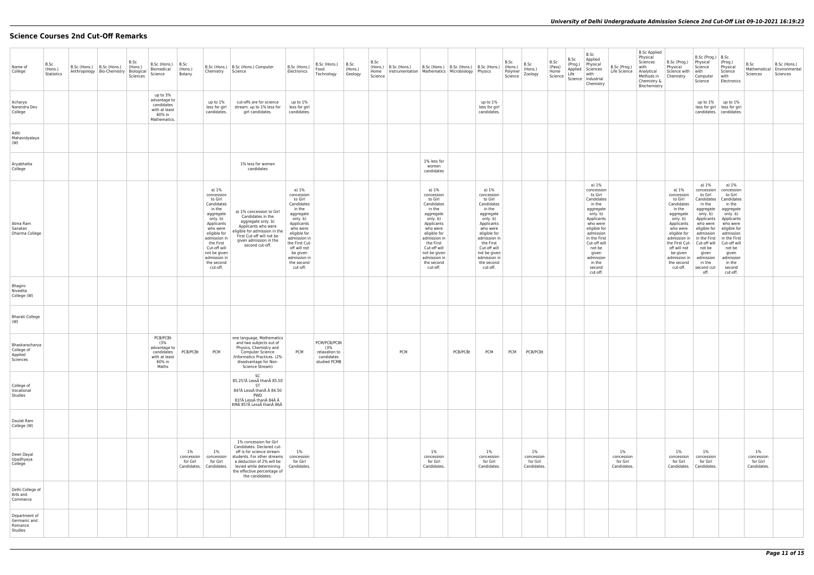# **Science Courses 2nd Cut-Off Remarks**

| Name of<br>College                                  | B.Sc<br>(Hons.)<br>Statistics | B.Sc (Hons.)   B.Sc (Hons.)<br>Anthropology   Bio-Chemistry   Biological | B.Sc<br>(Hons.)<br>Sciences | B.Sc (Hons.)   B.Sc<br>Biomedical<br>Science                                      | (Hons.)<br>Botany               | Chemistry Science                                                                                                                                                                                                                | B.Sc (Hons.)   B.Sc (Hons.) Computer                                                                                                                                                                                       | B.Sc (Hons.)<br>Electronics                                                                                                                                                                                                       | B.Sc (Hons.)<br>Food<br>Technology                                 | B.Sc<br>(Hons.)<br>Geology | B.Sc<br>(Hons.)<br>B.Sc (Hons.)<br>Home<br>Instrumentation   Mathematics   Microbiology   Physics<br>Science |                                                                                                                                                                                                                                  | B.Sc (Hons.)   B.Sc (Hons.)   B.Sc (Hons.) |                                                                                                                                                                                                                                  | B.Sc<br>(Hons.)<br>Polymer<br>Science | B.Sc<br>(Hons.)<br>Zoology                     | B.Sc<br>(Pass)<br>Home<br>Science | B.Sc<br>(Prog.)<br>Life | B.Sc<br>Applied<br>Physical<br>Applied Sciences<br>with<br>Science   Industrial<br>Chemistry                                                                                                                                           | B.Sc (Prog.)<br>Life Science                   | <b>B.Sc Applied</b><br>Physical<br>Sciences<br>with<br>Analytical<br>Methods in<br>Chemistry &<br>Biochemistry | B.Sc (Prog.)<br>Physical<br>Science with<br>Chemistry                                                                                                                                                                             | $B.Sc$ (Prog.) $ B.Sc $<br>Physical<br>Science<br>with<br>Computer<br>Science                                                                                                                                                           | (Prog.)<br>Physical<br>Science<br>with<br>Electronics                                                                                                                                                                            | B.Sc<br>Mathematical   Environmental<br>Sciences | B.Sc (Hons.)<br>Sciences |
|-----------------------------------------------------|-------------------------------|--------------------------------------------------------------------------|-----------------------------|-----------------------------------------------------------------------------------|---------------------------------|----------------------------------------------------------------------------------------------------------------------------------------------------------------------------------------------------------------------------------|----------------------------------------------------------------------------------------------------------------------------------------------------------------------------------------------------------------------------|-----------------------------------------------------------------------------------------------------------------------------------------------------------------------------------------------------------------------------------|--------------------------------------------------------------------|----------------------------|--------------------------------------------------------------------------------------------------------------|----------------------------------------------------------------------------------------------------------------------------------------------------------------------------------------------------------------------------------|--------------------------------------------|----------------------------------------------------------------------------------------------------------------------------------------------------------------------------------------------------------------------------------|---------------------------------------|------------------------------------------------|-----------------------------------|-------------------------|----------------------------------------------------------------------------------------------------------------------------------------------------------------------------------------------------------------------------------------|------------------------------------------------|----------------------------------------------------------------------------------------------------------------|-----------------------------------------------------------------------------------------------------------------------------------------------------------------------------------------------------------------------------------|-----------------------------------------------------------------------------------------------------------------------------------------------------------------------------------------------------------------------------------------|----------------------------------------------------------------------------------------------------------------------------------------------------------------------------------------------------------------------------------|--------------------------------------------------|--------------------------|
| Acharya<br>Narendra Dev<br>College                  |                               |                                                                          |                             | up to 3%<br>advantage to<br>candidates<br>with at least<br>60% in<br>Mathematics. |                                 | up to 1%<br>less for girl<br>candidates.                                                                                                                                                                                         | cut-offs are for science<br>stream. up to 1% less for<br>girl candidates.                                                                                                                                                  | up to 1%<br>less for girl<br>candidates.                                                                                                                                                                                          |                                                                    |                            |                                                                                                              |                                                                                                                                                                                                                                  |                                            | up to 1%<br>less for girl<br>candidates.                                                                                                                                                                                         |                                       |                                                |                                   |                         |                                                                                                                                                                                                                                        |                                                |                                                                                                                |                                                                                                                                                                                                                                   | up to $1\%$                                                                                                                                                                                                                             | up to 1%<br>less for girl   less for girl<br>candidates.   candidates.                                                                                                                                                           |                                                  |                          |
| Aditi<br>Mahavidyalaya<br>(W)                       |                               |                                                                          |                             |                                                                                   |                                 |                                                                                                                                                                                                                                  |                                                                                                                                                                                                                            |                                                                                                                                                                                                                                   |                                                                    |                            |                                                                                                              |                                                                                                                                                                                                                                  |                                            |                                                                                                                                                                                                                                  |                                       |                                                |                                   |                         |                                                                                                                                                                                                                                        |                                                |                                                                                                                |                                                                                                                                                                                                                                   |                                                                                                                                                                                                                                         |                                                                                                                                                                                                                                  |                                                  |                          |
| Aryabhatta<br>College                               |                               |                                                                          |                             |                                                                                   |                                 |                                                                                                                                                                                                                                  | 1% less for women<br>candidates                                                                                                                                                                                            |                                                                                                                                                                                                                                   |                                                                    |                            |                                                                                                              | 1% less for<br>women<br>candidates                                                                                                                                                                                               |                                            |                                                                                                                                                                                                                                  |                                       |                                                |                                   |                         |                                                                                                                                                                                                                                        |                                                |                                                                                                                |                                                                                                                                                                                                                                   |                                                                                                                                                                                                                                         |                                                                                                                                                                                                                                  |                                                  |                          |
| Atma Ram<br>Sanatan<br>Dharma College               |                               |                                                                          |                             |                                                                                   |                                 | a) 1%<br>concession<br>to Girl<br>Candidates<br>in the<br>aggregate<br>only. b)<br>Applicants<br>who were<br>eligible for<br>admission in<br>the First<br>Cut-off will<br>not be given<br>admission in<br>the second<br>cut-off. | a) 1% concession to Girl<br>Candidates in the<br>aggregate only. b)<br>Applicants who were<br>eligible for admission in the<br>First Cut-off will not be<br>given admission in the<br>second cut-off.                      | a) 1%<br>concession<br>to Girl<br>Candidates<br>in the<br>aggregate<br>only. b)<br>Applicants<br>who were<br>eligible for<br>admission in<br>the First Cut-<br>off will not<br>be given<br>admission in<br>the second<br>cut-off. |                                                                    |                            |                                                                                                              | a) 1%<br>concession<br>to Girl<br>Candidates<br>in the<br>aggregate<br>only. b)<br>Applicants<br>who were<br>eligible for<br>admission in<br>the First<br>Cut-off will<br>not be given<br>admission in<br>the second<br>cut-off. |                                            | a) 1%<br>concession<br>to Girl<br>Candidates<br>in the<br>aggregate<br>only. b)<br>Applicants<br>who were<br>eligible for<br>admission in<br>the First<br>Cut-off will<br>not be given<br>admission in<br>the second<br>cut-off. |                                       |                                                |                                   |                         | a) 1%<br>concession<br>to Girl<br>Candidates<br>in the<br>aggregate<br>only. b)<br>Applicants<br>who were<br>eligible for<br>admission<br>in the First<br>Cut-off will<br>not be<br>given<br>admission<br>in the<br>second<br>cut-off. |                                                |                                                                                                                | a) 1%<br>concession<br>to Girl<br>Candidates<br>in the<br>aggregate<br>only. b)<br>Applicants<br>who were<br>eligible for<br>admission in<br>the First Cut-<br>off will not<br>be given<br>admission in<br>the second<br>cut-off. | a) 1%<br>concession<br>to Girl<br>in the<br>aggregate<br>only. b)<br>Applicants<br>who were<br>admission<br>in the First   in the First<br>Cut-off will   Cut-off will<br>not be<br>given<br>admission<br>in the<br>second cut-<br>off. | a) 1%<br>concession<br>to Girl<br>Candidates   Candidates<br>in the<br>aggregate<br>only. b)<br>Applicants<br>who were<br>eligible for eligible for<br>admission<br>not be<br>given<br>admission<br>in the<br>second<br>cut-off. |                                                  |                          |
| Bhagini<br>Nivedita<br>College (W)                  |                               |                                                                          |                             |                                                                                   |                                 |                                                                                                                                                                                                                                  |                                                                                                                                                                                                                            |                                                                                                                                                                                                                                   |                                                                    |                            |                                                                                                              |                                                                                                                                                                                                                                  |                                            |                                                                                                                                                                                                                                  |                                       |                                                |                                   |                         |                                                                                                                                                                                                                                        |                                                |                                                                                                                |                                                                                                                                                                                                                                   |                                                                                                                                                                                                                                         |                                                                                                                                                                                                                                  |                                                  |                          |
| <b>Bharati College</b><br>(W)                       |                               |                                                                          |                             |                                                                                   |                                 |                                                                                                                                                                                                                                  |                                                                                                                                                                                                                            |                                                                                                                                                                                                                                   |                                                                    |                            |                                                                                                              |                                                                                                                                                                                                                                  |                                            |                                                                                                                                                                                                                                  |                                       |                                                |                                   |                         |                                                                                                                                                                                                                                        |                                                |                                                                                                                |                                                                                                                                                                                                                                   |                                                                                                                                                                                                                                         |                                                                                                                                                                                                                                  |                                                  |                          |
| Bhaskaracharya<br>College of<br>Applied<br>Sciences |                               |                                                                          |                             | PCB/PCBt<br>(3%<br>advantage to<br>with at least<br>60% in<br>Maths               | candidates PCB/PCBt PCM         |                                                                                                                                                                                                                                  | one language, Mathematics<br>and two subjects out of<br>Physics, Chemistry and<br><b>Computer Science</b><br>/Informatics Practices. (2%<br>disadvantage for Non-<br>Science Stream)                                       | <b>PCM</b>                                                                                                                                                                                                                        | PCM/PCB/PCBt<br>(3%<br>relaxation to<br>candidates<br>studied PCMB |                            | <b>PCM</b>                                                                                                   |                                                                                                                                                                                                                                  |                                            | PCB/PCBt PCM PCM PCM PCB/PCBt                                                                                                                                                                                                    |                                       |                                                |                                   |                         |                                                                                                                                                                                                                                        |                                                |                                                                                                                |                                                                                                                                                                                                                                   |                                                                                                                                                                                                                                         |                                                                                                                                                                                                                                  |                                                  |                          |
| College of<br>Vocational<br>Studies                 |                               |                                                                          |                             |                                                                                   |                                 |                                                                                                                                                                                                                                  | SC<br>85.25? Less than 85.50<br><b>ST</b><br>84? Less than  84.50<br>PWD<br>83? Less than 84 Â<br>KM 85? Less than 86Â                                                                                                     |                                                                                                                                                                                                                                   |                                                                    |                            |                                                                                                              |                                                                                                                                                                                                                                  |                                            |                                                                                                                                                                                                                                  |                                       |                                                |                                   |                         |                                                                                                                                                                                                                                        |                                                |                                                                                                                |                                                                                                                                                                                                                                   |                                                                                                                                                                                                                                         |                                                                                                                                                                                                                                  |                                                  |                          |
| Daulat Ram<br>College (W)                           |                               |                                                                          |                             |                                                                                   |                                 |                                                                                                                                                                                                                                  |                                                                                                                                                                                                                            |                                                                                                                                                                                                                                   |                                                                    |                            |                                                                                                              |                                                                                                                                                                                                                                  |                                            |                                                                                                                                                                                                                                  |                                       |                                                |                                   |                         |                                                                                                                                                                                                                                        |                                                |                                                                                                                |                                                                                                                                                                                                                                   |                                                                                                                                                                                                                                         |                                                                                                                                                                                                                                  |                                                  |                          |
| Deen Dayal<br>Upadhyaya<br>College                  |                               |                                                                          |                             |                                                                                   | $1\%$<br>concession<br>for Girl | $1\%$<br>concession<br>for Girl<br>Candidates.   Candidates.                                                                                                                                                                     | 1% concession for Girl<br>Candidates. Declared cut-<br>off is for science stream<br>students. For other streams<br>a deduction of 2% will be<br>levied while determining<br>the effective percentage of<br>the candidates. | 1%<br>concession<br>for Girl<br>Candidates.                                                                                                                                                                                       |                                                                    |                            |                                                                                                              | $1\%$<br>concession<br>for Girl<br>Candidates.                                                                                                                                                                                   |                                            | $1\%$<br>concession<br>for Girl<br>Candidates.                                                                                                                                                                                   |                                       | $1\%$<br>concession<br>for Girl<br>Candidates. |                                   |                         |                                                                                                                                                                                                                                        | $1\%$<br>concession<br>for Girl<br>Candidates. |                                                                                                                | $1\%$<br>concession<br>for Girl<br>Candidates.                                                                                                                                                                                    | $1\%$<br>concession<br>for Girl<br>Candidates.                                                                                                                                                                                          |                                                                                                                                                                                                                                  | $1\%$<br>concession<br>for Girl<br>Candidates.   |                          |
| Delhi College of<br>Arts and<br>Commerce            |                               |                                                                          |                             |                                                                                   |                                 |                                                                                                                                                                                                                                  |                                                                                                                                                                                                                            |                                                                                                                                                                                                                                   |                                                                    |                            |                                                                                                              |                                                                                                                                                                                                                                  |                                            |                                                                                                                                                                                                                                  |                                       |                                                |                                   |                         |                                                                                                                                                                                                                                        |                                                |                                                                                                                |                                                                                                                                                                                                                                   |                                                                                                                                                                                                                                         |                                                                                                                                                                                                                                  |                                                  |                          |
| Department of<br>Germanic and<br>Romance<br>Studies |                               |                                                                          |                             |                                                                                   |                                 |                                                                                                                                                                                                                                  |                                                                                                                                                                                                                            |                                                                                                                                                                                                                                   |                                                                    |                            |                                                                                                              |                                                                                                                                                                                                                                  |                                            |                                                                                                                                                                                                                                  |                                       |                                                |                                   |                         |                                                                                                                                                                                                                                        |                                                |                                                                                                                |                                                                                                                                                                                                                                   |                                                                                                                                                                                                                                         |                                                                                                                                                                                                                                  |                                                  |                          |
|                                                     |                               |                                                                          |                             |                                                                                   |                                 |                                                                                                                                                                                                                                  |                                                                                                                                                                                                                            |                                                                                                                                                                                                                                   |                                                                    |                            |                                                                                                              |                                                                                                                                                                                                                                  |                                            |                                                                                                                                                                                                                                  |                                       |                                                |                                   |                         |                                                                                                                                                                                                                                        |                                                |                                                                                                                |                                                                                                                                                                                                                                   |                                                                                                                                                                                                                                         |                                                                                                                                                                                                                                  |                                                  |                          |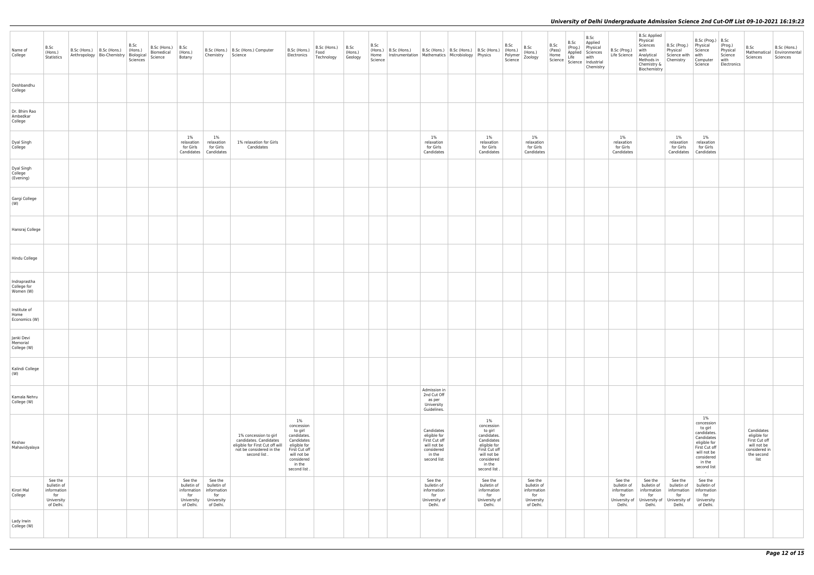| Name of<br>College                       | B.Sc<br>(Hons.)<br>Statistics                                           | B.Sc (Hons.)   B.Sc (Hons.) | Anthropology   Bio-Chemistry | B.Sc<br>(Hons.)<br>Biological<br>Sciences | B.Sc (Hons.)<br>Biomedical<br>Science | B.Sc<br>(Hons.)<br>Botany                                               | Chemistry                                                               | B.Sc (Hons.)   B.Sc (Hons.) Computer<br>Science                                                                                | B.Sc (Hons.)<br>Electronics                                                                                                                         | B.Sc (Hons.)<br>Food<br>Technology | B.Sc<br>(Hons.)<br>Geology | B.Sc<br>(Hons.)<br>Home<br>Science | B.Sc (Hons.)<br>Instrumentation   Mathematics   Microbiology   Physics |                                                                                                   | B.Sc (Hons.)   B.Sc (Hons.)   B.Sc (Hons.) |                                                                                                                                                     | B.Sc<br>(Hons.)<br>Polymer<br>Science | B.Sc<br>(Hons.)<br>Zoology                                              | B.Sc<br>(Pass)<br>Home<br>Science | B.Sc<br>(Prog.)<br>Applied<br>Life | B.Sc<br>Applied<br>Physical<br>Sciences<br>with<br>Science   Industrial<br>Chemistry | B.9<br>Lif |
|------------------------------------------|-------------------------------------------------------------------------|-----------------------------|------------------------------|-------------------------------------------|---------------------------------------|-------------------------------------------------------------------------|-------------------------------------------------------------------------|--------------------------------------------------------------------------------------------------------------------------------|-----------------------------------------------------------------------------------------------------------------------------------------------------|------------------------------------|----------------------------|------------------------------------|------------------------------------------------------------------------|---------------------------------------------------------------------------------------------------|--------------------------------------------|-----------------------------------------------------------------------------------------------------------------------------------------------------|---------------------------------------|-------------------------------------------------------------------------|-----------------------------------|------------------------------------|--------------------------------------------------------------------------------------|------------|
| Deshbandhu<br>College                    |                                                                         |                             |                              |                                           |                                       |                                                                         |                                                                         |                                                                                                                                |                                                                                                                                                     |                                    |                            |                                    |                                                                        |                                                                                                   |                                            |                                                                                                                                                     |                                       |                                                                         |                                   |                                    |                                                                                      |            |
| Dr. Bhim Rao<br>Ambedkar<br>College      |                                                                         |                             |                              |                                           |                                       |                                                                         |                                                                         |                                                                                                                                |                                                                                                                                                     |                                    |                            |                                    |                                                                        |                                                                                                   |                                            |                                                                                                                                                     |                                       |                                                                         |                                   |                                    |                                                                                      |            |
| Dyal Singh<br>College                    |                                                                         |                             |                              |                                           |                                       | $1\%$<br>relaxation<br>for Girls<br>Candidates                          | $1\%$<br>relaxation<br>for Girls<br>Candidates                          | 1% relaxation for Girls<br>Candidates                                                                                          |                                                                                                                                                     |                                    |                            |                                    |                                                                        | $1\%$<br>relaxation<br>for Girls<br>Candidates                                                    |                                            | 1%<br>relaxation<br>for Girls<br>Candidates                                                                                                         |                                       | $1\%$<br>relaxation<br>for Girls<br>Candidates                          |                                   |                                    |                                                                                      | C          |
| Dyal Singh<br>College<br>(Evening)       |                                                                         |                             |                              |                                           |                                       |                                                                         |                                                                         |                                                                                                                                |                                                                                                                                                     |                                    |                            |                                    |                                                                        |                                                                                                   |                                            |                                                                                                                                                     |                                       |                                                                         |                                   |                                    |                                                                                      |            |
| Gargi College<br>(W)                     |                                                                         |                             |                              |                                           |                                       |                                                                         |                                                                         |                                                                                                                                |                                                                                                                                                     |                                    |                            |                                    |                                                                        |                                                                                                   |                                            |                                                                                                                                                     |                                       |                                                                         |                                   |                                    |                                                                                      |            |
| Hansraj College                          |                                                                         |                             |                              |                                           |                                       |                                                                         |                                                                         |                                                                                                                                |                                                                                                                                                     |                                    |                            |                                    |                                                                        |                                                                                                   |                                            |                                                                                                                                                     |                                       |                                                                         |                                   |                                    |                                                                                      |            |
| Hindu College                            |                                                                         |                             |                              |                                           |                                       |                                                                         |                                                                         |                                                                                                                                |                                                                                                                                                     |                                    |                            |                                    |                                                                        |                                                                                                   |                                            |                                                                                                                                                     |                                       |                                                                         |                                   |                                    |                                                                                      |            |
| Indraprastha<br>College for<br>Women (W) |                                                                         |                             |                              |                                           |                                       |                                                                         |                                                                         |                                                                                                                                |                                                                                                                                                     |                                    |                            |                                    |                                                                        |                                                                                                   |                                            |                                                                                                                                                     |                                       |                                                                         |                                   |                                    |                                                                                      |            |
| Institute of<br>Home<br>Economics (W)    |                                                                         |                             |                              |                                           |                                       |                                                                         |                                                                         |                                                                                                                                |                                                                                                                                                     |                                    |                            |                                    |                                                                        |                                                                                                   |                                            |                                                                                                                                                     |                                       |                                                                         |                                   |                                    |                                                                                      |            |
| Janki Devi<br>Memorial<br>College (W)    |                                                                         |                             |                              |                                           |                                       |                                                                         |                                                                         |                                                                                                                                |                                                                                                                                                     |                                    |                            |                                    |                                                                        |                                                                                                   |                                            |                                                                                                                                                     |                                       |                                                                         |                                   |                                    |                                                                                      |            |
| Kalindi College<br>(W)                   |                                                                         |                             |                              |                                           |                                       |                                                                         |                                                                         |                                                                                                                                |                                                                                                                                                     |                                    |                            |                                    |                                                                        |                                                                                                   |                                            |                                                                                                                                                     |                                       |                                                                         |                                   |                                    |                                                                                      |            |
| Kamala Nehru<br>College (W)              |                                                                         |                             |                              |                                           |                                       |                                                                         |                                                                         |                                                                                                                                |                                                                                                                                                     |                                    |                            |                                    |                                                                        | Admission in<br>2nd Cut Off<br>as per<br>University<br>Guidelines.                                |                                            |                                                                                                                                                     |                                       |                                                                         |                                   |                                    |                                                                                      |            |
| Keshav<br>Mahavidyalaya                  |                                                                         |                             |                              |                                           |                                       |                                                                         |                                                                         | 1% concession to girl<br>candidates. Candidates<br>eligible for First Cut off will<br>not be considered in the<br>second list. | $1\%$<br>concession<br>to girl<br>candidates.<br>Candidates<br>eligible for<br>First Cut off<br>will not be<br>considered<br>in the<br>second list. |                                    |                            |                                    |                                                                        | Candidates<br>eligible for<br>First Cut off<br>will not be<br>considered<br>in the<br>second list |                                            | $1\%$<br>concession<br>to girl<br>candidates.<br>Candidates<br>eligible for<br>First Cut off<br>will not be<br>considered<br>in the<br>second list. |                                       |                                                                         |                                   |                                    |                                                                                      |            |
| Kirori Mal<br>College                    | See the<br>bulletin of<br>information<br>for<br>University<br>of Delhi. |                             |                              |                                           |                                       | See the<br>bulletin of<br>information<br>for<br>University<br>of Delhi. | See the<br>bulletin of<br>information<br>for<br>University<br>of Delhi. |                                                                                                                                |                                                                                                                                                     |                                    |                            |                                    |                                                                        | See the<br>bulletin of<br>information<br>for<br>University of<br>Delhi.                           |                                            | See the<br>bulletin of<br>information<br>for<br>University of<br>Delhi.                                                                             |                                       | See the<br>bulletin of<br>information<br>for<br>University<br>of Delhi. |                                   |                                    |                                                                                      | in<br>Ur   |
| Lady Irwin<br>College (W)                |                                                                         |                             |                              |                                           |                                       |                                                                         |                                                                         |                                                                                                                                |                                                                                                                                                     |                                    |                            |                                    |                                                                        |                                                                                                   |                                            |                                                                                                                                                     |                                       |                                                                         |                                   |                                    |                                                                                      |            |

| B.Sc (Prog.)<br>Life Science                                            | <b>B.Sc Applied</b><br>Physical<br>Sciences<br>with<br>Analytical<br>Methods in<br>Chemistry &<br>Biochemistry | B.Sc (Prog.)<br>Physical<br>Science with<br>Chemistry                   | B.Sc (Prog.)<br>Physical<br>Science<br>with<br>Computer<br>Science                                                                              | B.Sc<br>(Prog.)<br>Physical<br>Science<br>with<br>Electronics | B.Sc<br>Mathematical<br>Sciences                                                                  | B.Sc (Hons.)<br>Environmental<br>Sciences |
|-------------------------------------------------------------------------|----------------------------------------------------------------------------------------------------------------|-------------------------------------------------------------------------|-------------------------------------------------------------------------------------------------------------------------------------------------|---------------------------------------------------------------|---------------------------------------------------------------------------------------------------|-------------------------------------------|
|                                                                         |                                                                                                                |                                                                         |                                                                                                                                                 |                                                               |                                                                                                   |                                           |
|                                                                         |                                                                                                                |                                                                         |                                                                                                                                                 |                                                               |                                                                                                   |                                           |
| 1%<br>relaxation<br>for Girls<br>Candidates                             |                                                                                                                | 1%<br>relaxation<br>for Girls<br>Candidates                             | 1%<br>relaxation<br>for Girls<br>Candidates                                                                                                     |                                                               |                                                                                                   |                                           |
|                                                                         |                                                                                                                |                                                                         |                                                                                                                                                 |                                                               |                                                                                                   |                                           |
|                                                                         |                                                                                                                |                                                                         |                                                                                                                                                 |                                                               |                                                                                                   |                                           |
|                                                                         |                                                                                                                |                                                                         |                                                                                                                                                 |                                                               |                                                                                                   |                                           |
|                                                                         |                                                                                                                |                                                                         |                                                                                                                                                 |                                                               |                                                                                                   |                                           |
|                                                                         |                                                                                                                |                                                                         |                                                                                                                                                 |                                                               |                                                                                                   |                                           |
|                                                                         |                                                                                                                |                                                                         |                                                                                                                                                 |                                                               |                                                                                                   |                                           |
|                                                                         |                                                                                                                |                                                                         |                                                                                                                                                 |                                                               |                                                                                                   |                                           |
|                                                                         |                                                                                                                |                                                                         |                                                                                                                                                 |                                                               |                                                                                                   |                                           |
|                                                                         |                                                                                                                |                                                                         |                                                                                                                                                 |                                                               |                                                                                                   |                                           |
|                                                                         |                                                                                                                |                                                                         | 1%<br>concession<br>to girl<br>candidates.<br>Candidates<br>eligible for<br>First Cut off<br>will not be<br>considered<br>in the<br>second list |                                                               | Candidates<br>eligible for<br>First Cut off<br>will not be<br>considered in<br>the second<br>list |                                           |
| See the<br>bulletin of<br>information<br>for<br>University of<br>Delhi. | See the<br>bulletin of<br>information<br>for<br>University of<br>Delhi.                                        | See the<br>bulletin of<br>information<br>for<br>University of<br>Delhi. | See the<br>bulletin of<br>information<br>for<br>University<br>of Delhi.                                                                         |                                                               |                                                                                                   |                                           |
|                                                                         |                                                                                                                |                                                                         |                                                                                                                                                 |                                                               |                                                                                                   |                                           |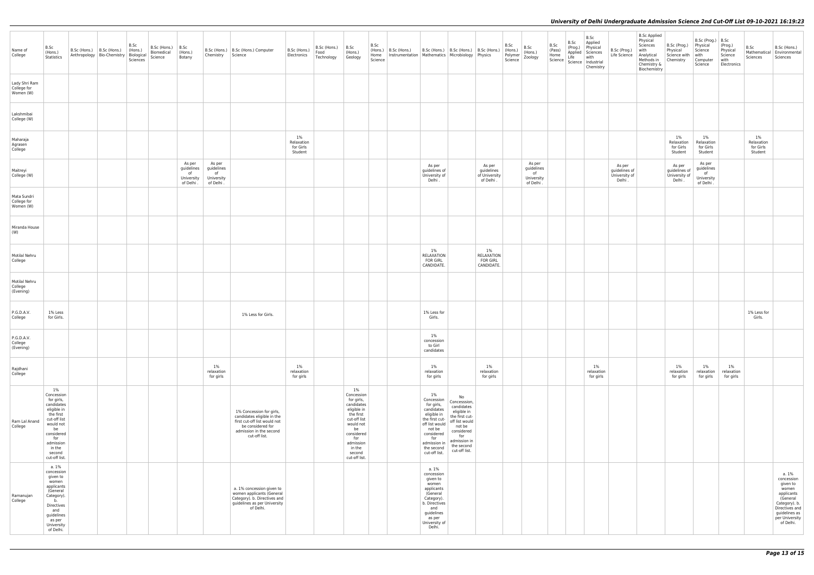| Name of<br>College                        | B.Sc<br>(Hons.)<br>Statistics                                                                                                                                                         | $B.Sc$ (Hons.) $B.Sc$ (Hons.)<br>Anthropology   Bio-Chemistry   Biological | B.Sc<br>$ $ (Hons.)<br>Sciences | B.Sc (Hons.)<br>Biomedical<br>Science | B.Sc<br>(Hons.)<br>Botany                              | Chemistry                                             | B.Sc (Hons.)   B.Sc (Hons.) Computer<br>Science                                                                                                         | B.Sc (Hons.)<br>Electronics              | $B.Sc$ (Hons.) $\Big $ B.Sc<br>Food<br>Technology | (Hons.)<br>Geology                                                                                                                                                                    | B.Sc<br>Home<br>Science | $ $ (Hons.) $ $ B.Sc (Hons.)<br>Instrumentation   Mathematics   Microbiology   Physics | B.Sc (Hons.)   B.Sc (Hons.)   B.Sc (Hons.)                                                                                                                                       |                                                                                                                                                                   |                                                      | B.Sc<br>(Hons.)<br>Polymer<br>Science | B.Sc<br>$ $ (Hons.)<br>Zoology                        | B.Sc<br>(Pass)<br>Home<br>Science | B.Sc<br>(Prog.)<br>Applied Sciences<br>Life | B.Sc<br>Applied<br>Physical<br>with<br>Science   Industrial<br>Chemistry | B.Sc (Prog.)<br>Life Science                       | <b>B.Sc Applied</b><br>Physical<br>Sciences<br>with<br>Analytical<br>Methods in<br>Chemistry &<br>Biochemistry | B.Sc (Prog.)<br>Physical<br>Science with<br>  Chemistry | B.Sc (Prog.) B.Sc<br>Physical<br>Science<br>with<br>Computer<br>Science | (Prog.)<br>Physical<br>Science<br>with<br>Electronics | B.Sc<br>Sciences                            | B.Sc (Hons.)<br>Mathematical   Environmental<br>Sciences                                                                                              |
|-------------------------------------------|---------------------------------------------------------------------------------------------------------------------------------------------------------------------------------------|----------------------------------------------------------------------------|---------------------------------|---------------------------------------|--------------------------------------------------------|-------------------------------------------------------|---------------------------------------------------------------------------------------------------------------------------------------------------------|------------------------------------------|---------------------------------------------------|---------------------------------------------------------------------------------------------------------------------------------------------------------------------------------------|-------------------------|----------------------------------------------------------------------------------------|----------------------------------------------------------------------------------------------------------------------------------------------------------------------------------|-------------------------------------------------------------------------------------------------------------------------------------------------------------------|------------------------------------------------------|---------------------------------------|-------------------------------------------------------|-----------------------------------|---------------------------------------------|--------------------------------------------------------------------------|----------------------------------------------------|----------------------------------------------------------------------------------------------------------------|---------------------------------------------------------|-------------------------------------------------------------------------|-------------------------------------------------------|---------------------------------------------|-------------------------------------------------------------------------------------------------------------------------------------------------------|
| Lady Shri Ram<br>College for<br>Women (W) |                                                                                                                                                                                       |                                                                            |                                 |                                       |                                                        |                                                       |                                                                                                                                                         |                                          |                                                   |                                                                                                                                                                                       |                         |                                                                                        |                                                                                                                                                                                  |                                                                                                                                                                   |                                                      |                                       |                                                       |                                   |                                             |                                                                          |                                                    |                                                                                                                |                                                         |                                                                         |                                                       |                                             |                                                                                                                                                       |
| Lakshmibai<br>College (W)                 |                                                                                                                                                                                       |                                                                            |                                 |                                       |                                                        |                                                       |                                                                                                                                                         |                                          |                                                   |                                                                                                                                                                                       |                         |                                                                                        |                                                                                                                                                                                  |                                                                                                                                                                   |                                                      |                                       |                                                       |                                   |                                             |                                                                          |                                                    |                                                                                                                |                                                         |                                                                         |                                                       |                                             |                                                                                                                                                       |
| Maharaja<br>Agrasen<br>College            |                                                                                                                                                                                       |                                                                            |                                 |                                       |                                                        |                                                       |                                                                                                                                                         | 1%<br>Relaxation<br>for Girls<br>Student |                                                   |                                                                                                                                                                                       |                         |                                                                                        |                                                                                                                                                                                  |                                                                                                                                                                   |                                                      |                                       |                                                       |                                   |                                             |                                                                          |                                                    |                                                                                                                | $1\%$<br>Relaxation<br>for Girls<br>Student             | 1%<br>Relaxation<br>for Girls<br>Student                                |                                                       | $1\%$<br>Relaxation<br>for Girls<br>Student |                                                                                                                                                       |
| Maitreyi<br>College (W)                   |                                                                                                                                                                                       |                                                                            |                                 |                                       | As per<br>guidelines<br>of<br>University<br>of Delhi . | As per<br>guidelines<br>of<br>University<br>of Delhi. |                                                                                                                                                         |                                          |                                                   |                                                                                                                                                                                       |                         |                                                                                        | As per<br>guidelines of<br>University of<br>Delhi.                                                                                                                               |                                                                                                                                                                   | As per<br>guidelines<br>of University<br>of Delhi.   |                                       | As per<br>guidelines<br>of<br>University<br>of Delhi. |                                   |                                             |                                                                          | As per<br>guidelines of<br>University of<br>Delhi. |                                                                                                                | As per<br>guidelines of<br>University of<br>Delhi.      | As per<br>guidelines<br>of<br>University<br>of Delhi.                   |                                                       |                                             |                                                                                                                                                       |
| Mata Sundri<br>College for<br>Women (W)   |                                                                                                                                                                                       |                                                                            |                                 |                                       |                                                        |                                                       |                                                                                                                                                         |                                          |                                                   |                                                                                                                                                                                       |                         |                                                                                        |                                                                                                                                                                                  |                                                                                                                                                                   |                                                      |                                       |                                                       |                                   |                                             |                                                                          |                                                    |                                                                                                                |                                                         |                                                                         |                                                       |                                             |                                                                                                                                                       |
| Miranda House<br>(W)                      |                                                                                                                                                                                       |                                                                            |                                 |                                       |                                                        |                                                       |                                                                                                                                                         |                                          |                                                   |                                                                                                                                                                                       |                         |                                                                                        |                                                                                                                                                                                  |                                                                                                                                                                   |                                                      |                                       |                                                       |                                   |                                             |                                                                          |                                                    |                                                                                                                |                                                         |                                                                         |                                                       |                                             |                                                                                                                                                       |
| Motilal Nehru<br>College                  |                                                                                                                                                                                       |                                                                            |                                 |                                       |                                                        |                                                       |                                                                                                                                                         |                                          |                                                   |                                                                                                                                                                                       |                         |                                                                                        | $1\%$<br>RELAXATION<br><b>FOR GIRL</b><br>CANDIDATE.                                                                                                                             |                                                                                                                                                                   | $1\%$<br>RELAXATION<br><b>FOR GIRL</b><br>CANDIDATE. |                                       |                                                       |                                   |                                             |                                                                          |                                                    |                                                                                                                |                                                         |                                                                         |                                                       |                                             |                                                                                                                                                       |
| Motilal Nehru<br>College<br>(Evening)     |                                                                                                                                                                                       |                                                                            |                                 |                                       |                                                        |                                                       |                                                                                                                                                         |                                          |                                                   |                                                                                                                                                                                       |                         |                                                                                        |                                                                                                                                                                                  |                                                                                                                                                                   |                                                      |                                       |                                                       |                                   |                                             |                                                                          |                                                    |                                                                                                                |                                                         |                                                                         |                                                       |                                             |                                                                                                                                                       |
| P.G.D.A.V.<br>College                     | 1% Less<br>for Girls.                                                                                                                                                                 |                                                                            |                                 |                                       |                                                        |                                                       | 1% Less for Girls.                                                                                                                                      |                                          |                                                   |                                                                                                                                                                                       |                         |                                                                                        | 1% Less for<br>Girls.                                                                                                                                                            |                                                                                                                                                                   |                                                      |                                       |                                                       |                                   |                                             |                                                                          |                                                    |                                                                                                                |                                                         |                                                                         |                                                       | 1% Less for<br>Girls.                       |                                                                                                                                                       |
| P.G.D.A.V.<br>College<br>(Evening)        |                                                                                                                                                                                       |                                                                            |                                 |                                       |                                                        |                                                       |                                                                                                                                                         |                                          |                                                   |                                                                                                                                                                                       |                         |                                                                                        | $1\%$<br>concession<br>to Girl<br>candidates                                                                                                                                     |                                                                                                                                                                   |                                                      |                                       |                                                       |                                   |                                             |                                                                          |                                                    |                                                                                                                |                                                         |                                                                         |                                                       |                                             |                                                                                                                                                       |
| Rajdhani<br>College                       |                                                                                                                                                                                       |                                                                            |                                 |                                       |                                                        | $1\%$<br>relaxation<br>for girls                      |                                                                                                                                                         | $1\%$<br>relaxation<br>for girls         |                                                   |                                                                                                                                                                                       |                         |                                                                                        | $1\%$<br>relaxation<br>for girls                                                                                                                                                 |                                                                                                                                                                   | $1\%$<br>relaxation<br>for girls                     |                                       |                                                       |                                   |                                             | $1\%$<br>relaxation<br>for girls                                         |                                                    |                                                                                                                | $1\%$<br>relaxation<br>for girls                        | 1%<br>relaxation<br>for girls                                           | $1\%$<br>relaxation<br>for girls                      |                                             |                                                                                                                                                       |
| Ram Lal Anand<br>College                  | $1\%$<br>Concession<br>for girls,<br>candidates<br>eligible in<br>the first<br>cut-off list<br>would not<br>be<br>considered<br>for<br>admission<br>in the<br>second<br>cut-off list. |                                                                            |                                 |                                       |                                                        |                                                       | 1% Concession for girls,<br>candidates eligible in the<br>first cut-off list would not<br>be considered for<br>admission in the second<br>cut-off list. |                                          |                                                   | $1\%$<br>Concession<br>for girls,<br>candidates<br>eligible in<br>the first<br>cut-off list<br>would not<br>be<br>considered<br>for<br>admission<br>in the<br>second<br>cut-off list. |                         |                                                                                        | $1\%$<br>Concession<br>for girls,<br>candidates<br>eligible in<br>the first cut-<br>off list would<br>not be<br>considered<br>for<br>admission in<br>the second<br>cut-off list. | No<br>Concesssion,<br>candidates<br>eligible in<br>the first cut-<br>off list would<br>not be<br>considered<br>for<br>admission in<br>the second<br>cut-off list. |                                                      |                                       |                                                       |                                   |                                             |                                                                          |                                                    |                                                                                                                |                                                         |                                                                         |                                                       |                                             |                                                                                                                                                       |
| Ramanujan<br>College                      | a. 1%<br>concession<br>given to<br>women<br>applicants<br>(General<br>Category).<br>b.<br>Directives<br>and<br>guidelines<br>as per<br>University<br>of Delhi.                        |                                                                            |                                 |                                       |                                                        |                                                       | a. 1% concession given to<br>women applicants (General<br>Category). b. Directives and<br>guidelines as per University<br>of Delhi.                     |                                          |                                                   |                                                                                                                                                                                       |                         |                                                                                        | a. 1%<br>concession<br>given to<br>women<br>applicants<br>(General<br>Category).<br>b. Directives<br>and<br>guidelines<br>as per<br>University of<br>Delhi.                      |                                                                                                                                                                   |                                                      |                                       |                                                       |                                   |                                             |                                                                          |                                                    |                                                                                                                |                                                         |                                                                         |                                                       |                                             | a. 1%<br>concession<br>given to<br>women<br>applicants<br>(General<br>Category). b.<br>Directives and<br>guidelines as<br>per University<br>of Delhi. |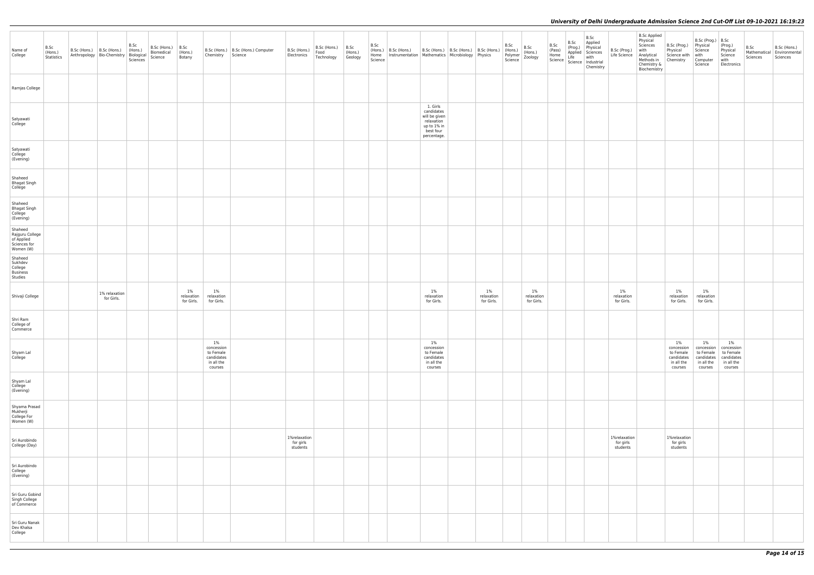| Name of<br>College                                                    | B.Sc<br>(Hons.)<br>Statistics | B.Sc<br>$B.Sc$ (Hons.) $B.Sc$<br>B.Sc (Hons.) B.Sc (Hons.) (Hons.)<br>Anthropology Bio-Chemistry Biological<br>Biomedical<br>Science<br>Sciences | (Hons.)<br>Botany              | Chemistry Science                                                    | B.Sc (Hons.)   B.Sc (Hons.) Computer | B.Sc (Hons.)<br>Electronics           | $B.Sc$ (Hons.) $\Big $ B.Sc<br>Food<br>Technology | $ $ (Hons.)<br>Geology | B.Sc<br>(Hons.) B.Sc (Hons.) B.Sc (Hons.) B.Sc (Hons.) B.Sc (Hons.)<br>Home   Instrumentation   Mathematics   Microbiology   Physics<br>Science |                                                                                                  |                                   | B.Sc<br>(Hons.) | B.Sc<br>(Hons.)<br>Polymer (Hons.)<br>Science Zoology | B.Sc | B.Sc | B.Sc<br>Applied<br>(Prog.) Physical<br>Applied Sciences<br>Life with<br>Prog.) Physical<br>Home Applied Sciences<br>Science Life with<br>Science Industrial<br>Chemistry | B.Sc (Prog.)<br>Life Science Analytical<br>Methods in | <b>B.Sc Applied</b><br>Physical<br>Sciences<br>with<br>Chemistry &<br>Biochemistry | B.Sc (Prog.)<br>Physical<br>Science with<br>Chemistry                | B.Sc (Prog.) B.Sc<br>Physical<br>Science<br>with<br>Computer<br>Science | (Prog.)<br>Physical<br>Science<br>with<br>Electronics                   | B.Sc<br>Sciences | B.Sc (Hons.)<br>Mathematical Environmental<br>Sciences |
|-----------------------------------------------------------------------|-------------------------------|--------------------------------------------------------------------------------------------------------------------------------------------------|--------------------------------|----------------------------------------------------------------------|--------------------------------------|---------------------------------------|---------------------------------------------------|------------------------|-------------------------------------------------------------------------------------------------------------------------------------------------|--------------------------------------------------------------------------------------------------|-----------------------------------|-----------------|-------------------------------------------------------|------|------|--------------------------------------------------------------------------------------------------------------------------------------------------------------------------|-------------------------------------------------------|------------------------------------------------------------------------------------|----------------------------------------------------------------------|-------------------------------------------------------------------------|-------------------------------------------------------------------------|------------------|--------------------------------------------------------|
| Ramjas College                                                        |                               |                                                                                                                                                  |                                |                                                                      |                                      |                                       |                                                   |                        |                                                                                                                                                 |                                                                                                  |                                   |                 |                                                       |      |      |                                                                                                                                                                          |                                                       |                                                                                    |                                                                      |                                                                         |                                                                         |                  |                                                        |
| Satyawati<br>College                                                  |                               |                                                                                                                                                  |                                |                                                                      |                                      |                                       |                                                   |                        |                                                                                                                                                 | 1. Girls<br>candidates<br>will be given<br>relaxation<br>up to 1% in<br>best four<br>percentage. |                                   |                 |                                                       |      |      |                                                                                                                                                                          |                                                       |                                                                                    |                                                                      |                                                                         |                                                                         |                  |                                                        |
| Satyawati<br>College<br>(Evening)                                     |                               |                                                                                                                                                  |                                |                                                                      |                                      |                                       |                                                   |                        |                                                                                                                                                 |                                                                                                  |                                   |                 |                                                       |      |      |                                                                                                                                                                          |                                                       |                                                                                    |                                                                      |                                                                         |                                                                         |                  |                                                        |
| Shaheed<br>Bhagat Singh<br>College                                    |                               |                                                                                                                                                  |                                |                                                                      |                                      |                                       |                                                   |                        |                                                                                                                                                 |                                                                                                  |                                   |                 |                                                       |      |      |                                                                                                                                                                          |                                                       |                                                                                    |                                                                      |                                                                         |                                                                         |                  |                                                        |
| Shaheed<br><b>Bhagat Singh</b><br>College<br>(Evening)                |                               |                                                                                                                                                  |                                |                                                                      |                                      |                                       |                                                   |                        |                                                                                                                                                 |                                                                                                  |                                   |                 |                                                       |      |      |                                                                                                                                                                          |                                                       |                                                                                    |                                                                      |                                                                         |                                                                         |                  |                                                        |
| Shaheed<br>Rajguru College<br>of Applied<br>Sciences for<br>Women (W) |                               |                                                                                                                                                  |                                |                                                                      |                                      |                                       |                                                   |                        |                                                                                                                                                 |                                                                                                  |                                   |                 |                                                       |      |      |                                                                                                                                                                          |                                                       |                                                                                    |                                                                      |                                                                         |                                                                         |                  |                                                        |
| Shaheed<br>Sukhdev<br>College<br>Business<br>Studies                  |                               |                                                                                                                                                  |                                |                                                                      |                                      |                                       |                                                   |                        |                                                                                                                                                 |                                                                                                  |                                   |                 |                                                       |      |      |                                                                                                                                                                          |                                                       |                                                                                    |                                                                      |                                                                         |                                                                         |                  |                                                        |
| Shivaji College                                                       |                               | 1% relaxation<br>for Girls.                                                                                                                      | 1%<br>relaxation<br>for Girls. | 1%<br>relaxation<br>for Girls.                                       |                                      |                                       |                                                   |                        |                                                                                                                                                 | 1%<br>relaxation<br>for Girls.                                                                   | $1\%$<br>relaxation<br>for Girls. |                 | 1%<br>relaxation<br>for Girls.                        |      |      |                                                                                                                                                                          | $1\%$<br>relaxation<br>for Girls.                     |                                                                                    | $1\%$<br>relaxation<br>for Girls.                                    | 1%<br>relaxation<br>for Girls.                                          |                                                                         |                  |                                                        |
| Shri Ram<br>College of<br>Commerce                                    |                               |                                                                                                                                                  |                                |                                                                      |                                      |                                       |                                                   |                        |                                                                                                                                                 |                                                                                                  |                                   |                 |                                                       |      |      |                                                                                                                                                                          |                                                       |                                                                                    |                                                                      |                                                                         |                                                                         |                  |                                                        |
| Shyam Lal<br>College                                                  |                               |                                                                                                                                                  |                                | 1%<br>concession<br>to Female<br>candidates<br>in all the<br>courses |                                      |                                       |                                                   |                        |                                                                                                                                                 | 1%<br>concession<br>to Female<br>candidates<br>in all the<br>courses                             |                                   |                 |                                                       |      |      |                                                                                                                                                                          |                                                       |                                                                                    | 1%<br>concession<br>to Female<br>candidates<br>in all the<br>courses | 1%<br>concession<br>to Female<br>candidates<br>in all the<br>courses    | $1\%$<br>concession<br>to Female<br>candidates<br>in all the<br>courses |                  |                                                        |
| Shyam Lal<br>College<br>(Evening)                                     |                               |                                                                                                                                                  |                                |                                                                      |                                      |                                       |                                                   |                        |                                                                                                                                                 |                                                                                                  |                                   |                 |                                                       |      |      |                                                                                                                                                                          |                                                       |                                                                                    |                                                                      |                                                                         |                                                                         |                  |                                                        |
| Shyama Prasad<br>Mukherji<br>College For<br>Women (W)                 |                               |                                                                                                                                                  |                                |                                                                      |                                      |                                       |                                                   |                        |                                                                                                                                                 |                                                                                                  |                                   |                 |                                                       |      |      |                                                                                                                                                                          |                                                       |                                                                                    |                                                                      |                                                                         |                                                                         |                  |                                                        |
| Sri Aurobindo<br>College (Day)                                        |                               |                                                                                                                                                  |                                |                                                                      |                                      | 1%relaxation<br>for girls<br>students |                                                   |                        |                                                                                                                                                 |                                                                                                  |                                   |                 |                                                       |      |      |                                                                                                                                                                          | 1%relaxation<br>for girls<br>students                 |                                                                                    | 1%relaxation<br>for girls<br>students                                |                                                                         |                                                                         |                  |                                                        |
| Sri Aurobindo<br>College<br>(Evening)                                 |                               |                                                                                                                                                  |                                |                                                                      |                                      |                                       |                                                   |                        |                                                                                                                                                 |                                                                                                  |                                   |                 |                                                       |      |      |                                                                                                                                                                          |                                                       |                                                                                    |                                                                      |                                                                         |                                                                         |                  |                                                        |
| Sri Guru Gobind<br>Singh College<br>of Commerce                       |                               |                                                                                                                                                  |                                |                                                                      |                                      |                                       |                                                   |                        |                                                                                                                                                 |                                                                                                  |                                   |                 |                                                       |      |      |                                                                                                                                                                          |                                                       |                                                                                    |                                                                      |                                                                         |                                                                         |                  |                                                        |
| Sri Guru Nanak<br>Dev Khalsa<br>College                               |                               |                                                                                                                                                  |                                |                                                                      |                                      |                                       |                                                   |                        |                                                                                                                                                 |                                                                                                  |                                   |                 |                                                       |      |      |                                                                                                                                                                          |                                                       |                                                                                    |                                                                      |                                                                         |                                                                         |                  |                                                        |